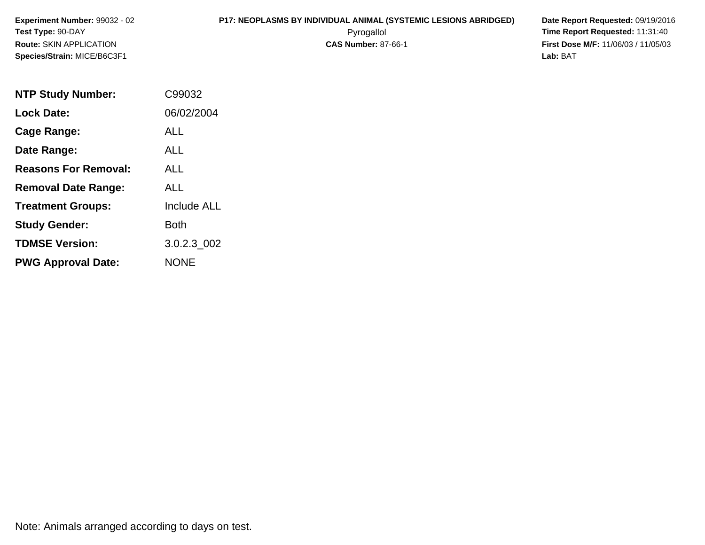## **P17: NEOPLASMS BY INDIVIDUAL ANIMAL (SYSTEMIC LESIONS ABRIDGED) Date Report Requested:** 09/19/2016

 Pyrogallol **Time Report Requested:** 11:31:40 **First Dose M/F:** 11/06/03 / 11/05/03<br>**Lab:** BAT **Lab:** BAT

| <b>NTP Study Number:</b>    | C99032             |
|-----------------------------|--------------------|
| <b>Lock Date:</b>           | 06/02/2004         |
| <b>Cage Range:</b>          | ALL                |
| Date Range:                 | ALL                |
| <b>Reasons For Removal:</b> | ALL.               |
| <b>Removal Date Range:</b>  | ALL                |
| <b>Treatment Groups:</b>    | <b>Include ALL</b> |
| <b>Study Gender:</b>        | Both               |
| <b>TDMSE Version:</b>       | 3.0.2.3 002        |
| <b>PWG Approval Date:</b>   | NONE               |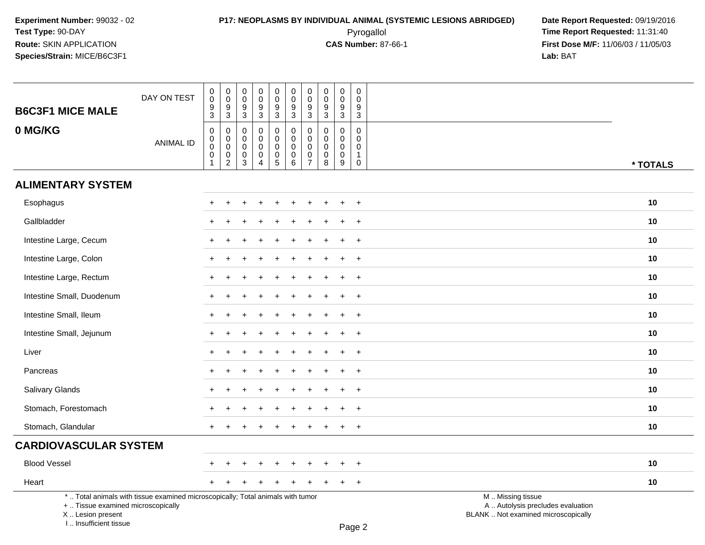I .. Insufficient tissue

### **P17: NEOPLASMS BY INDIVIDUAL ANIMAL (SYSTEMIC LESIONS ABRIDGED) Date Report Requested:** 09/19/2016 Pyrogallol **Time Report Requested:** 11:31:40

| <b>B6C3F1 MICE MALE</b>                                 | DAY ON TEST                                                                     | $_{\rm 0}^{\rm 0}$<br>$\frac{9}{3}$                           | $_{\rm 0}^{\rm 0}$<br>$\frac{9}{3}$                                     | $\pmb{0}$<br>0<br>$\boldsymbol{9}$<br>$\mathbf{3}$ | $\mathsf 0$<br>$\mathbf 0$<br>$9\,$<br>$\overline{3}$                      | $\pmb{0}$<br>$\ddot{\mathbf{0}}$<br>9<br>$\overline{3}$           | $\begin{smallmatrix}0\0\0\end{smallmatrix}$<br>$\boldsymbol{9}$<br>$\overline{3}$ | $\pmb{0}$<br>$\overline{0}$<br>$\frac{9}{3}$                       | $\mathbf 0$<br>$\mathbf 0$<br>9<br>$\overline{3}$             | $\mathbf 0$<br>$\ddot{\mathbf{0}}$<br>$9\,$<br>$\mathbf{3}$        | $\pmb{0}$<br>$\mathbf{0}$<br>9<br>$\mathbf{3}$       |                                                                                               |          |
|---------------------------------------------------------|---------------------------------------------------------------------------------|---------------------------------------------------------------|-------------------------------------------------------------------------|----------------------------------------------------|----------------------------------------------------------------------------|-------------------------------------------------------------------|-----------------------------------------------------------------------------------|--------------------------------------------------------------------|---------------------------------------------------------------|--------------------------------------------------------------------|------------------------------------------------------|-----------------------------------------------------------------------------------------------|----------|
| 0 MG/KG                                                 | <b>ANIMAL ID</b>                                                                | $\,0\,$<br>$\boldsymbol{0}$<br>$\pmb{0}$<br>$\mathbf 0$<br>-1 | $\pmb{0}$<br>$\overline{0}$ <sub>0</sub><br>$\pmb{0}$<br>$\overline{2}$ | 0<br>0<br>0<br>$\mathbf 0$<br>3                    | $\mathbf 0$<br>$\mathbf 0$<br>$\mathbf 0$<br>$\mathbf 0$<br>$\overline{4}$ | $\pmb{0}$<br>$\mathsf{O}\xspace$<br>$\mathbf 0$<br>$\pmb{0}$<br>5 | 0<br>$\mathbf 0$<br>$\mathsf{O}\xspace$<br>$\mathsf{O}\xspace$<br>6               | $\pmb{0}$<br>$\pmb{0}$<br>$\pmb{0}$<br>$\pmb{0}$<br>$\overline{7}$ | $\mathbf 0$<br>$\mathbf 0$<br>$\mathbf 0$<br>$\mathbf 0$<br>8 | $\boldsymbol{0}$<br>$\mathbf 0$<br>$\mathbf 0$<br>$\mathbf 0$<br>9 | 0<br>0<br>$\mathbf 0$<br>$\mathbf{1}$<br>$\mathbf 0$ |                                                                                               | * TOTALS |
| <b>ALIMENTARY SYSTEM</b>                                |                                                                                 |                                                               |                                                                         |                                                    |                                                                            |                                                                   |                                                                                   |                                                                    |                                                               |                                                                    |                                                      |                                                                                               |          |
| Esophagus                                               |                                                                                 |                                                               |                                                                         |                                                    |                                                                            |                                                                   |                                                                                   |                                                                    |                                                               |                                                                    | $\overline{+}$                                       |                                                                                               | 10       |
| Gallbladder                                             |                                                                                 |                                                               |                                                                         |                                                    |                                                                            |                                                                   |                                                                                   |                                                                    |                                                               |                                                                    | $^{+}$                                               |                                                                                               | 10       |
| Intestine Large, Cecum                                  |                                                                                 |                                                               |                                                                         |                                                    |                                                                            |                                                                   |                                                                                   |                                                                    |                                                               |                                                                    | $+$                                                  |                                                                                               | 10       |
| Intestine Large, Colon                                  |                                                                                 |                                                               |                                                                         |                                                    |                                                                            |                                                                   |                                                                                   |                                                                    |                                                               |                                                                    | $\ddot{}$                                            |                                                                                               | 10       |
| Intestine Large, Rectum                                 |                                                                                 |                                                               |                                                                         |                                                    |                                                                            |                                                                   |                                                                                   |                                                                    |                                                               |                                                                    | $\ddot{}$                                            |                                                                                               | 10       |
| Intestine Small, Duodenum                               |                                                                                 | $+$                                                           |                                                                         |                                                    |                                                                            |                                                                   |                                                                                   |                                                                    |                                                               |                                                                    | $+$                                                  |                                                                                               | 10       |
| Intestine Small, Ileum                                  |                                                                                 | $+$                                                           |                                                                         |                                                    |                                                                            |                                                                   |                                                                                   |                                                                    |                                                               |                                                                    | $^{+}$                                               |                                                                                               | 10       |
| Intestine Small, Jejunum                                |                                                                                 |                                                               |                                                                         |                                                    |                                                                            |                                                                   |                                                                                   |                                                                    |                                                               |                                                                    | $+$                                                  |                                                                                               | 10       |
| Liver                                                   |                                                                                 |                                                               |                                                                         |                                                    |                                                                            |                                                                   |                                                                                   |                                                                    |                                                               |                                                                    | $\ddot{}$                                            |                                                                                               | 10       |
| Pancreas                                                |                                                                                 |                                                               |                                                                         |                                                    |                                                                            |                                                                   |                                                                                   |                                                                    |                                                               |                                                                    | $\ddot{}$                                            |                                                                                               | 10       |
| Salivary Glands                                         |                                                                                 | $+$                                                           |                                                                         |                                                    |                                                                            |                                                                   |                                                                                   |                                                                    |                                                               |                                                                    | $+$                                                  |                                                                                               | 10       |
| Stomach, Forestomach                                    |                                                                                 |                                                               |                                                                         |                                                    |                                                                            |                                                                   |                                                                                   |                                                                    |                                                               |                                                                    | $+$                                                  |                                                                                               | 10       |
| Stomach, Glandular                                      |                                                                                 | $+$                                                           |                                                                         |                                                    |                                                                            |                                                                   |                                                                                   |                                                                    |                                                               |                                                                    | $+$                                                  |                                                                                               | 10       |
| <b>CARDIOVASCULAR SYSTEM</b>                            |                                                                                 |                                                               |                                                                         |                                                    |                                                                            |                                                                   |                                                                                   |                                                                    |                                                               |                                                                    |                                                      |                                                                                               |          |
| <b>Blood Vessel</b>                                     |                                                                                 |                                                               |                                                                         |                                                    |                                                                            |                                                                   |                                                                                   |                                                                    |                                                               |                                                                    | $\ddot{}$                                            |                                                                                               | 10       |
| Heart                                                   |                                                                                 |                                                               |                                                                         |                                                    |                                                                            |                                                                   |                                                                                   |                                                                    |                                                               |                                                                    | $+$                                                  |                                                                                               | 10       |
| +  Tissue examined microscopically<br>X  Lesion present | *  Total animals with tissue examined microscopically; Total animals with tumor |                                                               |                                                                         |                                                    |                                                                            |                                                                   |                                                                                   |                                                                    |                                                               |                                                                    |                                                      | M  Missing tissue<br>A  Autolysis precludes evaluation<br>BLANK  Not examined microscopically |          |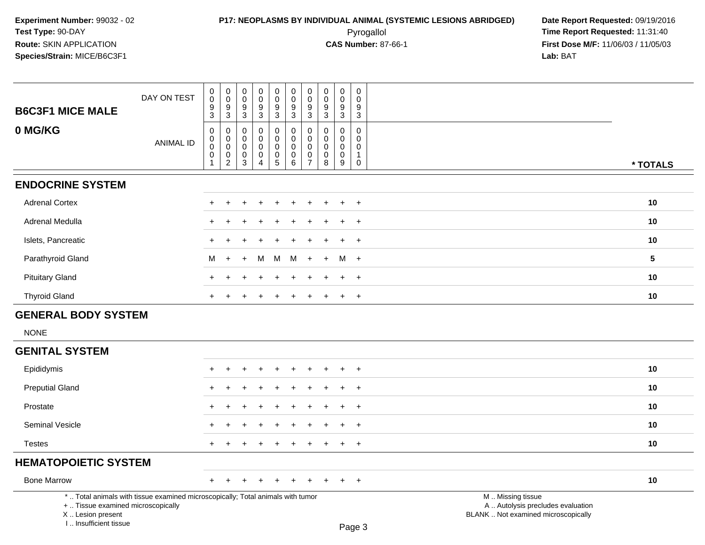### **P17: NEOPLASMS BY INDIVIDUAL ANIMAL (SYSTEMIC LESIONS ABRIDGED) Date Report Requested:** 09/19/2016 Pyrogallol **Time Report Requested:** 11:31:40

**First Dose M/F:** 11/06/03 / 11/05/03<br>Lab: BAT **Lab:** BAT

| <b>B6C3F1 MICE MALE</b>     | DAY ON TEST      | $\boldsymbol{0}$<br>$\mathbf 0$<br>$\frac{9}{3}$                     | $\pmb{0}$<br>$\,0\,$<br>$\frac{9}{3}$                                    | 0<br>$\pmb{0}$<br>$\frac{9}{3}$      | $\pmb{0}$<br>$\mathbf 0$<br>$\frac{9}{3}$                    | $\pmb{0}$<br>$\mathbf 0$<br>$\frac{9}{3}$                                      | $\pmb{0}$<br>$\mathsf{O}\xspace$<br>$\frac{9}{3}$ | $\pmb{0}$<br>$\pmb{0}$<br>$\frac{9}{3}$                        | $\pmb{0}$<br>0<br>9          | $\pmb{0}$<br>$\pmb{0}$<br>$\boldsymbol{9}$        | $\mathbf 0$<br>$\mathbf 0$<br>9  |           |
|-----------------------------|------------------|----------------------------------------------------------------------|--------------------------------------------------------------------------|--------------------------------------|--------------------------------------------------------------|--------------------------------------------------------------------------------|---------------------------------------------------|----------------------------------------------------------------|------------------------------|---------------------------------------------------|----------------------------------|-----------|
|                             |                  |                                                                      |                                                                          |                                      |                                                              |                                                                                |                                                   |                                                                | $\sqrt{3}$                   | $\mathbf{3}$                                      | 3                                |           |
| 0 MG/KG                     | <b>ANIMAL ID</b> | $\boldsymbol{0}$<br>$\mathbf 0$<br>$\overline{0}$<br>$\pmb{0}$<br>-1 | $\pmb{0}$<br>$\,0\,$<br>$\overline{0}$<br>$\boldsymbol{0}$<br>$\sqrt{2}$ | 0<br>0<br>0<br>$\boldsymbol{0}$<br>3 | 0<br>$\mathbf 0$<br>$\pmb{0}$<br>$\pmb{0}$<br>$\overline{4}$ | $\pmb{0}$<br>$\mathsf 0$<br>$\pmb{0}$<br>$\begin{array}{c} 0 \\ 5 \end{array}$ | 0<br>0<br>$\pmb{0}$<br>$_{6}^{\rm 0}$             | 0<br>$\mathbf 0$<br>$\mathbf 0$<br>$\pmb{0}$<br>$\overline{7}$ | 0<br>$\Omega$<br>0<br>0<br>8 | 0<br>$\mathbf 0$<br>$\mathbf 0$<br>$\pmb{0}$<br>9 | 0<br>$\mathbf{0}$<br>0<br>1<br>0 | * TOTALS  |
| <b>ENDOCRINE SYSTEM</b>     |                  |                                                                      |                                                                          |                                      |                                                              |                                                                                |                                                   |                                                                |                              |                                                   |                                  |           |
| <b>Adrenal Cortex</b>       |                  |                                                                      |                                                                          |                                      |                                                              |                                                                                |                                                   |                                                                |                              |                                                   | $\ddot{}$                        | 10        |
| Adrenal Medulla             |                  | $\pm$                                                                |                                                                          |                                      |                                                              | $\div$                                                                         | +                                                 |                                                                |                              | $\pm$                                             | $+$                              | 10        |
| Islets, Pancreatic          |                  | $\pm$                                                                |                                                                          |                                      |                                                              |                                                                                |                                                   |                                                                |                              |                                                   | $+$                              | 10        |
| Parathyroid Gland           |                  | м                                                                    | $+$                                                                      | $\ddot{}$                            | М                                                            | M                                                                              | M                                                 | $+$                                                            | $+$                          | $M +$                                             |                                  | ${\bf 5}$ |
| <b>Pituitary Gland</b>      |                  | $\pm$                                                                |                                                                          |                                      |                                                              |                                                                                |                                                   |                                                                |                              |                                                   | $+$                              | 10        |
| <b>Thyroid Gland</b>        |                  | $\pm$                                                                |                                                                          |                                      |                                                              |                                                                                | +                                                 |                                                                |                              | $\ddot{}$                                         | $+$                              | 10        |
| <b>GENERAL BODY SYSTEM</b>  |                  |                                                                      |                                                                          |                                      |                                                              |                                                                                |                                                   |                                                                |                              |                                                   |                                  |           |
| <b>NONE</b>                 |                  |                                                                      |                                                                          |                                      |                                                              |                                                                                |                                                   |                                                                |                              |                                                   |                                  |           |
| <b>GENITAL SYSTEM</b>       |                  |                                                                      |                                                                          |                                      |                                                              |                                                                                |                                                   |                                                                |                              |                                                   |                                  |           |
| Epididymis                  |                  |                                                                      |                                                                          |                                      |                                                              |                                                                                |                                                   |                                                                |                              |                                                   | $\div$                           | 10        |
| <b>Preputial Gland</b>      |                  | $\ddot{}$                                                            |                                                                          |                                      |                                                              | $\ddot{}$                                                                      | $\ddot{}$                                         |                                                                |                              | ÷                                                 | $+$                              | 10        |
| Prostate                    |                  | $+$                                                                  |                                                                          |                                      |                                                              | $\div$                                                                         | ٠                                                 |                                                                |                              | +                                                 | $+$                              | 10        |
| Seminal Vesicle             |                  | $+$                                                                  |                                                                          |                                      |                                                              |                                                                                |                                                   |                                                                |                              |                                                   | $+$                              | 10        |
| <b>Testes</b>               |                  | $+$                                                                  | $+$                                                                      | $\ddot{}$                            |                                                              | $\ddot{}$                                                                      | $+$                                               | $\ddot{}$                                                      | $\ddot{}$                    | $+$                                               | $+$                              | 10        |
| <b>HEMATOPOIETIC SYSTEM</b> |                  |                                                                      |                                                                          |                                      |                                                              |                                                                                |                                                   |                                                                |                              |                                                   |                                  |           |

Bone Marrow<sup>+</sup> <sup>+</sup> <sup>+</sup> <sup>+</sup> <sup>+</sup> <sup>+</sup> <sup>+</sup> <sup>+</sup> <sup>+</sup> <sup>+</sup> **<sup>10</sup>**

\* .. Total animals with tissue examined microscopically; Total animals with tumor

+ .. Tissue examined microscopically

 Lesion present BLANK .. Not examined microscopicallyX .. Lesion present

I .. Insufficient tissue

 M .. Missing tissuey the contract of the contract of the contract of the contract of the contract of  $\mathsf A$  . Autolysis precludes evaluation

Page 3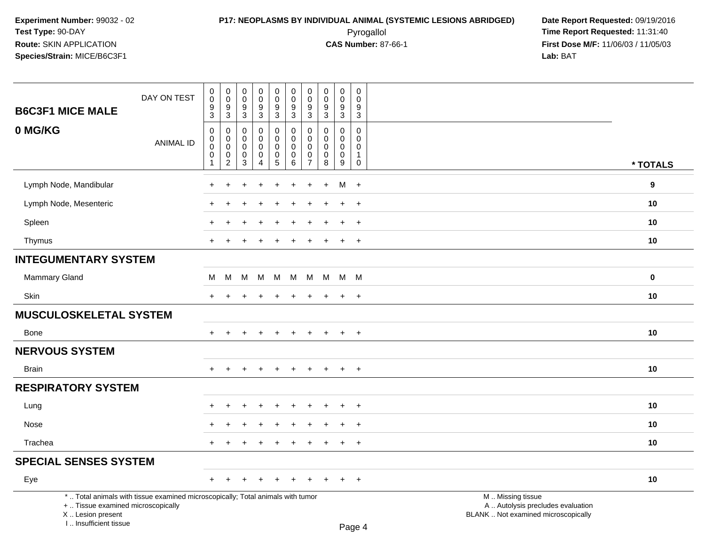### **P17: NEOPLASMS BY INDIVIDUAL ANIMAL (SYSTEMIC LESIONS ABRIDGED) Date Report Requested:** 09/19/2016 Pyrogallol **Time Report Requested:** 11:31:40

| <b>B6C3F1 MICE MALE</b>                                                                                                                                             | DAY ON TEST      | $\boldsymbol{0}$<br>$\pmb{0}$<br>$9\,$<br>3                                          | $\,0\,$<br>$\mathbf 0$<br>9<br>3                                         | 0<br>$\mathsf 0$<br>9<br>3                          | $\mathbf 0$<br>$\mathsf{O}\xspace$<br>$\overline{9}$<br>$\overline{3}$ | $\pmb{0}$<br>$\mathbf 0$<br>$\overline{9}$<br>3        | $\mathbf 0$<br>$\mathbf 0$<br>9<br>$\mathbf{3}$                   | 0<br>$\pmb{0}$<br>9<br>3                                      | $\pmb{0}$<br>$\pmb{0}$<br>9<br>3                        | $\pmb{0}$<br>$\mathsf{O}\xspace$<br>$\boldsymbol{9}$<br>3 | $\pmb{0}$<br>$\mathbf 0$<br>9<br>$\mathsf 3$                          |                                                                                               |                  |
|---------------------------------------------------------------------------------------------------------------------------------------------------------------------|------------------|--------------------------------------------------------------------------------------|--------------------------------------------------------------------------|-----------------------------------------------------|------------------------------------------------------------------------|--------------------------------------------------------|-------------------------------------------------------------------|---------------------------------------------------------------|---------------------------------------------------------|-----------------------------------------------------------|-----------------------------------------------------------------------|-----------------------------------------------------------------------------------------------|------------------|
| 0 MG/KG                                                                                                                                                             | <b>ANIMAL ID</b> | $\boldsymbol{0}$<br>$\mathbf 0$<br>$\boldsymbol{0}$<br>$\mathbf 0$<br>$\overline{1}$ | $\pmb{0}$<br>$\mathbf 0$<br>$\mathbf 0$<br>$\mathbf 0$<br>$\overline{c}$ | $\mathbf 0$<br>$\mathbf 0$<br>0<br>$\mathbf 0$<br>3 | $\mathsf{O}$<br>$\mathbf 0$<br>0<br>$\mathbf 0$<br>4                   | 0<br>$\pmb{0}$<br>$\pmb{0}$<br>$\pmb{0}$<br>$\sqrt{5}$ | $\mathbf 0$<br>$\mathbf 0$<br>$\mathsf 0$<br>$\mathbf 0$<br>$\,6$ | $\mathbf 0$<br>$\Omega$<br>$\mathbf 0$<br>0<br>$\overline{7}$ | $\Omega$<br>$\Omega$<br>$\mathbf 0$<br>$\mathbf 0$<br>8 | 0<br>$\Omega$<br>0<br>$\mathbf 0$<br>9                    | $\mathbf 0$<br>$\Omega$<br>$\mathbf 0$<br>$\mathbf{1}$<br>$\mathbf 0$ |                                                                                               | * TOTALS         |
| Lymph Node, Mandibular                                                                                                                                              |                  |                                                                                      |                                                                          |                                                     |                                                                        |                                                        |                                                                   |                                                               | $\ddot{}$                                               | M                                                         | $+$                                                                   |                                                                                               | $\boldsymbol{9}$ |
| Lymph Node, Mesenteric                                                                                                                                              |                  |                                                                                      |                                                                          |                                                     |                                                                        |                                                        |                                                                   |                                                               |                                                         |                                                           | $\ddot{}$                                                             |                                                                                               | 10               |
| Spleen                                                                                                                                                              |                  |                                                                                      |                                                                          |                                                     |                                                                        |                                                        |                                                                   |                                                               |                                                         | $\div$                                                    | $\ddot{}$                                                             |                                                                                               | 10               |
| Thymus                                                                                                                                                              |                  | $+$                                                                                  | $\ddot{}$                                                                | $\div$                                              | $\div$                                                                 | $\ddot{}$                                              | $\ddot{}$                                                         | $\ddot{}$                                                     | $\ddot{}$                                               | $+$                                                       | $+$                                                                   |                                                                                               | 10               |
| <b>INTEGUMENTARY SYSTEM</b>                                                                                                                                         |                  |                                                                                      |                                                                          |                                                     |                                                                        |                                                        |                                                                   |                                                               |                                                         |                                                           |                                                                       |                                                                                               |                  |
| Mammary Gland                                                                                                                                                       |                  | M                                                                                    | M                                                                        | M                                                   | M                                                                      | M                                                      | M                                                                 | M                                                             |                                                         | M M M                                                     |                                                                       |                                                                                               | $\mathbf 0$      |
| Skin                                                                                                                                                                |                  | $+$                                                                                  | $\ddot{}$                                                                |                                                     | $\div$                                                                 | ٠                                                      | $\pm$                                                             | $\ddot{}$                                                     | $\pm$                                                   | $\ddot{}$                                                 | $+$                                                                   |                                                                                               | 10               |
| <b>MUSCULOSKELETAL SYSTEM</b>                                                                                                                                       |                  |                                                                                      |                                                                          |                                                     |                                                                        |                                                        |                                                                   |                                                               |                                                         |                                                           |                                                                       |                                                                                               |                  |
| <b>Bone</b>                                                                                                                                                         |                  | $+$                                                                                  |                                                                          |                                                     |                                                                        | $\ddot{}$                                              | $\ddot{}$                                                         | $\ddot{}$                                                     | $\ddot{}$                                               | $\overline{+}$                                            | $+$                                                                   |                                                                                               | 10               |
| <b>NERVOUS SYSTEM</b>                                                                                                                                               |                  |                                                                                      |                                                                          |                                                     |                                                                        |                                                        |                                                                   |                                                               |                                                         |                                                           |                                                                       |                                                                                               |                  |
| <b>Brain</b>                                                                                                                                                        |                  | $\ddot{}$                                                                            |                                                                          |                                                     |                                                                        |                                                        |                                                                   |                                                               |                                                         | $\ddot{}$                                                 | $+$                                                                   |                                                                                               | 10               |
| <b>RESPIRATORY SYSTEM</b>                                                                                                                                           |                  |                                                                                      |                                                                          |                                                     |                                                                        |                                                        |                                                                   |                                                               |                                                         |                                                           |                                                                       |                                                                                               |                  |
| Lung                                                                                                                                                                |                  |                                                                                      |                                                                          |                                                     |                                                                        |                                                        |                                                                   |                                                               |                                                         | $\ddot{}$                                                 | $\ddot{}$                                                             |                                                                                               | 10               |
| Nose                                                                                                                                                                |                  |                                                                                      |                                                                          |                                                     |                                                                        |                                                        |                                                                   |                                                               |                                                         |                                                           | $\ddot{}$                                                             |                                                                                               | 10               |
| Trachea                                                                                                                                                             |                  | $+$                                                                                  |                                                                          |                                                     |                                                                        | $\div$                                                 |                                                                   |                                                               |                                                         | $\ddot{}$                                                 | $+$                                                                   |                                                                                               | 10               |
| <b>SPECIAL SENSES SYSTEM</b>                                                                                                                                        |                  |                                                                                      |                                                                          |                                                     |                                                                        |                                                        |                                                                   |                                                               |                                                         |                                                           |                                                                       |                                                                                               |                  |
| Eye                                                                                                                                                                 |                  | $+$                                                                                  | $+$                                                                      | $\ddot{}$                                           | $\ddot{}$                                                              | $+$                                                    | $+$                                                               | $\ddot{}$                                                     | $\ddot{}$                                               | $+$                                                       | $+$                                                                   |                                                                                               | 10               |
| *  Total animals with tissue examined microscopically; Total animals with tumor<br>+  Tissue examined microscopically<br>X  Lesion present<br>I Insufficient tissue |                  |                                                                                      |                                                                          |                                                     |                                                                        |                                                        |                                                                   |                                                               |                                                         |                                                           | $P$ ane $\Lambda$                                                     | M  Missing tissue<br>A  Autolysis precludes evaluation<br>BLANK  Not examined microscopically |                  |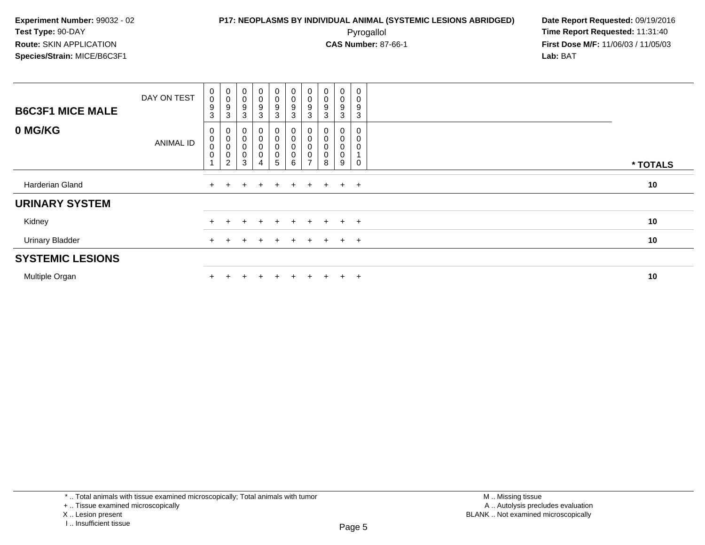### **P17: NEOPLASMS BY INDIVIDUAL ANIMAL (SYSTEMIC LESIONS ABRIDGED) Date Report Requested:** 09/19/2016 Pyrogallol **Time Report Requested:** 11:31:40

**First Dose M/F:** 11/06/03 / 11/05/03<br>Lab: BAT **Lab:** BAT

| <b>B6C3F1 MICE MALE</b> | DAY ON TEST      | $\mathbf 0$<br>$\pmb{0}$<br>9<br>3   | $\pmb{0}$<br>$\pmb{0}$<br>9<br>3 | $\pmb{0}$<br>$\boldsymbol{0}$<br>$\frac{9}{3}$                   | $\mathbf 0$<br>0<br>$\frac{9}{3}$                          | $\begin{smallmatrix} 0\\0 \end{smallmatrix}$<br>$\frac{9}{3}$            | $\begin{smallmatrix} 0\\0 \end{smallmatrix}$<br>$\frac{9}{3}$ | 0<br>$\mathbf 0$<br>9<br>3         | $\begin{smallmatrix}0\\0\end{smallmatrix}$<br>9<br>3 | $\begin{smallmatrix}0\0\0\end{smallmatrix}$<br>9<br>3 | 0<br>0<br>9<br>$\mathbf{3}$ |          |
|-------------------------|------------------|--------------------------------------|----------------------------------|------------------------------------------------------------------|------------------------------------------------------------|--------------------------------------------------------------------------|---------------------------------------------------------------|------------------------------------|------------------------------------------------------|-------------------------------------------------------|-----------------------------|----------|
| 0 MG/KG                 | <b>ANIMAL ID</b> | 0<br>$\mathbf 0$<br>$\mathbf 0$<br>0 | 0<br>0<br>$\pmb{0}$<br>0<br>2    | 0<br>$\mathbf 0$<br>$\mathbf 0$<br>$\mathbf 0$<br>$\overline{3}$ | 0<br>0<br>0<br>$\begin{smallmatrix}0\0\4\end{smallmatrix}$ | $_{\rm 0}^{\rm 0}$<br>$\pmb{0}$<br>$\begin{array}{c} 0 \\ 5 \end{array}$ | $\pmb{0}$<br>$\pmb{0}$<br>$\pmb{0}$<br>$_{6}^{\rm 0}$         | 0<br>0<br>0<br>0<br>$\overline{ }$ | 8                                                    | 0<br>0<br>0<br>0<br>9                                 | 0<br>0<br>0<br>0            | * TOTALS |
| Harderian Gland         |                  | $+$                                  | $\div$                           | $+$                                                              | $+$                                                        | $+$                                                                      | $+$                                                           |                                    | $+ + + +$                                            |                                                       |                             | 10       |
| <b>URINARY SYSTEM</b>   |                  |                                      |                                  |                                                                  |                                                            |                                                                          |                                                               |                                    |                                                      |                                                       |                             |          |
| Kidney                  |                  | $+$                                  |                                  |                                                                  | $\ddot{}$                                                  | $+$                                                                      | $+$                                                           | $+$                                | $+$                                                  | $+$ $+$                                               |                             | 10       |
| <b>Urinary Bladder</b>  |                  | $+$                                  |                                  |                                                                  | $\pm$                                                      | $+$                                                                      | $\pm$                                                         | $\pm$                              | $+$                                                  | $+$                                                   | $+$                         | 10       |
| <b>SYSTEMIC LESIONS</b> |                  |                                      |                                  |                                                                  |                                                            |                                                                          |                                                               |                                    |                                                      |                                                       |                             |          |
| Multiple Organ          |                  |                                      |                                  |                                                                  | $\pm$                                                      | $+$                                                                      | $\pm$                                                         | ÷                                  |                                                      | $+$                                                   | $+$                         | 10       |

\* .. Total animals with tissue examined microscopically; Total animals with tumor

+ .. Tissue examined microscopically

X .. Lesion present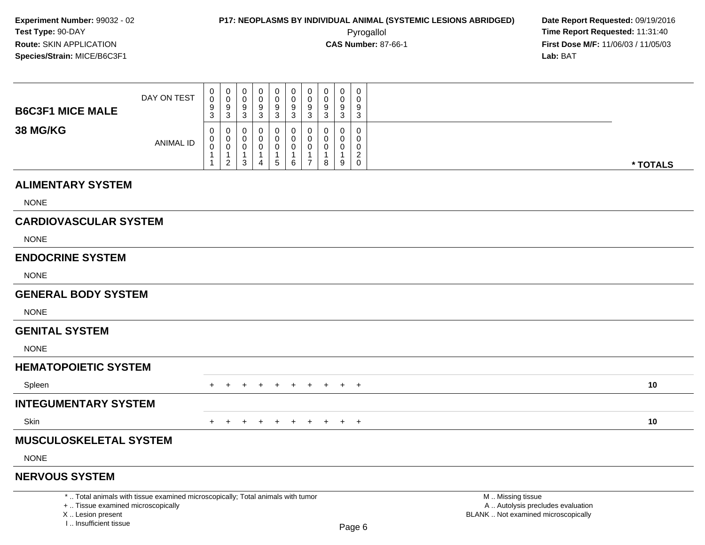000000000

| <b>B6C3F1 MICE MALE</b>                    | DAY ON TEST                                                                     | $\mathbf 0$<br>9    | 0<br>9                                       | 0<br>9                 | 0<br>9                 | $\mathbf 0$<br>9               | $\mathbf 0$<br>$\boldsymbol{9}$        | 0<br>9                              | 0<br>9          | 0<br>9                      | 0<br>9                        |                                                        |          |
|--------------------------------------------|---------------------------------------------------------------------------------|---------------------|----------------------------------------------|------------------------|------------------------|--------------------------------|----------------------------------------|-------------------------------------|-----------------|-----------------------------|-------------------------------|--------------------------------------------------------|----------|
|                                            |                                                                                 | $\overline{3}$      | 3                                            | 3                      | 3                      | 3                              | $\overline{3}$                         | $\mathbf{3}$                        | 3               | $\mathbf{3}$                | 3                             |                                                        |          |
| <b>38 MG/KG</b>                            | <b>ANIMAL ID</b>                                                                | 0<br>0<br>$\pmb{0}$ | 0<br>0                                       | $\Omega$<br>0          | 0<br>0                 | $\Omega$<br>$\mathbf 0$        | $\mathbf 0$<br>0                       | $\Omega$<br>$\Omega$<br>$\mathbf 0$ | 0<br>0          | $\mathbf 0$<br>$\mathbf{0}$ | $\Omega$<br>$\Omega$<br>0     |                                                        |          |
|                                            |                                                                                 | 1<br>$\mathbf{1}$   | $\mathbf 0$<br>$\mathbf 1$<br>$\overline{a}$ | 0<br>$\mathbf{1}$<br>3 | 0<br>$\mathbf{1}$<br>4 | $\mathbf 0$<br>1<br>$\sqrt{5}$ | $\mathbf 0$<br>$\mathbf{1}$<br>$\,6\,$ | $\mathbf{1}$<br>$\overline{7}$      | 0<br>1<br>8     | 0<br>$\mathbf{1}$<br>$9\,$  | $\overline{a}$<br>$\mathbf 0$ |                                                        |          |
|                                            |                                                                                 |                     |                                              |                        |                        |                                |                                        |                                     |                 |                             |                               |                                                        | * TOTALS |
| <b>ALIMENTARY SYSTEM</b>                   |                                                                                 |                     |                                              |                        |                        |                                |                                        |                                     |                 |                             |                               |                                                        |          |
| <b>NONE</b>                                |                                                                                 |                     |                                              |                        |                        |                                |                                        |                                     |                 |                             |                               |                                                        |          |
| <b>CARDIOVASCULAR SYSTEM</b>               |                                                                                 |                     |                                              |                        |                        |                                |                                        |                                     |                 |                             |                               |                                                        |          |
| <b>NONE</b>                                |                                                                                 |                     |                                              |                        |                        |                                |                                        |                                     |                 |                             |                               |                                                        |          |
| <b>ENDOCRINE SYSTEM</b>                    |                                                                                 |                     |                                              |                        |                        |                                |                                        |                                     |                 |                             |                               |                                                        |          |
| <b>NONE</b>                                |                                                                                 |                     |                                              |                        |                        |                                |                                        |                                     |                 |                             |                               |                                                        |          |
| <b>GENERAL BODY SYSTEM</b>                 |                                                                                 |                     |                                              |                        |                        |                                |                                        |                                     |                 |                             |                               |                                                        |          |
| <b>NONE</b>                                |                                                                                 |                     |                                              |                        |                        |                                |                                        |                                     |                 |                             |                               |                                                        |          |
| <b>GENITAL SYSTEM</b>                      |                                                                                 |                     |                                              |                        |                        |                                |                                        |                                     |                 |                             |                               |                                                        |          |
| <b>NONE</b>                                |                                                                                 |                     |                                              |                        |                        |                                |                                        |                                     |                 |                             |                               |                                                        |          |
| <b>HEMATOPOIETIC SYSTEM</b>                |                                                                                 |                     |                                              |                        |                        |                                |                                        |                                     |                 |                             |                               |                                                        |          |
| Spleen                                     |                                                                                 | $+$                 | $+$                                          | $+$                    | $+$                    | $+$                            | $+$                                    | $+$                                 | $+$             |                             | $+$ $+$                       |                                                        | 10       |
| <b>INTEGUMENTARY SYSTEM</b>                |                                                                                 |                     |                                              |                        |                        |                                |                                        |                                     |                 |                             |                               |                                                        |          |
| Skin                                       |                                                                                 | $+$                 | $+$                                          |                        |                        |                                |                                        |                                     | + + + + + + + + |                             |                               |                                                        | 10       |
| <b>MUSCULOSKELETAL SYSTEM</b>              |                                                                                 |                     |                                              |                        |                        |                                |                                        |                                     |                 |                             |                               |                                                        |          |
| <b>NONE</b>                                |                                                                                 |                     |                                              |                        |                        |                                |                                        |                                     |                 |                             |                               |                                                        |          |
| <b>NERVOUS SYSTEM</b>                      |                                                                                 |                     |                                              |                        |                        |                                |                                        |                                     |                 |                             |                               |                                                        |          |
| +  Tissue examined microscopically         | *  Total animals with tissue examined microscopically; Total animals with tumor |                     |                                              |                        |                        |                                |                                        |                                     |                 |                             |                               | M  Missing tissue<br>A  Autolysis precludes evaluation |          |
| X  Lesion present<br>I Insufficient tissue |                                                                                 |                     |                                              |                        |                        |                                |                                        |                                     |                 |                             |                               | BLANK  Not examined microscopically                    |          |
|                                            |                                                                                 |                     |                                              |                        |                        |                                |                                        |                                     |                 |                             | $D_{200}$ $R$                 |                                                        |          |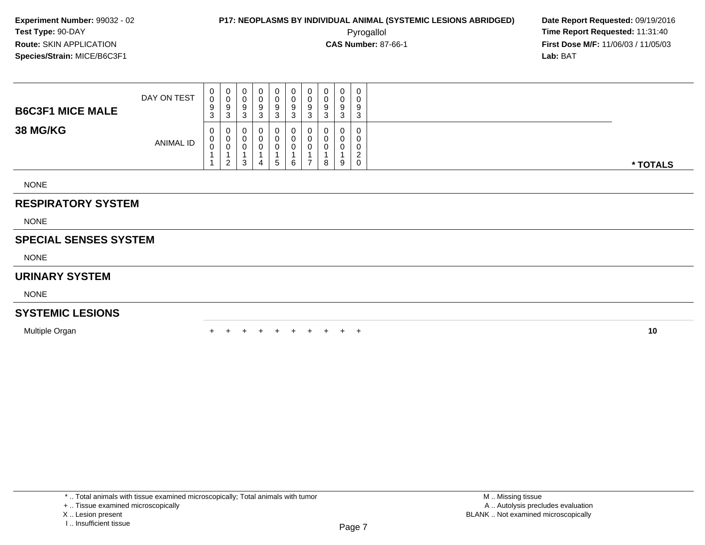**First Dose M/F:** 11/06/03 / 11/05/03<br>**Lab:** BAT **Lab:** BAT

| <b>B6C3F1 MICE MALE</b>   | DAY ON TEST | $\begin{matrix} 0 \\ 0 \end{matrix}$<br>$\frac{9}{3}$ | $\overline{0}$<br>0<br>9 | 0<br>$\pmb{0}$<br>9        | $\mathbf{0}$<br>$\sim$<br>9 | 0<br>$\pmb{0}$<br>9 | 0<br>0<br>$\boldsymbol{9}$ | 0<br>0<br>9 | 0<br>$\pmb{0}$<br>$\boldsymbol{9}$ | 0<br>$\sim$<br>v<br>9 | $\mathbf 0$<br>$\pmb{0}$<br>$\boldsymbol{9}$ |          |
|---------------------------|-------------|-------------------------------------------------------|--------------------------|----------------------------|-----------------------------|---------------------|----------------------------|-------------|------------------------------------|-----------------------|----------------------------------------------|----------|
| <b>38 MG/KG</b>           |             | 0                                                     | 3<br>0                   | 3<br>0                     | 3                           | 3<br>0              | 3<br>0                     | 3<br>0      | 3<br>0                             | 3<br>U                | 3<br>$\mathbf 0$                             |          |
|                           | ANIMAL ID   | $_{\rm 0}^{\rm 0}$                                    | U<br>U                   | $\mathbf 0$<br>$\mathbf 0$ |                             | 0<br>0              | 0<br>0                     | 0<br>0      | $\pmb{0}$<br>$\mathbf 0$           | U<br>U                | 0<br>$\mathbf 0$<br>$\overline{2}$           |          |
|                           |             |                                                       | $\overline{2}$           | 3                          | 4                           | 5                   | 6                          |             | 8                                  | 9                     | $\mathbf 0$                                  | * TOTALS |
| <b>NONE</b>               |             |                                                       |                          |                            |                             |                     |                            |             |                                    |                       |                                              |          |
| <b>RESPIRATORY SYSTEM</b> |             |                                                       |                          |                            |                             |                     |                            |             |                                    |                       |                                              |          |
| <b>NONE</b>               |             |                                                       |                          |                            |                             |                     |                            |             |                                    |                       |                                              |          |

### **SPECIAL SENSES SYSTEM**

NONE

### **URINARY SYSTEM**

NONE

### **SYSTEMIC LESIONS**

Multiple Organn  $+$ 

<sup>+</sup> <sup>+</sup> <sup>+</sup> <sup>+</sup> <sup>+</sup> <sup>+</sup> <sup>+</sup> <sup>+</sup> <sup>+</sup> **<sup>10</sup>**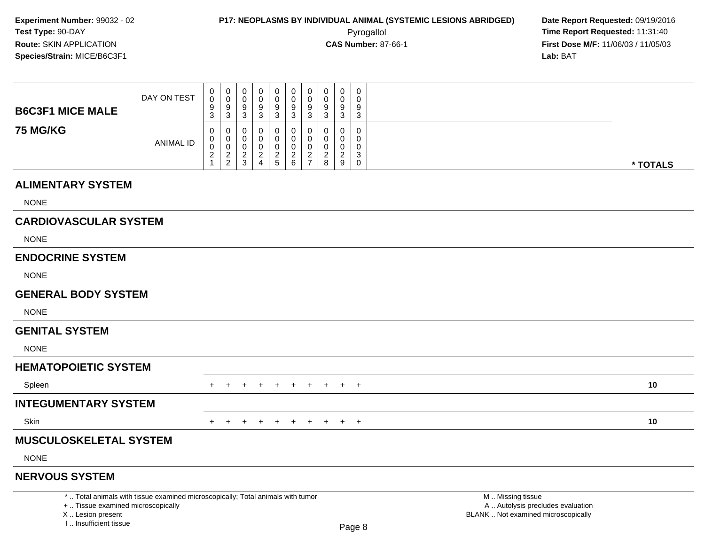I .. Insufficient tissue

000000000

|                                                         | DAY ON TEST                                                                     | 0<br>9           | 0<br>$\boldsymbol{9}$ | 0<br>9        | 0<br>9                        | $\pmb{0}$<br>$\boldsymbol{9}$ | $\mathbf 0$<br>9           | 0<br>$9\,$    | 0<br>9                        | 0<br>9                                 | 0<br>9                     |                                                                                               |
|---------------------------------------------------------|---------------------------------------------------------------------------------|------------------|-----------------------|---------------|-------------------------------|-------------------------------|----------------------------|---------------|-------------------------------|----------------------------------------|----------------------------|-----------------------------------------------------------------------------------------------|
| <b>B6C3F1 MICE MALE</b>                                 |                                                                                 | $\overline{3}$   | 3                     | 3             | 3                             | $\mathbf{3}$                  | $\mathbf{3}$               | 3             | 3                             | 3                                      | $\mathbf{3}$               |                                                                                               |
| <b>75 MG/KG</b>                                         |                                                                                 | $\mathbf 0$<br>0 | 0<br>0                | $\Omega$<br>0 | $\Omega$<br>0                 | $\mathbf 0$<br>0              | $\mathbf 0$<br>$\mathbf 0$ | $\Omega$<br>0 | 0<br>0                        | 0<br>0                                 | $\mathbf 0$<br>$\mathbf 0$ |                                                                                               |
|                                                         | <b>ANIMAL ID</b>                                                                | $\pmb{0}$        | $\mathbf 0$           | $\mathbf 0$   | $\mathbf 0$<br>$\overline{c}$ | $\pmb{0}$                     | $\mathbf 0$                | $\mathbf 0$   | $\mathbf 0$<br>$\overline{c}$ | $\mathbf 0$<br>$\overline{\mathbf{c}}$ | 0<br>$\sqrt{3}$            |                                                                                               |
|                                                         |                                                                                 | $\frac{2}{1}$    | $\frac{2}{2}$         | $\frac{2}{3}$ | $\overline{4}$                | $rac{2}{5}$                   | $\frac{2}{6}$              | $\frac{2}{7}$ | 8                             | 9                                      | 0                          | * TOTALS                                                                                      |
| <b>ALIMENTARY SYSTEM</b>                                |                                                                                 |                  |                       |               |                               |                               |                            |               |                               |                                        |                            |                                                                                               |
| <b>NONE</b>                                             |                                                                                 |                  |                       |               |                               |                               |                            |               |                               |                                        |                            |                                                                                               |
| <b>CARDIOVASCULAR SYSTEM</b>                            |                                                                                 |                  |                       |               |                               |                               |                            |               |                               |                                        |                            |                                                                                               |
| <b>NONE</b>                                             |                                                                                 |                  |                       |               |                               |                               |                            |               |                               |                                        |                            |                                                                                               |
| <b>ENDOCRINE SYSTEM</b>                                 |                                                                                 |                  |                       |               |                               |                               |                            |               |                               |                                        |                            |                                                                                               |
| <b>NONE</b>                                             |                                                                                 |                  |                       |               |                               |                               |                            |               |                               |                                        |                            |                                                                                               |
| <b>GENERAL BODY SYSTEM</b>                              |                                                                                 |                  |                       |               |                               |                               |                            |               |                               |                                        |                            |                                                                                               |
| <b>NONE</b>                                             |                                                                                 |                  |                       |               |                               |                               |                            |               |                               |                                        |                            |                                                                                               |
| <b>GENITAL SYSTEM</b>                                   |                                                                                 |                  |                       |               |                               |                               |                            |               |                               |                                        |                            |                                                                                               |
| <b>NONE</b>                                             |                                                                                 |                  |                       |               |                               |                               |                            |               |                               |                                        |                            |                                                                                               |
| <b>HEMATOPOIETIC SYSTEM</b>                             |                                                                                 |                  |                       |               |                               |                               |                            |               |                               |                                        |                            |                                                                                               |
| Spleen                                                  |                                                                                 | $^+$             |                       |               |                               | $\pm$                         | $\pm$                      |               |                               |                                        | $+$                        | 10                                                                                            |
| <b>INTEGUMENTARY SYSTEM</b>                             |                                                                                 |                  |                       |               |                               |                               |                            |               |                               |                                        |                            |                                                                                               |
| <b>Skin</b>                                             |                                                                                 | $+$              | $+$                   | $+$           | $+$                           | $+$                           | $+$                        | $+$           | $+$                           |                                        | $+$ $+$                    | 10                                                                                            |
| <b>MUSCULOSKELETAL SYSTEM</b>                           |                                                                                 |                  |                       |               |                               |                               |                            |               |                               |                                        |                            |                                                                                               |
| <b>NONE</b>                                             |                                                                                 |                  |                       |               |                               |                               |                            |               |                               |                                        |                            |                                                                                               |
| <b>NERVOUS SYSTEM</b>                                   |                                                                                 |                  |                       |               |                               |                               |                            |               |                               |                                        |                            |                                                                                               |
| +  Tissue examined microscopically<br>X  Lesion present | *  Total animals with tissue examined microscopically; Total animals with tumor |                  |                       |               |                               |                               |                            |               |                               |                                        |                            | M  Missing tissue<br>A  Autolysis precludes evaluation<br>BLANK  Not examined microscopically |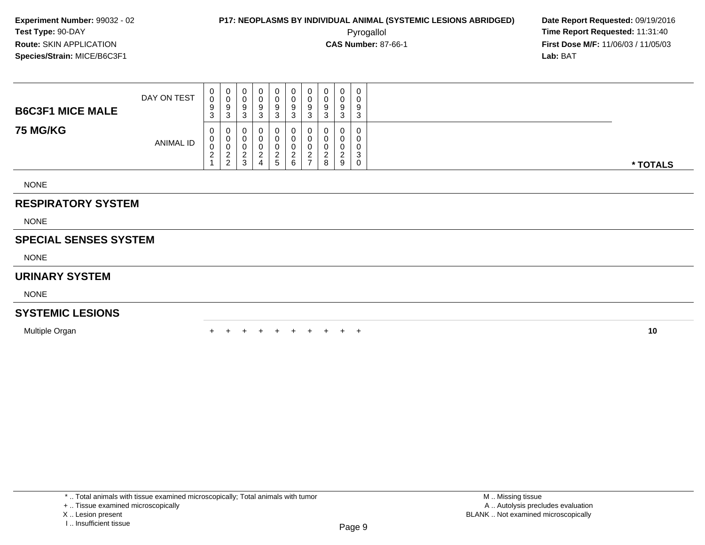### **P17: NEOPLASMS BY INDIVIDUAL ANIMAL (SYSTEMIC LESIONS ABRIDGED) Date Report Requested:** 09/19/2016 Pyrogallol **Time Report Requested:** 11:31:40

**First Dose M/F:** 11/06/03 / 11/05/03<br>**Lab:** BAT **Lab:** BAT

| <b>B6C3F1 MICE MALE</b>      | DAY ON TEST | 0<br>0<br>9<br>3 | 0<br>$\mathbf 0$<br>9<br>3                     | $\boldsymbol{0}$<br>0<br>9<br>3 | 0<br>0<br>9<br>3                 | 0<br>$\pmb{0}$<br>$\boldsymbol{9}$<br>3              | $\mathbf 0$<br>$_{9}^{\rm 0}$<br>3 | 0<br>$\pmb{0}$<br>9<br>3         | 0<br>0<br>9<br>3   | $\pmb{0}$<br>$\pmb{0}$<br>9<br>3 | 0<br>0<br>9<br>3                |          |
|------------------------------|-------------|------------------|------------------------------------------------|---------------------------------|----------------------------------|------------------------------------------------------|------------------------------------|----------------------------------|--------------------|----------------------------------|---------------------------------|----------|
| <b>75 MG/KG</b>              | ANIMAL ID   | 0<br>v<br>ົ<br>∠ | $\theta$<br>U<br>$\sim$<br>∠<br>$\overline{2}$ | υ<br>2<br>3                     | 0<br>$\Omega$<br>$\epsilon$<br>4 | 0<br>0<br>$\begin{array}{c} 0 \\ 2 \\ 5 \end{array}$ | 0<br>0<br>0<br>$\frac{2}{6}$       | $\overline{c}$<br>$\overline{ }$ | $\Omega$<br>∠<br>8 | 0<br>n<br>U<br>ົ<br>ے<br>9       | 0<br>0<br>0<br>3<br>$\mathbf 0$ | * TOTALS |
| <b>NONE</b>                  |             |                  |                                                |                                 |                                  |                                                      |                                    |                                  |                    |                                  |                                 |          |
| <b>RESPIRATORY SYSTEM</b>    |             |                  |                                                |                                 |                                  |                                                      |                                    |                                  |                    |                                  |                                 |          |
| <b>NONE</b>                  |             |                  |                                                |                                 |                                  |                                                      |                                    |                                  |                    |                                  |                                 |          |
| <b>SPECIAL SENSES SYSTEM</b> |             |                  |                                                |                                 |                                  |                                                      |                                    |                                  |                    |                                  |                                 |          |

NONE

#### **URINARY SYSTEM**

NONE

#### **SYSTEMIC LESIONS**

Multiple Organn  $+$ 

<sup>+</sup> <sup>+</sup> <sup>+</sup> <sup>+</sup> <sup>+</sup> <sup>+</sup> <sup>+</sup> <sup>+</sup> <sup>+</sup> **<sup>10</sup>**

<sup>+ ..</sup> Tissue examined microscopically

X .. Lesion present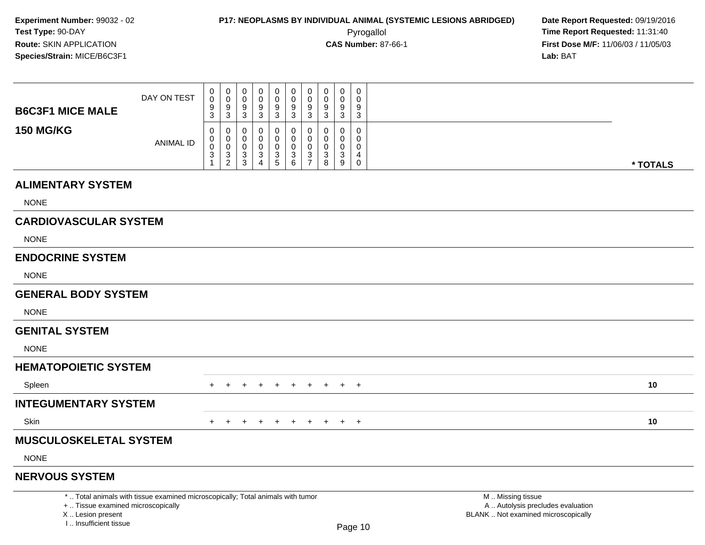000000000

**First Dose M/F:** 11/06/03 / 11/05/03<br>Lab: BAT **Lab:** BAT

| <b>B6C3F1 MICE MALE</b>            | DAY ON TEST                                                                     | U<br>0<br>9                     | U<br>$\mathbf 0$<br>9                                           | 0<br>$\mathbf 0$<br>9                   | U<br>$\mathbf 0$<br>9                               | U<br>U<br>0<br>0<br>9<br>9                                                                        | U<br>$\mathbf 0$<br>9                                                       | U<br>$\mathbf 0$<br>9                           | U<br>$\mathbf 0$<br>9                          | U<br>$\mathbf 0$<br>9                       |                                                        |          |
|------------------------------------|---------------------------------------------------------------------------------|---------------------------------|-----------------------------------------------------------------|-----------------------------------------|-----------------------------------------------------|---------------------------------------------------------------------------------------------------|-----------------------------------------------------------------------------|-------------------------------------------------|------------------------------------------------|---------------------------------------------|--------------------------------------------------------|----------|
| <b>150 MG/KG</b>                   | <b>ANIMAL ID</b>                                                                | 3<br>0<br>0<br>$\mathbf 0$<br>3 | 3<br>$\mathbf 0$<br>$\mathbf 0$<br>$\mathbf 0$<br>$\frac{3}{2}$ | 3<br>0<br>0<br>0<br>3<br>$\overline{3}$ | $\mathbf{3}$<br>0<br>$\Omega$<br>0<br>$\frac{3}{4}$ | 3<br>3<br>$\mathbf 0$<br>0<br>$\Omega$<br>0<br>$\mathbf 0$<br>0<br>$\frac{3}{6}$<br>$\frac{3}{5}$ | $\mathbf{3}$<br>$\mathbf 0$<br>$\mathbf{0}$<br>$\mathbf 0$<br>$\frac{3}{7}$ | 3<br>$\Omega$<br>$\Omega$<br>$\Omega$<br>3<br>8 | 3<br>$\mathbf 0$<br>0<br>$\mathbf 0$<br>3<br>9 | 3<br>0<br>$\Omega$<br>0<br>4<br>$\mathsf 0$ |                                                        | * TOTALS |
| <b>ALIMENTARY SYSTEM</b>           |                                                                                 |                                 |                                                                 |                                         |                                                     |                                                                                                   |                                                                             |                                                 |                                                |                                             |                                                        |          |
| <b>NONE</b>                        |                                                                                 |                                 |                                                                 |                                         |                                                     |                                                                                                   |                                                                             |                                                 |                                                |                                             |                                                        |          |
| <b>CARDIOVASCULAR SYSTEM</b>       |                                                                                 |                                 |                                                                 |                                         |                                                     |                                                                                                   |                                                                             |                                                 |                                                |                                             |                                                        |          |
| <b>NONE</b>                        |                                                                                 |                                 |                                                                 |                                         |                                                     |                                                                                                   |                                                                             |                                                 |                                                |                                             |                                                        |          |
| <b>ENDOCRINE SYSTEM</b>            |                                                                                 |                                 |                                                                 |                                         |                                                     |                                                                                                   |                                                                             |                                                 |                                                |                                             |                                                        |          |
| <b>NONE</b>                        |                                                                                 |                                 |                                                                 |                                         |                                                     |                                                                                                   |                                                                             |                                                 |                                                |                                             |                                                        |          |
| <b>GENERAL BODY SYSTEM</b>         |                                                                                 |                                 |                                                                 |                                         |                                                     |                                                                                                   |                                                                             |                                                 |                                                |                                             |                                                        |          |
| <b>NONE</b>                        |                                                                                 |                                 |                                                                 |                                         |                                                     |                                                                                                   |                                                                             |                                                 |                                                |                                             |                                                        |          |
| <b>GENITAL SYSTEM</b>              |                                                                                 |                                 |                                                                 |                                         |                                                     |                                                                                                   |                                                                             |                                                 |                                                |                                             |                                                        |          |
| <b>NONE</b>                        |                                                                                 |                                 |                                                                 |                                         |                                                     |                                                                                                   |                                                                             |                                                 |                                                |                                             |                                                        |          |
| <b>HEMATOPOIETIC SYSTEM</b>        |                                                                                 |                                 |                                                                 |                                         |                                                     |                                                                                                   |                                                                             |                                                 |                                                |                                             |                                                        |          |
| Spleen                             |                                                                                 | $+$                             | $+$                                                             | $+$                                     | $+$<br>$+$                                          | $+$                                                                                               | $+$                                                                         |                                                 | $+$ $+$ $+$                                    |                                             |                                                        | 10       |
| <b>INTEGUMENTARY SYSTEM</b>        |                                                                                 |                                 |                                                                 |                                         |                                                     |                                                                                                   |                                                                             |                                                 |                                                |                                             |                                                        |          |
| Skin                               |                                                                                 |                                 |                                                                 |                                         | $+$                                                 | $^{+}$                                                                                            | $+$                                                                         | $+$                                             |                                                | $+$ $+$                                     |                                                        | $10$     |
| <b>MUSCULOSKELETAL SYSTEM</b>      |                                                                                 |                                 |                                                                 |                                         |                                                     |                                                                                                   |                                                                             |                                                 |                                                |                                             |                                                        |          |
| <b>NONE</b>                        |                                                                                 |                                 |                                                                 |                                         |                                                     |                                                                                                   |                                                                             |                                                 |                                                |                                             |                                                        |          |
| <b>NERVOUS SYSTEM</b>              |                                                                                 |                                 |                                                                 |                                         |                                                     |                                                                                                   |                                                                             |                                                 |                                                |                                             |                                                        |          |
| +  Tissue examined microscopically | *  Total animals with tissue examined microscopically; Total animals with tumor |                                 |                                                                 |                                         |                                                     |                                                                                                   |                                                                             |                                                 |                                                |                                             | M  Missing tissue<br>A  Autolysis precludes evaluation |          |

 Lesion present BLANK .. Not examined microscopicallyX .. Lesion present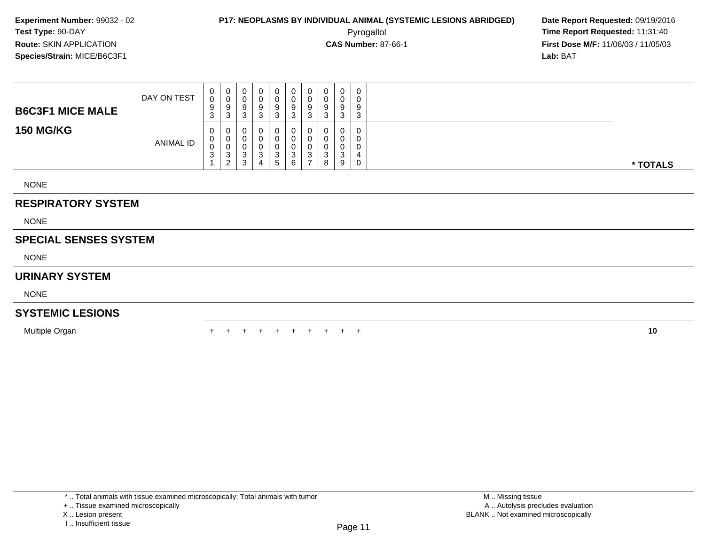### **P17: NEOPLASMS BY INDIVIDUAL ANIMAL (SYSTEMIC LESIONS ABRIDGED) Date Report Requested:** 09/19/2016 Pyrogallol **Time Report Requested:** 11:31:40

**First Dose M/F:** 11/06/03 / 11/05/03<br>**Lab:** BAT **Lab:** BAT

| <b>B6C3F1 MICE MALE</b>      | DAY ON TEST | 0<br>$\mathbf 0$<br>9<br>3 | $\overline{0}$<br>$_{9}^{\rm 0}$<br>3 | 0<br>0<br>9<br>3                 | 0<br>$\pmb{0}$<br>$\overline{9}$<br>3 | $\mathbf 0$<br>$\pmb{0}$<br>$\bar{9}$<br>3    | 0<br>0<br>9<br>3      | 0<br>0<br>9<br>3    | 0<br>0<br>9<br>3      | 0<br>0<br>9<br>3 | 0<br>0<br>9<br>3              |          |
|------------------------------|-------------|----------------------------|---------------------------------------|----------------------------------|---------------------------------------|-----------------------------------------------|-----------------------|---------------------|-----------------------|------------------|-------------------------------|----------|
| <b>150 MG/KG</b>             | ANIMAL ID   | 0<br>0<br>0<br>3           | 0<br>0<br>0<br>3<br>$\overline{2}$    | 0<br>0<br>U<br>$\mathbf{3}$<br>3 | 0<br>0<br>0<br>$\sqrt{3}$<br>4        | 0<br>0<br>0<br>$\ensuremath{\mathsf{3}}$<br>5 | 0<br>0<br>0<br>3<br>6 | 3<br>$\overline{ }$ | 0<br>0<br>0<br>3<br>8 | 0<br>0<br>3<br>9 | 0<br>0<br>0<br>4<br>$\pmb{0}$ | * TOTALS |
| <b>NONE</b>                  |             |                            |                                       |                                  |                                       |                                               |                       |                     |                       |                  |                               |          |
| <b>RESPIRATORY SYSTEM</b>    |             |                            |                                       |                                  |                                       |                                               |                       |                     |                       |                  |                               |          |
| <b>NONE</b>                  |             |                            |                                       |                                  |                                       |                                               |                       |                     |                       |                  |                               |          |
| <b>SPECIAL SENSES SYSTEM</b> |             |                            |                                       |                                  |                                       |                                               |                       |                     |                       |                  |                               |          |

NONE

#### **URINARY SYSTEM**

NONE

#### **SYSTEMIC LESIONS**

Multiple Organn  $+$ 

<sup>+</sup> <sup>+</sup> <sup>+</sup> <sup>+</sup> <sup>+</sup> <sup>+</sup> <sup>+</sup> <sup>+</sup> <sup>+</sup> **<sup>10</sup>**

I .. Insufficient tissue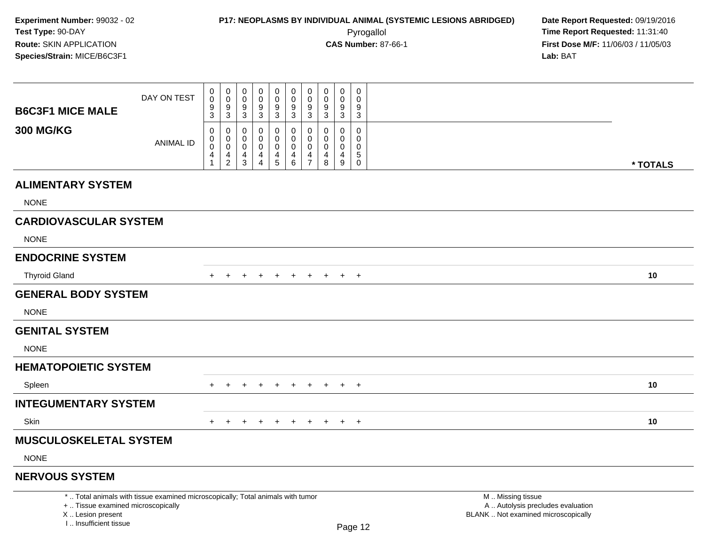| <b>B6C3F1 MICE MALE</b>                                                          | DAY ON TEST                                                                     | 0<br>$\pmb{0}$<br>$\boldsymbol{9}$                                  | $\mathbf 0$<br>$\mathbf 0$<br>$\boldsymbol{9}$                             | $\mathsf{O}\xspace$<br>$\mathsf{O}\xspace$<br>$\boldsymbol{9}$                        | $\mathbf 0$<br>0<br>9                                                            | $\pmb{0}$<br>$\mathbf 0$<br>9                                   | $\mathbf 0$<br>$\pmb{0}$<br>$\boldsymbol{9}$                                                 | $\pmb{0}$<br>$\mathbf 0$<br>9                                              | 0<br>$\mathbf 0$<br>9                                     | 0<br>$\mathbf 0$<br>9                                                                      | $\mathsf 0$<br>$\mathbf 0$<br>9                                                      |  |  |                                                                                               |  |          |
|----------------------------------------------------------------------------------|---------------------------------------------------------------------------------|---------------------------------------------------------------------|----------------------------------------------------------------------------|---------------------------------------------------------------------------------------|----------------------------------------------------------------------------------|-----------------------------------------------------------------|----------------------------------------------------------------------------------------------|----------------------------------------------------------------------------|-----------------------------------------------------------|--------------------------------------------------------------------------------------------|--------------------------------------------------------------------------------------|--|--|-----------------------------------------------------------------------------------------------|--|----------|
| <b>300 MG/KG</b>                                                                 | <b>ANIMAL ID</b>                                                                | 3<br>$\mathbf 0$<br>$\mathbf 0$<br>$\mathbf 0$<br>4<br>$\mathbf{1}$ | $\mathbf{3}$<br>$\mathbf 0$<br>$\mathbf 0$<br>$\mathbf 0$<br>$\frac{4}{2}$ | $\sqrt{3}$<br>$\pmb{0}$<br>$\mathbf 0$<br>$\mathbf 0$<br>$\overline{4}$<br>$\sqrt{3}$ | $\mathbf{3}$<br>$\mathbf 0$<br>$\mathbf 0$<br>$\mathbf 0$<br>4<br>$\overline{4}$ | $\mathbf 3$<br>$\pmb{0}$<br>$\mathbf 0$<br>0<br>4<br>$\sqrt{5}$ | $\sqrt{3}$<br>$\pmb{0}$<br>$\pmb{0}$<br>$\mathbf 0$<br>$\begin{array}{c} 4 \\ 6 \end{array}$ | $\mathbf{3}$<br>$\mathbf 0$<br>$\mathbf 0$<br>$\mathbf 0$<br>$\frac{4}{7}$ | $\mathbf{3}$<br>0<br>$\mathbf 0$<br>$\mathbf 0$<br>4<br>8 | $\mathbf{3}$<br>$\mathbf 0$<br>$\mathbf 0$<br>$\mathbf 0$<br>$\overline{4}$<br>$\mathsf g$ | $\sqrt{3}$<br>$\mathsf 0$<br>$\mathbf 0$<br>$\mathbf 0$<br>$\sqrt{5}$<br>$\mathbf 0$ |  |  |                                                                                               |  |          |
|                                                                                  |                                                                                 |                                                                     |                                                                            |                                                                                       |                                                                                  |                                                                 |                                                                                              |                                                                            |                                                           |                                                                                            |                                                                                      |  |  |                                                                                               |  | * TOTALS |
| <b>ALIMENTARY SYSTEM</b><br><b>NONE</b>                                          |                                                                                 |                                                                     |                                                                            |                                                                                       |                                                                                  |                                                                 |                                                                                              |                                                                            |                                                           |                                                                                            |                                                                                      |  |  |                                                                                               |  |          |
| <b>CARDIOVASCULAR SYSTEM</b>                                                     |                                                                                 |                                                                     |                                                                            |                                                                                       |                                                                                  |                                                                 |                                                                                              |                                                                            |                                                           |                                                                                            |                                                                                      |  |  |                                                                                               |  |          |
| <b>NONE</b>                                                                      |                                                                                 |                                                                     |                                                                            |                                                                                       |                                                                                  |                                                                 |                                                                                              |                                                                            |                                                           |                                                                                            |                                                                                      |  |  |                                                                                               |  |          |
| <b>ENDOCRINE SYSTEM</b>                                                          |                                                                                 |                                                                     |                                                                            |                                                                                       |                                                                                  |                                                                 |                                                                                              |                                                                            |                                                           |                                                                                            |                                                                                      |  |  |                                                                                               |  |          |
| <b>Thyroid Gland</b>                                                             |                                                                                 | $+$                                                                 | $+$                                                                        | $\pm$                                                                                 | $\pm$                                                                            | $+$                                                             | $+$                                                                                          | $+$                                                                        | $+$                                                       | $+$                                                                                        | $+$                                                                                  |  |  |                                                                                               |  | 10       |
| <b>GENERAL BODY SYSTEM</b>                                                       |                                                                                 |                                                                     |                                                                            |                                                                                       |                                                                                  |                                                                 |                                                                                              |                                                                            |                                                           |                                                                                            |                                                                                      |  |  |                                                                                               |  |          |
| <b>NONE</b>                                                                      |                                                                                 |                                                                     |                                                                            |                                                                                       |                                                                                  |                                                                 |                                                                                              |                                                                            |                                                           |                                                                                            |                                                                                      |  |  |                                                                                               |  |          |
| <b>GENITAL SYSTEM</b>                                                            |                                                                                 |                                                                     |                                                                            |                                                                                       |                                                                                  |                                                                 |                                                                                              |                                                                            |                                                           |                                                                                            |                                                                                      |  |  |                                                                                               |  |          |
| <b>NONE</b>                                                                      |                                                                                 |                                                                     |                                                                            |                                                                                       |                                                                                  |                                                                 |                                                                                              |                                                                            |                                                           |                                                                                            |                                                                                      |  |  |                                                                                               |  |          |
| <b>HEMATOPOIETIC SYSTEM</b>                                                      |                                                                                 |                                                                     |                                                                            |                                                                                       |                                                                                  |                                                                 |                                                                                              |                                                                            |                                                           |                                                                                            |                                                                                      |  |  |                                                                                               |  |          |
| Spleen                                                                           |                                                                                 |                                                                     |                                                                            |                                                                                       |                                                                                  |                                                                 | $\ddot{}$                                                                                    | $\ddot{}$                                                                  | $\pm$                                                     | $+$                                                                                        | $\overline{+}$                                                                       |  |  |                                                                                               |  | 10       |
| <b>INTEGUMENTARY SYSTEM</b>                                                      |                                                                                 |                                                                     |                                                                            |                                                                                       |                                                                                  |                                                                 |                                                                                              |                                                                            |                                                           |                                                                                            |                                                                                      |  |  |                                                                                               |  |          |
| Skin                                                                             |                                                                                 |                                                                     |                                                                            |                                                                                       |                                                                                  | $\div$                                                          | $+$                                                                                          | $\pm$                                                                      | $+$                                                       | $+$                                                                                        | $+$                                                                                  |  |  |                                                                                               |  | 10       |
| <b>MUSCULOSKELETAL SYSTEM</b>                                                    |                                                                                 |                                                                     |                                                                            |                                                                                       |                                                                                  |                                                                 |                                                                                              |                                                                            |                                                           |                                                                                            |                                                                                      |  |  |                                                                                               |  |          |
| <b>NONE</b>                                                                      |                                                                                 |                                                                     |                                                                            |                                                                                       |                                                                                  |                                                                 |                                                                                              |                                                                            |                                                           |                                                                                            |                                                                                      |  |  |                                                                                               |  |          |
| <b>NERVOUS SYSTEM</b>                                                            |                                                                                 |                                                                     |                                                                            |                                                                                       |                                                                                  |                                                                 |                                                                                              |                                                                            |                                                           |                                                                                            |                                                                                      |  |  |                                                                                               |  |          |
| +  Tissue examined microscopically<br>X  Lesion present<br>I Insufficient tissue | *  Total animals with tissue examined microscopically; Total animals with tumor |                                                                     |                                                                            |                                                                                       |                                                                                  |                                                                 |                                                                                              |                                                                            |                                                           |                                                                                            | Page 12                                                                              |  |  | M  Missing tissue<br>A  Autolysis precludes evaluation<br>BLANK  Not examined microscopically |  |          |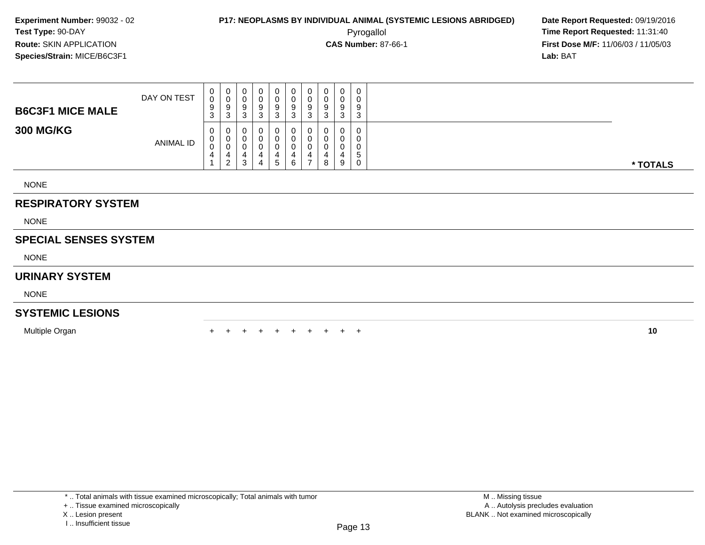**First Dose M/F:** 11/06/03 / 11/05/03<br>**Lab:** BAT **Lab:** BAT

| <b>B6C3F1 MICE MALE</b>   | DAY ON TEST | $_0^0$<br>9<br>3                | 0<br>$\pmb{0}$<br>9<br>3           | 0<br>0<br>9<br>3      | 0<br>0<br>9<br>⌒<br>ۍ | U<br>9<br>3         | 0<br>0<br>9<br>3      | 0<br>9<br>3 | 0<br>9<br>3           | 0<br>0<br>9<br>3 | $\overline{0}$<br>0<br>9<br>3    |          |
|---------------------------|-------------|---------------------------------|------------------------------------|-----------------------|-----------------------|---------------------|-----------------------|-------------|-----------------------|------------------|----------------------------------|----------|
| <b>300 MG/KG</b>          | ANIMAL ID   | 0<br>0<br>$\boldsymbol{0}$<br>4 | 0<br>0<br>0<br>4<br>$\overline{2}$ | 0<br>0<br>0<br>4<br>3 | 0<br>0<br>0<br>4<br>4 | - 0<br>0<br>4<br>-5 | 0<br>0<br>0<br>4<br>6 | 0<br>0      | 0<br>0<br>υ<br>4<br>8 | 0<br>0<br>4<br>9 | 0<br>0<br>0<br><sub>5</sub><br>0 | * TOTALS |
| <b>NONE</b>               |             |                                 |                                    |                       |                       |                     |                       |             |                       |                  |                                  |          |
| <b>RESPIRATORY SYSTEM</b> |             |                                 |                                    |                       |                       |                     |                       |             |                       |                  |                                  |          |
| <b>NONE</b>               |             |                                 |                                    |                       |                       |                     |                       |             |                       |                  |                                  |          |

NONE

### **SPECIAL SENSES SYSTEM**

NONE

#### **URINARY SYSTEM**

NONE

#### **SYSTEMIC LESIONS**

Multiple Organn  $+$ 

<sup>+</sup> <sup>+</sup> <sup>+</sup> <sup>+</sup> <sup>+</sup> <sup>+</sup> <sup>+</sup> <sup>+</sup> <sup>+</sup> **<sup>10</sup>**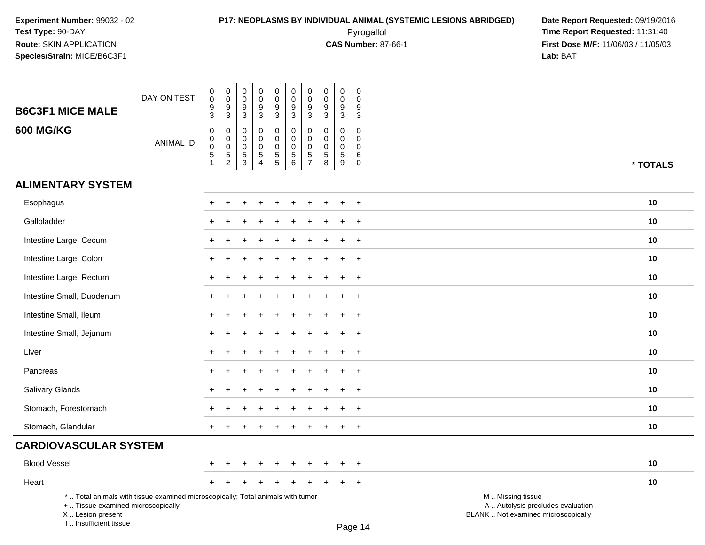I .. Insufficient tissue

### **P17: NEOPLASMS BY INDIVIDUAL ANIMAL (SYSTEMIC LESIONS ABRIDGED) Date Report Requested:** 09/19/2016 Pyrogallol **Time Report Requested:** 11:31:40

| <b>B6C3F1 MICE MALE</b>                                 | DAY ON TEST                                                                     | 0<br>0<br>$\boldsymbol{9}$<br>3             | $\pmb{0}$<br>$\pmb{0}$<br>$\frac{9}{3}$                        | $\mathbf 0$<br>$\mathbf 0$<br>$9\,$<br>3                     | $\mathbf 0$<br>$\mathbf 0$<br>9<br>$\mathbf{3}$                        | $\pmb{0}$<br>$\mathbf 0$<br>$\overline{9}$<br>3        | $\mathsf{O}\xspace$<br>$\mathbf 0$<br>$\boldsymbol{9}$<br>$\mathbf{3}$    | $\pmb{0}$<br>0<br>$\boldsymbol{9}$<br>3              | $\mathbf 0$<br>$\mathbf 0$<br>$\frac{9}{3}$                                        | $\pmb{0}$<br>$\mathbf 0$<br>$\boldsymbol{9}$<br>$\mathbf{3}$ | $\mathbf 0$<br>$\mathbf 0$<br>$9\,$<br>$\mathfrak{S}$                    |                                                                                               |          |
|---------------------------------------------------------|---------------------------------------------------------------------------------|---------------------------------------------|----------------------------------------------------------------|--------------------------------------------------------------|------------------------------------------------------------------------|--------------------------------------------------------|---------------------------------------------------------------------------|------------------------------------------------------|------------------------------------------------------------------------------------|--------------------------------------------------------------|--------------------------------------------------------------------------|-----------------------------------------------------------------------------------------------|----------|
| <b>600 MG/KG</b>                                        | <b>ANIMAL ID</b>                                                                | $\mathbf 0$<br>$\mathbf 0$<br>$\frac{0}{5}$ | $\begin{smallmatrix}0\\0\\0\end{smallmatrix}$<br>$\frac{5}{2}$ | $\mathbf 0$<br>$\mathbf 0$<br>$\mathbf 0$<br>$\sqrt{5}$<br>3 | 0<br>$\mathbf 0$<br>$\pmb{0}$<br>$\,$ 5 $\,$<br>$\boldsymbol{\Lambda}$ | $\mathbf 0$<br>$\pmb{0}$<br>$\pmb{0}$<br>$\frac{5}{5}$ | $\mathsf 0$<br>$\mathbf 0$<br>$\mathbf 0$<br>$\sqrt{5}$<br>$6\phantom{1}$ | $\pmb{0}$<br>$\pmb{0}$<br>$\pmb{0}$<br>$\frac{5}{7}$ | $\mathbf 0$<br>$\mathbf 0$<br>$\mathbf 0$<br>$\begin{array}{c} 5 \\ 8 \end{array}$ | $\pmb{0}$<br>$\mathbf 0$<br>$\mathbf 0$<br>$\sqrt{5}$<br>9   | $\mathsf{O}\xspace$<br>0<br>$\boldsymbol{0}$<br>6<br>$\mathsf{O}\xspace$ |                                                                                               | * TOTALS |
| <b>ALIMENTARY SYSTEM</b>                                |                                                                                 |                                             |                                                                |                                                              |                                                                        |                                                        |                                                                           |                                                      |                                                                                    |                                                              |                                                                          |                                                                                               |          |
| Esophagus                                               |                                                                                 | $\ddot{}$                                   | ÷                                                              |                                                              |                                                                        |                                                        | $\ddot{}$                                                                 | $\pm$                                                |                                                                                    | $\pm$                                                        | $^{+}$                                                                   |                                                                                               | 10       |
| Gallbladder                                             |                                                                                 |                                             |                                                                |                                                              |                                                                        |                                                        |                                                                           |                                                      |                                                                                    |                                                              | $+$                                                                      |                                                                                               | 10       |
| Intestine Large, Cecum                                  |                                                                                 |                                             |                                                                |                                                              |                                                                        |                                                        |                                                                           |                                                      |                                                                                    |                                                              | $+$                                                                      |                                                                                               | 10       |
| Intestine Large, Colon                                  |                                                                                 |                                             |                                                                |                                                              |                                                                        |                                                        |                                                                           |                                                      |                                                                                    |                                                              | $\ddot{}$                                                                |                                                                                               | 10       |
| Intestine Large, Rectum                                 |                                                                                 |                                             |                                                                |                                                              |                                                                        |                                                        |                                                                           |                                                      |                                                                                    |                                                              | $\overline{+}$                                                           |                                                                                               | 10       |
| Intestine Small, Duodenum                               |                                                                                 | $\div$                                      |                                                                |                                                              |                                                                        |                                                        |                                                                           |                                                      |                                                                                    | ÷                                                            | $+$                                                                      |                                                                                               | 10       |
| Intestine Small, Ileum                                  |                                                                                 |                                             |                                                                |                                                              |                                                                        |                                                        |                                                                           |                                                      |                                                                                    |                                                              | $+$                                                                      |                                                                                               | 10       |
| Intestine Small, Jejunum                                |                                                                                 |                                             |                                                                |                                                              |                                                                        |                                                        |                                                                           |                                                      |                                                                                    |                                                              | $\overline{+}$                                                           |                                                                                               | 10       |
| Liver                                                   |                                                                                 |                                             |                                                                |                                                              |                                                                        |                                                        |                                                                           |                                                      |                                                                                    |                                                              | $+$                                                                      |                                                                                               | 10       |
| Pancreas                                                |                                                                                 |                                             |                                                                |                                                              |                                                                        |                                                        |                                                                           |                                                      |                                                                                    |                                                              | $+$                                                                      |                                                                                               | 10       |
| Salivary Glands                                         |                                                                                 |                                             |                                                                |                                                              |                                                                        |                                                        |                                                                           |                                                      |                                                                                    | ÷                                                            | $+$                                                                      |                                                                                               | 10       |
| Stomach, Forestomach                                    |                                                                                 |                                             |                                                                |                                                              |                                                                        |                                                        |                                                                           |                                                      |                                                                                    |                                                              | $\ddot{}$                                                                |                                                                                               | 10       |
| Stomach, Glandular                                      |                                                                                 |                                             |                                                                |                                                              |                                                                        |                                                        |                                                                           |                                                      |                                                                                    | $\ddot{}$                                                    | $+$                                                                      |                                                                                               | 10       |
| <b>CARDIOVASCULAR SYSTEM</b>                            |                                                                                 |                                             |                                                                |                                                              |                                                                        |                                                        |                                                                           |                                                      |                                                                                    |                                                              |                                                                          |                                                                                               |          |
| <b>Blood Vessel</b>                                     |                                                                                 |                                             |                                                                |                                                              |                                                                        |                                                        |                                                                           |                                                      |                                                                                    |                                                              | $\ddot{}$                                                                |                                                                                               | 10       |
| Heart                                                   |                                                                                 |                                             |                                                                |                                                              |                                                                        |                                                        |                                                                           |                                                      |                                                                                    |                                                              | $+$                                                                      |                                                                                               | 10       |
| +  Tissue examined microscopically<br>X  Lesion present | *  Total animals with tissue examined microscopically; Total animals with tumor |                                             |                                                                |                                                              |                                                                        |                                                        |                                                                           |                                                      |                                                                                    |                                                              |                                                                          | M  Missing tissue<br>A  Autolysis precludes evaluation<br>BLANK  Not examined microscopically |          |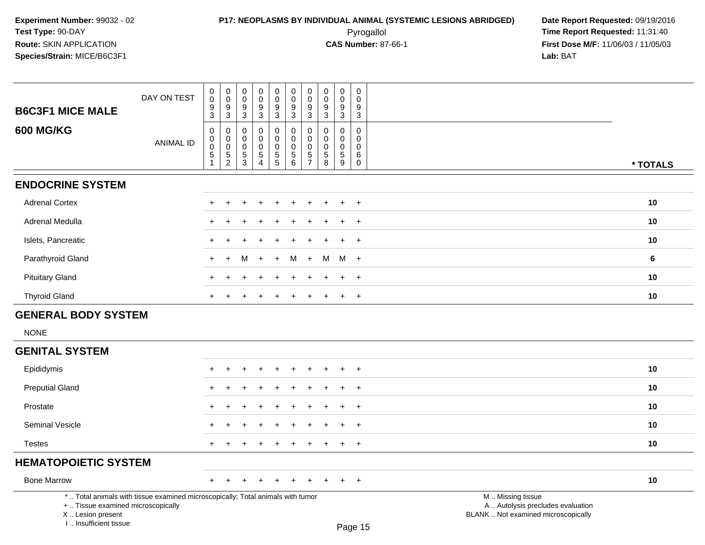### **P17: NEOPLASMS BY INDIVIDUAL ANIMAL (SYSTEMIC LESIONS ABRIDGED) Date Report Requested:** 09/19/2016 Pyrogallol **Time Report Requested:** 11:31:40

**First Dose M/F:** 11/06/03 / 11/05/03<br>**Lab:** BAT **Lab:** BAT

| <b>B6C3F1 MICE MALE</b>    | DAY ON TEST | $_{\rm 0}^{\rm 0}$<br>9<br>$\ensuremath{\mathsf{3}}$                | $_{\rm 0}^{\rm 0}$<br>$\boldsymbol{9}$<br>$\overline{3}$            | $_{\rm 0}^{\rm 0}$<br>9<br>$\sqrt{3}$ | $_{\rm 0}^{\rm 0}$<br>$\frac{9}{3}$                          | $_{\rm 0}^{\rm 0}$<br>$^9_3$                 | $_{\rm 0}^{\rm 0}$<br>$\frac{9}{3}$                      | $\pmb{0}$<br>$\ddot{\mathbf{0}}$<br>$\boldsymbol{9}$<br>$\sqrt{3}$ | $_{\rm 0}^{\rm 0}$<br>9<br>$\ensuremath{\mathsf{3}}$ | $\pmb{0}$<br>$\overline{0}$<br>9<br>3 | $\mathsf{O}$<br>0<br>9<br>$\sqrt{3}$ |          |
|----------------------------|-------------|---------------------------------------------------------------------|---------------------------------------------------------------------|---------------------------------------|--------------------------------------------------------------|----------------------------------------------|----------------------------------------------------------|--------------------------------------------------------------------|------------------------------------------------------|---------------------------------------|--------------------------------------|----------|
| <b>600 MG/KG</b>           | ANIMAL ID   | 0<br>$\pmb{0}$<br>$\ddot{\mathbf{0}}$<br>$\sqrt{5}$<br>$\mathbf{1}$ | 0<br>$\boldsymbol{0}$<br>$\pmb{0}$<br>$\mathbf 5$<br>$\overline{2}$ | 0<br>0<br>$\,0\,$<br>$\mathbf 5$<br>3 | 0<br>0<br>$\pmb{0}$<br>$\mathbf 5$<br>$\boldsymbol{\Lambda}$ | 0<br>$\pmb{0}$<br>$\pmb{0}$<br>$\frac{5}{5}$ | $\mathbf 0$<br>$\mathsf 0$<br>$\pmb{0}$<br>$\frac{5}{6}$ | 0<br>$\pmb{0}$<br>$\pmb{0}$<br>$\mathbf 5$<br>$\overline{7}$       | 0<br>$\pmb{0}$<br>0<br>5<br>8                        | 0<br>0<br>0<br>5<br>9                 | 0<br>0<br>0<br>6<br>$\mathbf 0$      | * TOTALS |
| <b>ENDOCRINE SYSTEM</b>    |             |                                                                     |                                                                     |                                       |                                                              |                                              |                                                          |                                                                    |                                                      |                                       |                                      |          |
| <b>Adrenal Cortex</b>      |             |                                                                     |                                                                     |                                       |                                                              | $\ddot{}$                                    | ÷                                                        | $\pm$                                                              |                                                      |                                       | $+$                                  | 10       |
| Adrenal Medulla            |             |                                                                     |                                                                     |                                       |                                                              |                                              |                                                          |                                                                    |                                                      |                                       | $\overline{+}$                       | 10       |
| Islets, Pancreatic         |             |                                                                     |                                                                     |                                       |                                                              |                                              |                                                          |                                                                    |                                                      |                                       | $^{+}$                               | 10       |
| Parathyroid Gland          |             | $+$                                                                 | $+$                                                                 | М                                     | $+$                                                          | $+$                                          | M                                                        | $+$                                                                | M                                                    | $M +$                                 |                                      | 6        |
| <b>Pituitary Gland</b>     |             | $\pm$                                                               |                                                                     |                                       |                                                              | $\div$                                       | ÷                                                        | $\pm$                                                              | $\div$                                               | ÷.                                    | $^{+}$                               | 10       |
| <b>Thyroid Gland</b>       |             |                                                                     |                                                                     |                                       |                                                              |                                              |                                                          |                                                                    |                                                      |                                       | $+$                                  | 10       |
| <b>GENERAL BODY SYSTEM</b> |             |                                                                     |                                                                     |                                       |                                                              |                                              |                                                          |                                                                    |                                                      |                                       |                                      |          |
| <b>NONE</b>                |             |                                                                     |                                                                     |                                       |                                                              |                                              |                                                          |                                                                    |                                                      |                                       |                                      |          |
| <b>GENITAL SYSTEM</b>      |             |                                                                     |                                                                     |                                       |                                                              |                                              |                                                          |                                                                    |                                                      |                                       |                                      |          |

#### Epididymis <sup>+</sup> <sup>+</sup> <sup>+</sup> <sup>+</sup> <sup>+</sup> <sup>+</sup> <sup>+</sup> <sup>+</sup> <sup>+</sup> <sup>+</sup> **<sup>10</sup>** Preputial Glandd  $+$  <sup>+</sup> <sup>+</sup> <sup>+</sup> <sup>+</sup> <sup>+</sup> <sup>+</sup> <sup>+</sup> <sup>+</sup> <sup>+</sup> **<sup>10</sup>** Prostate $e$  + <sup>+</sup> <sup>+</sup> <sup>+</sup> <sup>+</sup> <sup>+</sup> <sup>+</sup> <sup>+</sup> <sup>+</sup> <sup>+</sup> **<sup>10</sup>** Seminal Vesicle $e$  + <sup>+</sup> <sup>+</sup> <sup>+</sup> <sup>+</sup> <sup>+</sup> <sup>+</sup> <sup>+</sup> <sup>+</sup> <sup>+</sup> **<sup>10</sup>** Testes <sup>+</sup> <sup>+</sup> <sup>+</sup> <sup>+</sup> <sup>+</sup> <sup>+</sup> <sup>+</sup> <sup>+</sup> <sup>+</sup> <sup>+</sup> **<sup>10</sup> HEMATOPOIETIC SYSTEM**Bone Marrow <sup>+</sup> <sup>+</sup> <sup>+</sup> <sup>+</sup> <sup>+</sup> <sup>+</sup> <sup>+</sup> <sup>+</sup> <sup>+</sup> <sup>+</sup> **<sup>10</sup>** \* .. Total animals with tissue examined microscopically; Total animals with tumor

+ .. Tissue examined microscopically

X .. Lesion present

I .. Insufficient tissue

M .. Missing tissue

y the contract of the contract of the contract of the contract of the contract of  $\mathsf A$  . Autolysis precludes evaluation

Lesion present BLANK .. Not examined microscopically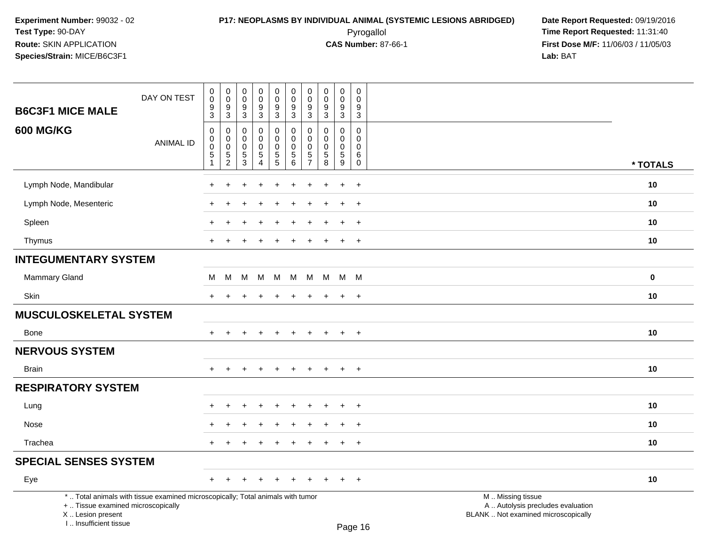### **P17: NEOPLASMS BY INDIVIDUAL ANIMAL (SYSTEMIC LESIONS ABRIDGED) Date Report Requested:** 09/19/2016 Pyrogallol **Time Report Requested:** 11:31:40

| <b>B6C3F1 MICE MALE</b>                                                                                                                                             | DAY ON TEST      | $\pmb{0}$<br>$\mathbf 0$<br>9                                            | 0<br>$\mathbf 0$<br>9                              | 0<br>$\mathsf 0$<br>9                     | $\pmb{0}$<br>$\pmb{0}$<br>9                                           | $\mathbf 0$<br>$\mathsf{O}\xspace$<br>$\boldsymbol{9}$                     | $\pmb{0}$<br>$\mathbf 0$<br>9                                   | $\pmb{0}$<br>$\boldsymbol{0}$<br>9      | $\pmb{0}$<br>$\mathsf 0$<br>$\boldsymbol{9}$                 | $\pmb{0}$<br>$\mathbf 0$<br>9                                            | $\pmb{0}$<br>$\mathbf 0$<br>9                     |                                                                                               |             |
|---------------------------------------------------------------------------------------------------------------------------------------------------------------------|------------------|--------------------------------------------------------------------------|----------------------------------------------------|-------------------------------------------|-----------------------------------------------------------------------|----------------------------------------------------------------------------|-----------------------------------------------------------------|-----------------------------------------|--------------------------------------------------------------|--------------------------------------------------------------------------|---------------------------------------------------|-----------------------------------------------------------------------------------------------|-------------|
| <b>600 MG/KG</b>                                                                                                                                                    | <b>ANIMAL ID</b> | $\mathbf{3}$<br>$\boldsymbol{0}$<br>$\,0\,$<br>$\mathbf 0$<br>$\sqrt{5}$ | $\mathfrak{S}$<br>0<br>$\mathbf 0$<br>$\,0\,$<br>5 | $\mathbf{3}$<br>0<br>0<br>0<br>$\sqrt{5}$ | $\sqrt{3}$<br>$\pmb{0}$<br>$\mathbf 0$<br>$\pmb{0}$<br>$\overline{5}$ | $\mathbf{3}$<br>$\mathbf 0$<br>$\mathbf 0$<br>$\mathbf 0$<br>$\frac{5}{5}$ | $\mathfrak{S}$<br>0<br>$\mathbf 0$<br>$\mathbf 0$<br>$\sqrt{5}$ | $\mathbf{3}$<br>0<br>$\Omega$<br>0<br>5 | $\mathbf{3}$<br>0<br>$\mathbf 0$<br>$\pmb{0}$<br>$\,$ 5 $\,$ | $\mathbf{3}$<br>$\mathbf 0$<br>$\Omega$<br>$\mathbf 0$<br>$\overline{5}$ | $\mathbf{3}$<br>$\mathbf 0$<br>$\Omega$<br>0<br>6 |                                                                                               |             |
|                                                                                                                                                                     |                  | $\mathbf{1}$                                                             | $\overline{2}$                                     | 3                                         | $\overline{4}$                                                        |                                                                            | 6                                                               | $\overline{7}$                          | 8                                                            | 9                                                                        | 0                                                 |                                                                                               | * TOTALS    |
| Lymph Node, Mandibular                                                                                                                                              |                  |                                                                          |                                                    |                                           |                                                                       |                                                                            |                                                                 |                                         |                                                              | $\ddot{}$                                                                | $\ddot{}$                                         |                                                                                               | 10          |
| Lymph Node, Mesenteric                                                                                                                                              |                  |                                                                          |                                                    |                                           |                                                                       |                                                                            |                                                                 |                                         |                                                              | $\div$                                                                   | $\ddot{}$                                         |                                                                                               | 10          |
| Spleen                                                                                                                                                              |                  |                                                                          |                                                    |                                           |                                                                       |                                                                            |                                                                 |                                         |                                                              |                                                                          | $+$                                               |                                                                                               | 10          |
| Thymus                                                                                                                                                              |                  | $+$                                                                      | $\ddot{}$                                          |                                           | $\div$                                                                | $\pm$                                                                      | ÷                                                               | $\div$                                  |                                                              | $+$                                                                      | $+$                                               |                                                                                               | 10          |
| <b>INTEGUMENTARY SYSTEM</b>                                                                                                                                         |                  |                                                                          |                                                    |                                           |                                                                       |                                                                            |                                                                 |                                         |                                                              |                                                                          |                                                   |                                                                                               |             |
| Mammary Gland                                                                                                                                                       |                  | M                                                                        | M                                                  | M                                         | M                                                                     | M                                                                          | М                                                               | M                                       | M                                                            | M M                                                                      |                                                   |                                                                                               | $\mathbf 0$ |
| Skin                                                                                                                                                                |                  | $+$                                                                      | $\ddot{}$                                          |                                           |                                                                       | ÷                                                                          | $\pm$                                                           | $\ddot{}$                               | $\pm$                                                        | $\ddot{}$                                                                | $+$                                               |                                                                                               | 10          |
| <b>MUSCULOSKELETAL SYSTEM</b>                                                                                                                                       |                  |                                                                          |                                                    |                                           |                                                                       |                                                                            |                                                                 |                                         |                                                              |                                                                          |                                                   |                                                                                               |             |
| <b>Bone</b>                                                                                                                                                         |                  | ÷.                                                                       |                                                    |                                           | $\div$                                                                | $\div$                                                                     | $\div$                                                          | $\div$                                  |                                                              | $+$                                                                      | $+$                                               |                                                                                               | 10          |
| <b>NERVOUS SYSTEM</b>                                                                                                                                               |                  |                                                                          |                                                    |                                           |                                                                       |                                                                            |                                                                 |                                         |                                                              |                                                                          |                                                   |                                                                                               |             |
| <b>Brain</b>                                                                                                                                                        |                  |                                                                          |                                                    |                                           |                                                                       |                                                                            |                                                                 |                                         |                                                              | $\ddot{}$                                                                | $\overline{+}$                                    |                                                                                               | 10          |
| <b>RESPIRATORY SYSTEM</b>                                                                                                                                           |                  |                                                                          |                                                    |                                           |                                                                       |                                                                            |                                                                 |                                         |                                                              |                                                                          |                                                   |                                                                                               |             |
| Lung                                                                                                                                                                |                  |                                                                          |                                                    |                                           |                                                                       |                                                                            |                                                                 |                                         |                                                              | $\div$                                                                   | $+$                                               |                                                                                               | 10          |
| Nose                                                                                                                                                                |                  |                                                                          |                                                    |                                           |                                                                       |                                                                            |                                                                 |                                         |                                                              | $\ddot{}$                                                                | $\overline{+}$                                    |                                                                                               | 10          |
| Trachea                                                                                                                                                             |                  | $\pm$                                                                    | $\ddot{}$                                          |                                           | $\ddot{}$                                                             | $\ddot{}$                                                                  | ÷                                                               | ÷                                       | $\div$                                                       | $\ddot{}$                                                                | $+$                                               |                                                                                               | 10          |
| <b>SPECIAL SENSES SYSTEM</b>                                                                                                                                        |                  |                                                                          |                                                    |                                           |                                                                       |                                                                            |                                                                 |                                         |                                                              |                                                                          |                                                   |                                                                                               |             |
| Eye                                                                                                                                                                 |                  | $+$                                                                      | $\pm$                                              |                                           | $\pm$                                                                 | $\pm$                                                                      | $\ddot{}$                                                       | $\pm$                                   |                                                              | $\ddot{}$                                                                | $+$                                               |                                                                                               | 10          |
| *  Total animals with tissue examined microscopically; Total animals with tumor<br>+  Tissue examined microscopically<br>X  Lesion present<br>I Insufficient tissue |                  |                                                                          |                                                    |                                           |                                                                       |                                                                            |                                                                 |                                         |                                                              |                                                                          | D <sub>2</sub> 200                                | M  Missing tissue<br>A  Autolysis precludes evaluation<br>BLANK  Not examined microscopically |             |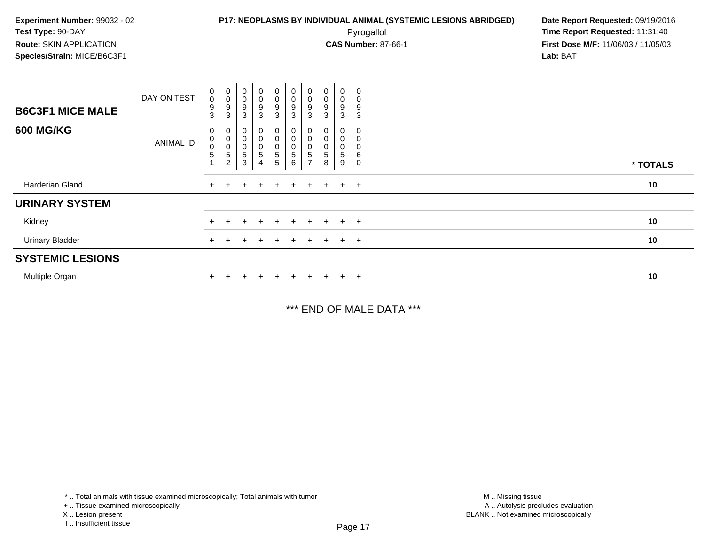# **P17: NEOPLASMS BY INDIVIDUAL ANIMAL (SYSTEMIC LESIONS ABRIDGED) Date Report Requested:** 09/19/2016

 Pyrogallol **Time Report Requested:** 11:31:40 **First Dose M/F:** 11/06/03 / 11/05/03<br>Lab: BAT **Lab:** BAT

|                         | DAY ON TEST | $\mathbf 0$<br>$\mathbf 0$<br>$\boldsymbol{9}$ | $\mathbf 0$<br>$\pmb{0}$<br>9 | $_{\rm 0}^{\rm 0}$<br>9                 | $\begin{smallmatrix}0\0\end{smallmatrix}$<br>9 | $_{\rm 0}^{\rm 0}$<br>$\boldsymbol{9}$                  | $\begin{smallmatrix} 0\\0 \end{smallmatrix}$<br>$\boldsymbol{9}$       | $\mathbf 0$<br>$\pmb{0}$<br>9 | $\pmb{0}$<br>0<br>9 | $\mathbf 0$<br>0<br>9 | $\mathbf 0$<br>$\,0\,$<br>9 |          |
|-------------------------|-------------|------------------------------------------------|-------------------------------|-----------------------------------------|------------------------------------------------|---------------------------------------------------------|------------------------------------------------------------------------|-------------------------------|---------------------|-----------------------|-----------------------------|----------|
| <b>B6C3F1 MICE MALE</b> |             | $\mathbf{3}$                                   | 3                             | $\mathbf{3}$                            | $\mathbf{3}$                                   | 3                                                       | $\mathbf{3}$                                                           | 3                             | 3                   | 3                     | 3                           |          |
| <b>600 MG/KG</b>        | ANIMAL ID   | $\mathbf 0$<br>$\pmb{0}$<br>$\pmb{0}$<br>5     | $\pmb{0}$<br>$\pmb{0}$<br>5   | $\mathbf 0$<br>$\pmb{0}$<br>$\mathbf 5$ | 0<br>0<br>$\mathbf{0}$<br>$\mathbf 5$          | 0<br>$\pmb{0}$<br>$\begin{array}{c} 0 \\ 5 \end{array}$ | $\boldsymbol{0}$<br>$\pmb{0}$<br>$\begin{array}{c} 0 \\ 5 \end{array}$ | 0<br>0<br>5                   |                     | 0<br>0<br>5           | 0<br>0<br>0<br>6            |          |
|                         |             |                                                | $\overline{2}$                | 3                                       | 4                                              | $\sqrt{5}$                                              | 6                                                                      |                               | 8                   | 9                     | $\mathbf 0$                 | * TOTALS |
| Harderian Gland         |             | $+$                                            |                               | $+$                                     | $\pm$                                          | $\pm$                                                   | $+$                                                                    | $\pm$                         | $+$                 | $+$ $+$               |                             | 10       |
| <b>URINARY SYSTEM</b>   |             |                                                |                               |                                         |                                                |                                                         |                                                                        |                               |                     |                       |                             |          |
| Kidney                  |             | $+$                                            |                               |                                         | $\ddot{}$                                      | $\ddot{}$                                               | $+$                                                                    | $\pm$                         | $+$                 | $+$                   | $+$                         | 10       |
| <b>Urinary Bladder</b>  |             | $+$                                            |                               | ÷                                       | $\pm$                                          | $\pm$                                                   | $\pm$                                                                  | $\pm$                         | $+$                 | $+$ $+$               |                             | 10       |
| <b>SYSTEMIC LESIONS</b> |             |                                                |                               |                                         |                                                |                                                         |                                                                        |                               |                     |                       |                             |          |
| Multiple Organ          |             |                                                |                               |                                         |                                                |                                                         | $+$                                                                    |                               |                     | $+$                   | $+$                         | 10       |

\*\*\* END OF MALE DATA \*\*\*

\* .. Total animals with tissue examined microscopically; Total animals with tumor

X .. Lesion present

<sup>+ ..</sup> Tissue examined microscopically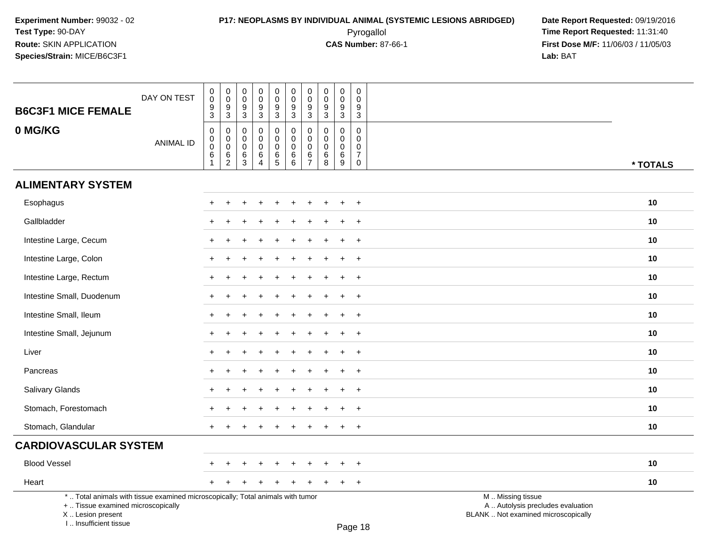I .. Insufficient tissue

### **P17: NEOPLASMS BY INDIVIDUAL ANIMAL (SYSTEMIC LESIONS ABRIDGED) Date Report Requested:** 09/19/2016 Pyrogallol **Time Report Requested:** 11:31:40

| <b>B6C3F1 MICE FEMALE</b>                                                                                                                  | DAY ON TEST      | $\pmb{0}$<br>$\overline{0}$<br>$\frac{9}{3}$           | $_{\rm 0}^{\rm 0}$<br>$\frac{9}{3}$                                      | $\mathbf 0$<br>$\mathbf 0$<br>$^9_3$    | $\pmb{0}$<br>$\pmb{0}$<br>$9\,$<br>$\sqrt{3}$                          | $\pmb{0}$<br>$\ddot{\mathbf{0}}$<br>$\frac{9}{3}$ | $\begin{smallmatrix} 0\\0 \end{smallmatrix}$<br>$\frac{9}{3}$ | $\mathbf 0$<br>$\ddot{\mathbf{0}}$<br>$\boldsymbol{9}$<br>3      | $\pmb{0}$<br>$\pmb{0}$<br>$\frac{9}{3}$   | $_{\rm 0}^{\rm 0}$<br>$\boldsymbol{9}$<br>$\overline{3}$ | $\mathsf 0$<br>$\mathbf 0$<br>$\boldsymbol{9}$<br>$\mathbf{3}$ |                                                                                               |          |
|--------------------------------------------------------------------------------------------------------------------------------------------|------------------|--------------------------------------------------------|--------------------------------------------------------------------------|-----------------------------------------|------------------------------------------------------------------------|---------------------------------------------------|---------------------------------------------------------------|------------------------------------------------------------------|-------------------------------------------|----------------------------------------------------------|----------------------------------------------------------------|-----------------------------------------------------------------------------------------------|----------|
| 0 MG/KG                                                                                                                                    | <b>ANIMAL ID</b> | 0<br>$\mathbf 0$<br>$\pmb{0}$<br>$\,6$<br>$\mathbf{1}$ | $\pmb{0}$<br>$\pmb{0}$<br>$\mathsf{O}\xspace$<br>$\,6$<br>$\overline{c}$ | $\pmb{0}$<br>0<br>$\mathbf 0$<br>6<br>3 | $\mathbf 0$<br>$\mathbf 0$<br>$\mathbf 0$<br>$\,6\,$<br>$\overline{A}$ | 0<br>$\pmb{0}$<br>$\pmb{0}$<br>$\frac{6}{5}$      | $\pmb{0}$<br>$\pmb{0}$<br>$\mathbf 0$<br>$\,6$<br>6           | $\mathbf 0$<br>$\mathbf 0$<br>$\mathbf 0$<br>6<br>$\overline{7}$ | $\mathbf 0$<br>$\mathbf 0$<br>0<br>6<br>8 | $\pmb{0}$<br>$\mathbf 0$<br>$\mathbf 0$<br>$\,6\,$<br>9  | 0<br>$\Omega$<br>$\mathbf 0$<br>$\overline{7}$<br>$\mathbf 0$  |                                                                                               | * TOTALS |
| <b>ALIMENTARY SYSTEM</b>                                                                                                                   |                  |                                                        |                                                                          |                                         |                                                                        |                                                   |                                                               |                                                                  |                                           |                                                          |                                                                |                                                                                               |          |
| Esophagus                                                                                                                                  |                  | $\pm$                                                  | $\div$                                                                   |                                         | ÷                                                                      | $\ddot{}$                                         |                                                               | $\div$                                                           |                                           | $\div$                                                   | $+$                                                            |                                                                                               | 10       |
| Gallbladder                                                                                                                                |                  |                                                        |                                                                          |                                         |                                                                        |                                                   |                                                               |                                                                  |                                           |                                                          | $+$                                                            |                                                                                               | 10       |
| Intestine Large, Cecum                                                                                                                     |                  |                                                        |                                                                          |                                         |                                                                        |                                                   |                                                               |                                                                  |                                           |                                                          | $+$                                                            |                                                                                               | 10       |
| Intestine Large, Colon                                                                                                                     |                  |                                                        |                                                                          |                                         |                                                                        |                                                   |                                                               |                                                                  |                                           |                                                          | $\ddot{}$                                                      |                                                                                               | 10       |
| Intestine Large, Rectum                                                                                                                    |                  |                                                        |                                                                          |                                         |                                                                        |                                                   |                                                               |                                                                  |                                           |                                                          | $\overline{+}$                                                 |                                                                                               | 10       |
| Intestine Small, Duodenum                                                                                                                  |                  | $+$                                                    |                                                                          |                                         |                                                                        |                                                   |                                                               |                                                                  |                                           |                                                          | $+$                                                            |                                                                                               | 10       |
| Intestine Small, Ileum                                                                                                                     |                  | $+$                                                    |                                                                          |                                         |                                                                        |                                                   |                                                               |                                                                  |                                           |                                                          | $\overline{+}$                                                 |                                                                                               | 10       |
| Intestine Small, Jejunum                                                                                                                   |                  | $\div$                                                 |                                                                          |                                         |                                                                        |                                                   |                                                               |                                                                  |                                           |                                                          | $\ddot{}$                                                      |                                                                                               | 10       |
| Liver                                                                                                                                      |                  |                                                        |                                                                          |                                         |                                                                        |                                                   |                                                               |                                                                  |                                           |                                                          | $\div$                                                         |                                                                                               | 10       |
| Pancreas                                                                                                                                   |                  |                                                        |                                                                          |                                         |                                                                        |                                                   |                                                               |                                                                  |                                           |                                                          | $\overline{ }$                                                 |                                                                                               | 10       |
| <b>Salivary Glands</b>                                                                                                                     |                  |                                                        |                                                                          |                                         |                                                                        |                                                   |                                                               |                                                                  |                                           |                                                          | $+$                                                            |                                                                                               | 10       |
| Stomach, Forestomach                                                                                                                       |                  |                                                        |                                                                          |                                         |                                                                        |                                                   |                                                               |                                                                  |                                           |                                                          | $\ddot{}$                                                      |                                                                                               | 10       |
| Stomach, Glandular                                                                                                                         |                  |                                                        |                                                                          |                                         |                                                                        |                                                   |                                                               |                                                                  |                                           |                                                          | $+$                                                            |                                                                                               | 10       |
| <b>CARDIOVASCULAR SYSTEM</b>                                                                                                               |                  |                                                        |                                                                          |                                         |                                                                        |                                                   |                                                               |                                                                  |                                           |                                                          |                                                                |                                                                                               |          |
| <b>Blood Vessel</b>                                                                                                                        |                  |                                                        |                                                                          |                                         |                                                                        |                                                   |                                                               |                                                                  |                                           |                                                          | $\ddot{}$                                                      |                                                                                               | 10       |
| Heart                                                                                                                                      |                  | $+$                                                    |                                                                          |                                         |                                                                        |                                                   |                                                               |                                                                  |                                           |                                                          | $+$                                                            |                                                                                               | 10       |
| *  Total animals with tissue examined microscopically; Total animals with tumor<br>+  Tissue examined microscopically<br>X  Lesion present |                  |                                                        |                                                                          |                                         |                                                                        |                                                   |                                                               |                                                                  |                                           |                                                          |                                                                | M  Missing tissue<br>A  Autolysis precludes evaluation<br>BLANK  Not examined microscopically |          |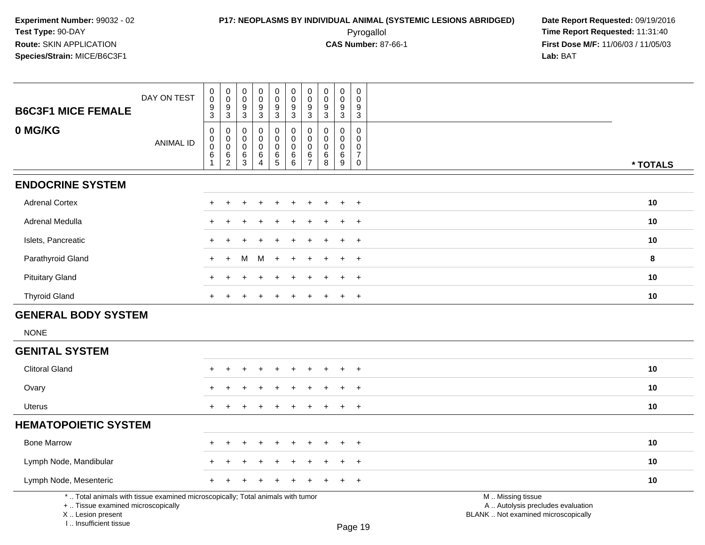## **P17: NEOPLASMS BY INDIVIDUAL ANIMAL (SYSTEMIC LESIONS ABRIDGED)** Date Report Requested: 09/19/2016<br>Pyrogallol **Pyrogallol Pyrogallol Decay and Alle Report Requested:** 11:31:40 Pyrogallol **Time Report Requested:** 11:31:40

| <b>B6C3F1 MICE FEMALE</b>                                                                                                                                           | DAY ON TEST      | 0<br>$\overline{0}$<br>9<br>$\overline{3}$          | $_{\rm 0}^{\rm 0}$<br>$\frac{9}{3}$                              | $\pmb{0}$<br>$\pmb{0}$<br>$\boldsymbol{9}$<br>$\mathbf{3}$ | $_{\rm 0}^{\rm 0}$<br>$\boldsymbol{9}$<br>$\overline{3}$   | $\begin{smallmatrix} 0\\0 \end{smallmatrix}$<br>9<br>$\overline{3}$ | $_{\rm 0}^{\rm 0}$<br>9<br>$\overline{3}$                  | $_{\rm 0}^{\rm 0}$<br>$\boldsymbol{9}$<br>$\overline{3}$           | $\pmb{0}$<br>$\mathbf 0$<br>$\boldsymbol{9}$<br>3 | $\mathbf 0$<br>$\mathbf 0$<br>$\boldsymbol{9}$<br>$\overline{3}$ | $\pmb{0}$<br>$\mathbf 0$<br>9<br>3                             |                                                                                               |          |
|---------------------------------------------------------------------------------------------------------------------------------------------------------------------|------------------|-----------------------------------------------------|------------------------------------------------------------------|------------------------------------------------------------|------------------------------------------------------------|---------------------------------------------------------------------|------------------------------------------------------------|--------------------------------------------------------------------|---------------------------------------------------|------------------------------------------------------------------|----------------------------------------------------------------|-----------------------------------------------------------------------------------------------|----------|
| 0 MG/KG                                                                                                                                                             | <b>ANIMAL ID</b> | $\pmb{0}$<br>$\pmb{0}$<br>$\pmb{0}$<br>$\,6\,$<br>1 | $\pmb{0}$<br>$\mathbf 0$<br>$\ddot{\mathbf{0}}$<br>$\frac{6}{2}$ | 0<br>$\mathbf 0$<br>0<br>$\,6$<br>3                        | 0<br>$\mathbf 0$<br>$\pmb{0}$<br>$\,6\,$<br>$\overline{4}$ | $\pmb{0}$<br>0<br>$\mathsf{O}$<br>$6\phantom{a}$<br>5               | $\mathsf{O}$<br>$\mathbf 0$<br>$\mathbf 0$<br>$\,6\,$<br>6 | $\pmb{0}$<br>$\mathbf 0$<br>$\pmb{0}$<br>$\,6\,$<br>$\overline{7}$ | 0<br>$\mathbf 0$<br>$\mathbf 0$<br>$\,6\,$<br>8   | $\pmb{0}$<br>$\mathbf 0$<br>$\mathbf 0$<br>$6\phantom{1}6$<br>9  | $\pmb{0}$<br>$\mathbf 0$<br>$\mathbf 0$<br>$\overline{7}$<br>0 |                                                                                               | * TOTALS |
| <b>ENDOCRINE SYSTEM</b>                                                                                                                                             |                  |                                                     |                                                                  |                                                            |                                                            |                                                                     |                                                            |                                                                    |                                                   |                                                                  |                                                                |                                                                                               |          |
| <b>Adrenal Cortex</b>                                                                                                                                               |                  |                                                     |                                                                  |                                                            |                                                            |                                                                     |                                                            |                                                                    |                                                   |                                                                  | $\overline{1}$                                                 |                                                                                               | 10       |
| Adrenal Medulla                                                                                                                                                     |                  |                                                     |                                                                  |                                                            |                                                            |                                                                     |                                                            |                                                                    |                                                   |                                                                  | $\ddot{}$                                                      |                                                                                               | 10       |
| Islets, Pancreatic                                                                                                                                                  |                  | +                                                   |                                                                  |                                                            |                                                            |                                                                     |                                                            |                                                                    |                                                   |                                                                  | $\ddot{}$                                                      |                                                                                               | 10       |
| Parathyroid Gland                                                                                                                                                   |                  | $\ddot{}$                                           | $\ddot{}$                                                        | м                                                          | M                                                          | $\ddot{}$                                                           | $\ddot{}$                                                  |                                                                    |                                                   |                                                                  | $+$                                                            |                                                                                               | 8        |
| <b>Pituitary Gland</b>                                                                                                                                              |                  | ÷                                                   |                                                                  |                                                            |                                                            |                                                                     |                                                            |                                                                    |                                                   |                                                                  | $+$                                                            |                                                                                               | 10       |
| <b>Thyroid Gland</b>                                                                                                                                                |                  | $+$                                                 |                                                                  |                                                            |                                                            |                                                                     | $\ddot{}$                                                  | $\ddot{}$                                                          | $\pm$                                             | $\pm$                                                            | $^{+}$                                                         |                                                                                               | 10       |
| <b>GENERAL BODY SYSTEM</b>                                                                                                                                          |                  |                                                     |                                                                  |                                                            |                                                            |                                                                     |                                                            |                                                                    |                                                   |                                                                  |                                                                |                                                                                               |          |
| <b>NONE</b>                                                                                                                                                         |                  |                                                     |                                                                  |                                                            |                                                            |                                                                     |                                                            |                                                                    |                                                   |                                                                  |                                                                |                                                                                               |          |
| <b>GENITAL SYSTEM</b>                                                                                                                                               |                  |                                                     |                                                                  |                                                            |                                                            |                                                                     |                                                            |                                                                    |                                                   |                                                                  |                                                                |                                                                                               |          |
| <b>Clitoral Gland</b>                                                                                                                                               |                  |                                                     |                                                                  |                                                            |                                                            |                                                                     |                                                            |                                                                    |                                                   |                                                                  | $\overline{1}$                                                 |                                                                                               | 10       |
| Ovary                                                                                                                                                               |                  |                                                     |                                                                  |                                                            |                                                            |                                                                     |                                                            |                                                                    |                                                   |                                                                  | $\ddot{}$                                                      |                                                                                               | 10       |
| <b>Uterus</b>                                                                                                                                                       |                  |                                                     |                                                                  |                                                            |                                                            |                                                                     |                                                            |                                                                    |                                                   |                                                                  | $\ddot{}$                                                      |                                                                                               | 10       |
| <b>HEMATOPOIETIC SYSTEM</b>                                                                                                                                         |                  |                                                     |                                                                  |                                                            |                                                            |                                                                     |                                                            |                                                                    |                                                   |                                                                  |                                                                |                                                                                               |          |
| <b>Bone Marrow</b>                                                                                                                                                  |                  |                                                     |                                                                  |                                                            |                                                            |                                                                     |                                                            |                                                                    |                                                   |                                                                  | $\overline{1}$                                                 |                                                                                               | 10       |
| Lymph Node, Mandibular                                                                                                                                              |                  |                                                     |                                                                  |                                                            |                                                            |                                                                     |                                                            |                                                                    |                                                   |                                                                  | $\overline{1}$                                                 |                                                                                               | 10       |
| Lymph Node, Mesenteric                                                                                                                                              |                  |                                                     |                                                                  |                                                            |                                                            |                                                                     |                                                            |                                                                    |                                                   |                                                                  | $\overline{1}$                                                 |                                                                                               | 10       |
| *  Total animals with tissue examined microscopically; Total animals with tumor<br>+  Tissue examined microscopically<br>X  Lesion present<br>I Insufficient tissue |                  |                                                     |                                                                  |                                                            |                                                            |                                                                     |                                                            |                                                                    |                                                   |                                                                  | Page 19                                                        | M  Missing tissue<br>A  Autolysis precludes evaluation<br>BLANK  Not examined microscopically |          |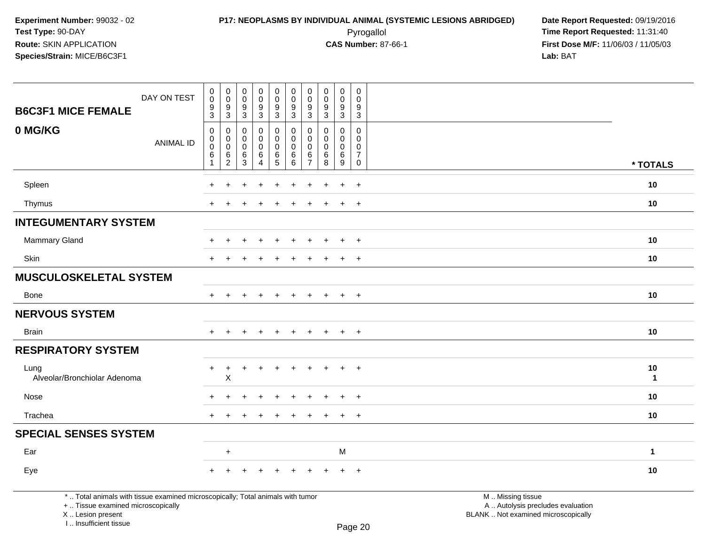### **P17: NEOPLASMS BY INDIVIDUAL ANIMAL (SYSTEMIC LESIONS ABRIDGED) Date Report Requested: 09/19/2016<br>Pyrogallol <b>Pyrogallol Pyrogallol December 2016** Time Report Requested: 11:31:40 Pyrogallol **Time Report Requested:** 11:31:40

**First Dose M/F:** 11/06/03 / 11/05/03<br>**Lab:** BAT **Lab:** BAT

| <b>B6C3F1 MICE FEMALE</b>                                                                                             | DAY ON TEST      | $\pmb{0}$<br>$\overline{0}$<br>$\boldsymbol{9}$<br>$\overline{3}$ | $\mathbf 0$<br>$\ddot{\mathbf{0}}$<br>$\boldsymbol{9}$<br>$\overline{3}$ | $\begin{smallmatrix} 0\\0 \end{smallmatrix}$<br>$\boldsymbol{9}$<br>$\overline{3}$ | $\begin{smallmatrix}0\0\0\end{smallmatrix}$<br>$\frac{9}{3}$ | $_{\rm 0}^{\rm 0}$<br>$\frac{9}{3}$                                                      | $\begin{smallmatrix}0\\0\end{smallmatrix}$<br>$\frac{9}{3}$ | $\pmb{0}$<br>$\mathbf 0$<br>9<br>$\mathfrak{Z}$ | $\pmb{0}$<br>$\pmb{0}$<br>$\boldsymbol{9}$<br>$\overline{3}$ | $\mathbf 0$<br>$\overline{0}$<br>9<br>$\overline{3}$ | $\mathbf 0$<br>$\mathbf 0$<br>$\boldsymbol{9}$<br>$\overline{3}$                   |                                                        |  |
|-----------------------------------------------------------------------------------------------------------------------|------------------|-------------------------------------------------------------------|--------------------------------------------------------------------------|------------------------------------------------------------------------------------|--------------------------------------------------------------|------------------------------------------------------------------------------------------|-------------------------------------------------------------|-------------------------------------------------|--------------------------------------------------------------|------------------------------------------------------|------------------------------------------------------------------------------------|--------------------------------------------------------|--|
| 0 MG/KG                                                                                                               | <b>ANIMAL ID</b> | $\mathbf 0$<br>0<br>$\mathbf 0$<br>$\,6$<br>$\overline{1}$        | $\mathbf 0$<br>$\mathbf 0$<br>$\mathbf 0$<br>$\frac{6}{2}$               | $\mathbf 0$<br>0<br>$\mathbf 0$<br>6<br>$\overline{3}$                             | 0<br>$\mathsf{O}$<br>$\mathbf 0$<br>6<br>$\overline{4}$      | 0<br>$\mathsf{O}\xspace$<br>$\mathsf{O}\xspace$<br>$\begin{array}{c} 6 \\ 5 \end{array}$ | $\mathbf 0$<br>$\mathbf 0$<br>$\mathbf 0$<br>$^6_6$         | 0<br>0<br>$\Omega$<br>6<br>$\overline{7}$       | 0<br>$\Omega$<br>$\mathbf 0$<br>$\,6$<br>$\overline{8}$      | 0<br>0<br>$\mathbf 0$<br>$^6_9$                      | $\mathbf 0$<br>$\mathbf 0$<br>$\mathbf 0$<br>$\overline{7}$<br>$\mathsf{O}\xspace$ | * TOTALS                                               |  |
|                                                                                                                       |                  |                                                                   |                                                                          |                                                                                    |                                                              |                                                                                          |                                                             |                                                 |                                                              |                                                      | $\ddot{}$                                                                          | 10                                                     |  |
| Spleen<br>Thymus                                                                                                      |                  |                                                                   |                                                                          |                                                                                    |                                                              |                                                                                          |                                                             |                                                 |                                                              |                                                      |                                                                                    | 10                                                     |  |
| <b>INTEGUMENTARY SYSTEM</b>                                                                                           |                  |                                                                   |                                                                          |                                                                                    |                                                              |                                                                                          |                                                             |                                                 |                                                              | $\div$                                               | $\div$                                                                             |                                                        |  |
| <b>Mammary Gland</b>                                                                                                  |                  |                                                                   |                                                                          |                                                                                    |                                                              |                                                                                          |                                                             |                                                 |                                                              | $\div$                                               |                                                                                    | 10                                                     |  |
|                                                                                                                       |                  |                                                                   |                                                                          |                                                                                    |                                                              |                                                                                          |                                                             |                                                 |                                                              |                                                      | $\overline{+}$                                                                     |                                                        |  |
| Skin                                                                                                                  |                  |                                                                   |                                                                          |                                                                                    |                                                              |                                                                                          |                                                             |                                                 |                                                              | $\ddot{}$                                            | $\overline{+}$                                                                     | 10                                                     |  |
| <b>MUSCULOSKELETAL SYSTEM</b>                                                                                         |                  |                                                                   |                                                                          |                                                                                    |                                                              |                                                                                          |                                                             |                                                 |                                                              |                                                      |                                                                                    |                                                        |  |
| Bone                                                                                                                  |                  | $\ddot{}$                                                         |                                                                          |                                                                                    |                                                              |                                                                                          |                                                             |                                                 |                                                              | $\ddot{}$                                            | $\ddot{}$                                                                          | 10                                                     |  |
| <b>NERVOUS SYSTEM</b>                                                                                                 |                  |                                                                   |                                                                          |                                                                                    |                                                              |                                                                                          |                                                             |                                                 |                                                              |                                                      |                                                                                    |                                                        |  |
| <b>Brain</b>                                                                                                          |                  | $+$                                                               | $\ddot{}$                                                                |                                                                                    | $\ddot{}$                                                    | $\ddot{}$                                                                                | $\ddot{}$                                                   | $\ddot{}$                                       | $+$                                                          | $+$                                                  | $+$                                                                                | 10                                                     |  |
| <b>RESPIRATORY SYSTEM</b>                                                                                             |                  |                                                                   |                                                                          |                                                                                    |                                                              |                                                                                          |                                                             |                                                 |                                                              |                                                      |                                                                                    |                                                        |  |
| Lung<br>Alveolar/Bronchiolar Adenoma                                                                                  |                  | +                                                                 | $\ddot{}$<br>Χ                                                           |                                                                                    |                                                              |                                                                                          |                                                             |                                                 |                                                              |                                                      | $\ddot{}$                                                                          | 10<br>$\mathbf{1}$                                     |  |
| Nose                                                                                                                  |                  |                                                                   |                                                                          |                                                                                    |                                                              |                                                                                          |                                                             |                                                 |                                                              |                                                      | $\overline{ }$                                                                     | 10                                                     |  |
| Trachea                                                                                                               |                  |                                                                   |                                                                          |                                                                                    |                                                              |                                                                                          |                                                             |                                                 |                                                              | $\div$                                               | $\div$                                                                             | 10                                                     |  |
| <b>SPECIAL SENSES SYSTEM</b>                                                                                          |                  |                                                                   |                                                                          |                                                                                    |                                                              |                                                                                          |                                                             |                                                 |                                                              |                                                      |                                                                                    |                                                        |  |
| Ear                                                                                                                   |                  |                                                                   | $\ddot{}$                                                                |                                                                                    |                                                              |                                                                                          |                                                             |                                                 |                                                              | M                                                    |                                                                                    | $\mathbf{1}$                                           |  |
| Eye                                                                                                                   |                  |                                                                   |                                                                          |                                                                                    |                                                              |                                                                                          |                                                             |                                                 |                                                              |                                                      | $\ddot{}$                                                                          | 10                                                     |  |
| *  Total animals with tissue examined microscopically; Total animals with tumor<br>+  Tissue examined microscopically |                  |                                                                   |                                                                          |                                                                                    |                                                              |                                                                                          |                                                             |                                                 |                                                              |                                                      |                                                                                    | M  Missing tissue<br>A  Autolysis precludes evaluation |  |

crosco<sub>p</sub>

X .. Lesion present

I .. Insufficient tissue

Lesion present BLANK .. Not examined microscopically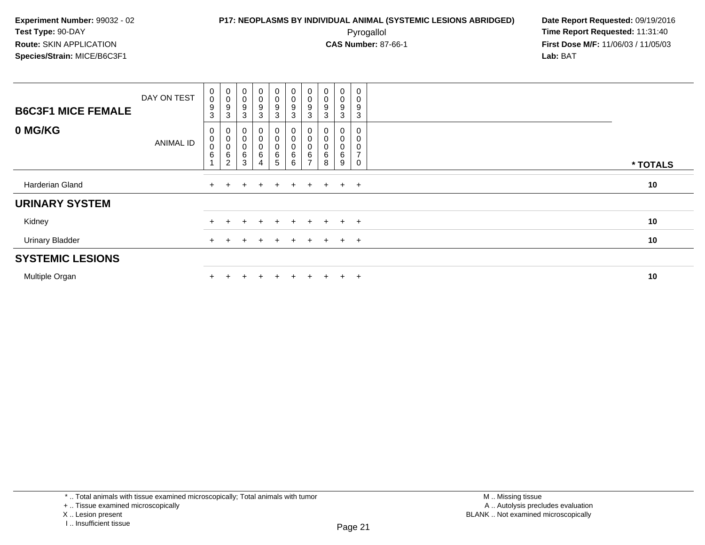### **P17: NEOPLASMS BY INDIVIDUAL ANIMAL (SYSTEMIC LESIONS ABRIDGED) Date Report Requested:** 09/19/2016 Pyrogallol **Time Report Requested:** 11:31:40

| <b>B6C3F1 MICE FEMALE</b> | DAY ON TEST      | 0<br>$\pmb{0}$<br>$\boldsymbol{9}$<br>3 | $\begin{matrix} 0 \\ 0 \end{matrix}$<br>9<br>3     | $\pmb{0}$<br>$\boldsymbol{9}$<br>3       | $\begin{smallmatrix}0\0\0\9\end{smallmatrix}$<br>$\mathbf{3}$ | 0<br>0<br>$\boldsymbol{9}$<br>3 | $\begin{smallmatrix}0\0\0\9\end{smallmatrix}$<br>$\sqrt{3}$                | U<br>0<br>$\boldsymbol{9}$<br>3 | $\mathbf 0$<br>$\boldsymbol{9}$<br>3 | 0<br>0<br>9<br>3 | 0<br>9<br>3         |          |
|---------------------------|------------------|-----------------------------------------|----------------------------------------------------|------------------------------------------|---------------------------------------------------------------|---------------------------------|----------------------------------------------------------------------------|---------------------------------|--------------------------------------|------------------|---------------------|----------|
| 0 MG/KG                   | <b>ANIMAL ID</b> | 0<br>0<br>$\mathbf 0$<br>$\,6\,$        | 0<br>$\pmb{0}$<br>$\pmb{0}$<br>6<br>$\overline{c}$ | $\mathbf 0$<br>$\mathbf 0$<br>$\,6$<br>3 | 0<br>$\pmb{0}$<br>$\begin{array}{c} 0 \\ 6 \\ 4 \end{array}$  | 0<br>0<br>0<br>6<br>5           | $\boldsymbol{0}$<br>$\pmb{0}$<br>$\begin{matrix} 0 \\ 6 \\ 6 \end{matrix}$ | 0<br>0<br>$rac{6}{7}$           | 0<br>6<br>8                          | 0<br>6<br>9      | $\overline{ }$<br>0 | * TOTALS |
| Harderian Gland           |                  | $\pm$                                   |                                                    | $+$                                      | $+$                                                           | $+$                             | $+$                                                                        | $+$                             |                                      | $+$ $+$ $+$      |                     | 10       |
| <b>URINARY SYSTEM</b>     |                  |                                         |                                                    |                                          |                                                               |                                 |                                                                            |                                 |                                      |                  |                     |          |
| Kidney                    |                  |                                         |                                                    |                                          | $\ddot{}$                                                     | $+$                             | $+$                                                                        | $+$                             | $+$                                  |                  | $+$ $+$             | 10       |
| <b>Urinary Bladder</b>    |                  | $+$                                     |                                                    |                                          | $+$                                                           | $+$                             | $+$                                                                        | $+$                             |                                      | $+$ $+$ $+$      |                     | 10       |
| <b>SYSTEMIC LESIONS</b>   |                  |                                         |                                                    |                                          |                                                               |                                 |                                                                            |                                 |                                      |                  |                     |          |
| Multiple Organ            |                  |                                         |                                                    |                                          | $\div$                                                        | $+$                             |                                                                            | $\div$                          | $+$                                  | $+$              | $+$                 | 10       |

<sup>+ ..</sup> Tissue examined microscopically

X .. Lesion present

I .. Insufficient tissue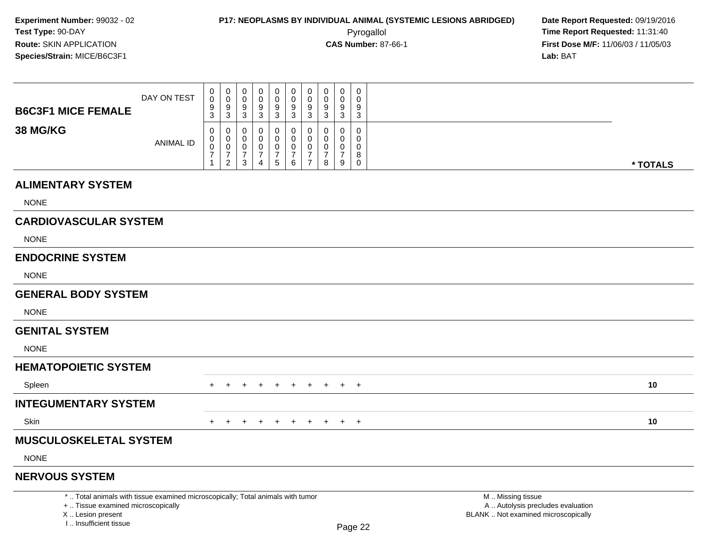I .. Insufficient tissue

| <b>B6C3F1 MICE FEMALE</b>                                                                                                                  | DAY ON TEST      | 0<br>0<br>9<br>3                     | 0<br>0<br>9<br>$\overline{3}$ | 0<br>$\mathbf 0$<br>9<br>$\mathbf{3}$                     | 0<br>$\mathbf 0$<br>9<br>3         | 0<br>$\mathbf 0$<br>9<br>$\mathbf{3}$                         | 0<br>0<br>9<br>$\mathbf{3}$                                    | 0<br>$\mathbf 0$<br>9<br>$\mathbf{3}$                                          | 0<br>$\mathbf 0$<br>9<br>3   | 0<br>$\mathbf 0$<br>9<br>3                | 0<br>$\Omega$<br>9<br>$\mathbf{3}$                              |                                                                                               |          |
|--------------------------------------------------------------------------------------------------------------------------------------------|------------------|--------------------------------------|-------------------------------|-----------------------------------------------------------|------------------------------------|---------------------------------------------------------------|----------------------------------------------------------------|--------------------------------------------------------------------------------|------------------------------|-------------------------------------------|-----------------------------------------------------------------|-----------------------------------------------------------------------------------------------|----------|
| <b>38 MG/KG</b>                                                                                                                            | <b>ANIMAL ID</b> | 0<br>$\Omega$<br>0<br>$\overline{7}$ | 0<br>0<br>0<br>$\frac{7}{2}$  | 0<br>$\mathbf 0$<br>0<br>$\boldsymbol{7}$<br>$\mathbf{3}$ | 0<br>0<br>0<br>$\overline{7}$<br>4 | 0<br>$\mathbf 0$<br>$\pmb{0}$<br>$\overline{7}$<br>$\sqrt{5}$ | 0<br>$\mathbf 0$<br>$\mathbf 0$<br>$\boldsymbol{7}$<br>$\,6\,$ | $\mathbf 0$<br>$\mathbf{0}$<br>$\mathbf 0$<br>$\overline{7}$<br>$\overline{7}$ | 0<br>$\Omega$<br>0<br>7<br>8 | 0<br>$\Omega$<br>0<br>$\overline{7}$<br>9 | $\mathsf{O}\xspace$<br>$\Omega$<br>$\mathbf 0$<br>8<br>$\Omega$ |                                                                                               | * TOTALS |
| <b>ALIMENTARY SYSTEM</b>                                                                                                                   |                  |                                      |                               |                                                           |                                    |                                                               |                                                                |                                                                                |                              |                                           |                                                                 |                                                                                               |          |
| <b>NONE</b>                                                                                                                                |                  |                                      |                               |                                                           |                                    |                                                               |                                                                |                                                                                |                              |                                           |                                                                 |                                                                                               |          |
| <b>CARDIOVASCULAR SYSTEM</b>                                                                                                               |                  |                                      |                               |                                                           |                                    |                                                               |                                                                |                                                                                |                              |                                           |                                                                 |                                                                                               |          |
| <b>NONE</b>                                                                                                                                |                  |                                      |                               |                                                           |                                    |                                                               |                                                                |                                                                                |                              |                                           |                                                                 |                                                                                               |          |
| <b>ENDOCRINE SYSTEM</b>                                                                                                                    |                  |                                      |                               |                                                           |                                    |                                                               |                                                                |                                                                                |                              |                                           |                                                                 |                                                                                               |          |
| <b>NONE</b>                                                                                                                                |                  |                                      |                               |                                                           |                                    |                                                               |                                                                |                                                                                |                              |                                           |                                                                 |                                                                                               |          |
| <b>GENERAL BODY SYSTEM</b>                                                                                                                 |                  |                                      |                               |                                                           |                                    |                                                               |                                                                |                                                                                |                              |                                           |                                                                 |                                                                                               |          |
| <b>NONE</b>                                                                                                                                |                  |                                      |                               |                                                           |                                    |                                                               |                                                                |                                                                                |                              |                                           |                                                                 |                                                                                               |          |
| <b>GENITAL SYSTEM</b>                                                                                                                      |                  |                                      |                               |                                                           |                                    |                                                               |                                                                |                                                                                |                              |                                           |                                                                 |                                                                                               |          |
| <b>NONE</b>                                                                                                                                |                  |                                      |                               |                                                           |                                    |                                                               |                                                                |                                                                                |                              |                                           |                                                                 |                                                                                               |          |
| <b>HEMATOPOIETIC SYSTEM</b>                                                                                                                |                  |                                      |                               |                                                           |                                    |                                                               |                                                                |                                                                                |                              |                                           |                                                                 |                                                                                               |          |
| Spleen                                                                                                                                     |                  | $+$                                  | $+$                           | $+$                                                       | $+$                                | $+$                                                           | $+$                                                            | $+$                                                                            | $+$                          |                                           | $+$ $+$                                                         |                                                                                               | 10       |
| <b>INTEGUMENTARY SYSTEM</b>                                                                                                                |                  |                                      |                               |                                                           |                                    |                                                               |                                                                |                                                                                |                              |                                           |                                                                 |                                                                                               |          |
| Skin                                                                                                                                       |                  |                                      | $\pm$                         | $+$                                                       | $\ddot{}$                          | $+$                                                           | $+$                                                            | $+$                                                                            | $+$                          |                                           | $+$ $+$                                                         |                                                                                               | 10       |
| <b>MUSCULOSKELETAL SYSTEM</b>                                                                                                              |                  |                                      |                               |                                                           |                                    |                                                               |                                                                |                                                                                |                              |                                           |                                                                 |                                                                                               |          |
| <b>NONE</b>                                                                                                                                |                  |                                      |                               |                                                           |                                    |                                                               |                                                                |                                                                                |                              |                                           |                                                                 |                                                                                               |          |
| <b>NERVOUS SYSTEM</b>                                                                                                                      |                  |                                      |                               |                                                           |                                    |                                                               |                                                                |                                                                                |                              |                                           |                                                                 |                                                                                               |          |
| *  Total animals with tissue examined microscopically; Total animals with tumor<br>+  Tissue examined microscopically<br>X  Lesion present |                  |                                      |                               |                                                           |                                    |                                                               |                                                                |                                                                                |                              |                                           |                                                                 | M  Missing tissue<br>A  Autolysis precludes evaluation<br>BLANK  Not examined microscopically |          |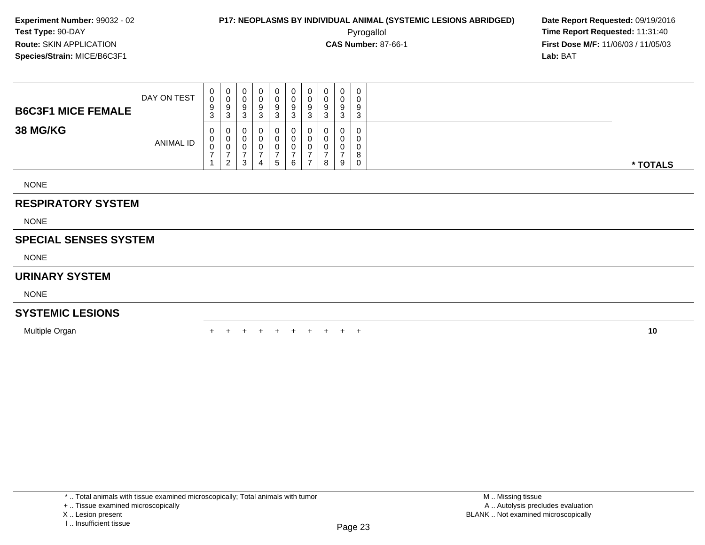**First Dose M/F:** 11/06/03 / 11/05/03<br>**Lab:** BAT **Lab:** BAT

| <b>B6C3F1 MICE FEMALE</b> | DAY ON TEST | $\mathbf{0}$<br>$\mathsf{O}$<br>9<br>3 | $\mathbf{0}$<br>0<br>9<br>3          | 0<br>U<br>9<br>3 | 0<br>0<br>9<br><sup>o</sup><br>J | - 0<br>– O<br>9<br>3 | 0<br>9<br>3 | 9<br>ۍ | υ<br>9<br>3      | 0<br>9<br>ົ<br>دت | 0<br>0<br>9<br>3      |          |
|---------------------------|-------------|----------------------------------------|--------------------------------------|------------------|----------------------------------|----------------------|-------------|--------|------------------|-------------------|-----------------------|----------|
| <b>38 MG/KG</b>           | ANIMAL ID   | $\mathbf{0}$<br>U<br>0                 | $\mathbf 0$<br>$\mathbf 0$<br>0<br>2 | 0<br>U<br>υ<br>3 | 0<br>0<br>0<br>4                 | 0<br><sub>5</sub>    | 0<br>6      | 0      | $\mathbf 0$<br>8 | 0<br>9            | 0<br>0<br>0<br>8<br>0 | * TOTALS |
| <b>NONE</b>               |             |                                        |                                      |                  |                                  |                      |             |        |                  |                   |                       |          |

### **RESPIRATORY SYSTEM**

NONE

### **SPECIAL SENSES SYSTEM**

NONE

### **URINARY SYSTEM**

NONE

### **SYSTEMIC LESIONS**

Multiple Organn  $+$ 

<sup>+</sup> <sup>+</sup> <sup>+</sup> <sup>+</sup> <sup>+</sup> <sup>+</sup> <sup>+</sup> <sup>+</sup> <sup>+</sup> **<sup>10</sup>**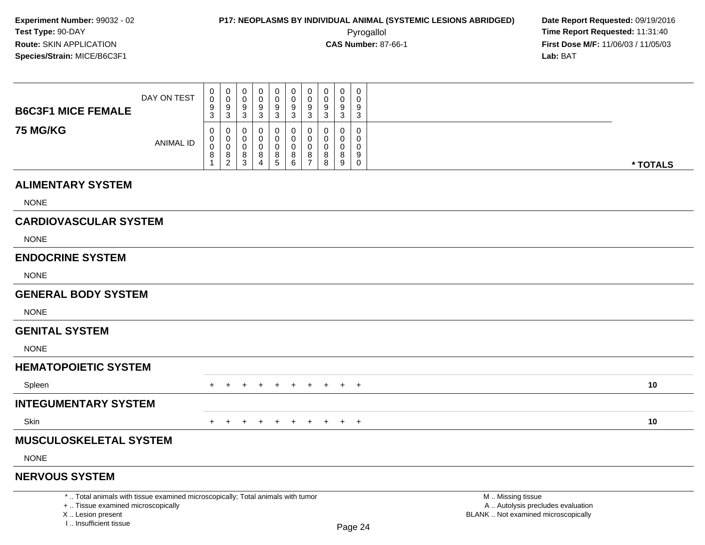I .. Insufficient tissue

| <b>B6C3F1 MICE FEMALE</b>                                                                                                                  | DAY ON TEST      | 0<br>0<br>9                                 | 0<br>0<br>9                                              | 0<br>0<br>9                                    | 0<br>$\mathbf 0$<br>9 | 0<br>0<br>9                                                         | 0<br>$\mathbf 0$<br>9                                     | $\mathbf 0$<br>$\overline{0}$<br>9                                            | 0<br>$\mathbf 0$<br>9                    | 0<br>$\mathbf 0$<br>9                                | 0<br>$\Omega$<br>9                                            |                                                                                               |          |
|--------------------------------------------------------------------------------------------------------------------------------------------|------------------|---------------------------------------------|----------------------------------------------------------|------------------------------------------------|-----------------------|---------------------------------------------------------------------|-----------------------------------------------------------|-------------------------------------------------------------------------------|------------------------------------------|------------------------------------------------------|---------------------------------------------------------------|-----------------------------------------------------------------------------------------------|----------|
| <b>75 MG/KG</b>                                                                                                                            | <b>ANIMAL ID</b> | 3<br>0<br>$\Omega$<br>$\mathbf 0$<br>8<br>1 | $\mathbf{3}$<br>0<br>0<br>0<br>$\,8\,$<br>$\overline{2}$ | 3<br>0<br>$\Omega$<br>0<br>8<br>$\overline{3}$ | 3<br>0<br>0<br>$^8_4$ | $\mathbf{3}$<br>$\mathbf 0$<br>$\mathbf 0$<br>$\mathbf 0$<br>$^8_5$ | $\mathbf{3}$<br>0<br>$\mathbf 0$<br>$\mathbf 0$<br>$^8_6$ | $\mathbf{3}$<br>$\mathbf 0$<br>$\Omega$<br>$\mathbf 0$<br>8<br>$\overline{7}$ | 3<br>0<br>$\Omega$<br>$\Omega$<br>8<br>8 | $\sqrt{3}$<br>0<br>$\mathbf{0}$<br>0<br>$\bf 8$<br>9 | $\mathbf{3}$<br>0<br>$\Omega$<br>$\Omega$<br>9<br>$\mathbf 0$ |                                                                                               | * TOTALS |
| <b>ALIMENTARY SYSTEM</b>                                                                                                                   |                  |                                             |                                                          |                                                |                       |                                                                     |                                                           |                                                                               |                                          |                                                      |                                                               |                                                                                               |          |
| <b>NONE</b>                                                                                                                                |                  |                                             |                                                          |                                                |                       |                                                                     |                                                           |                                                                               |                                          |                                                      |                                                               |                                                                                               |          |
| <b>CARDIOVASCULAR SYSTEM</b>                                                                                                               |                  |                                             |                                                          |                                                |                       |                                                                     |                                                           |                                                                               |                                          |                                                      |                                                               |                                                                                               |          |
| <b>NONE</b>                                                                                                                                |                  |                                             |                                                          |                                                |                       |                                                                     |                                                           |                                                                               |                                          |                                                      |                                                               |                                                                                               |          |
| <b>ENDOCRINE SYSTEM</b>                                                                                                                    |                  |                                             |                                                          |                                                |                       |                                                                     |                                                           |                                                                               |                                          |                                                      |                                                               |                                                                                               |          |
| <b>NONE</b>                                                                                                                                |                  |                                             |                                                          |                                                |                       |                                                                     |                                                           |                                                                               |                                          |                                                      |                                                               |                                                                                               |          |
| <b>GENERAL BODY SYSTEM</b>                                                                                                                 |                  |                                             |                                                          |                                                |                       |                                                                     |                                                           |                                                                               |                                          |                                                      |                                                               |                                                                                               |          |
| <b>NONE</b>                                                                                                                                |                  |                                             |                                                          |                                                |                       |                                                                     |                                                           |                                                                               |                                          |                                                      |                                                               |                                                                                               |          |
| <b>GENITAL SYSTEM</b>                                                                                                                      |                  |                                             |                                                          |                                                |                       |                                                                     |                                                           |                                                                               |                                          |                                                      |                                                               |                                                                                               |          |
| <b>NONE</b>                                                                                                                                |                  |                                             |                                                          |                                                |                       |                                                                     |                                                           |                                                                               |                                          |                                                      |                                                               |                                                                                               |          |
| <b>HEMATOPOIETIC SYSTEM</b>                                                                                                                |                  |                                             |                                                          |                                                |                       |                                                                     |                                                           |                                                                               |                                          |                                                      |                                                               |                                                                                               |          |
| Spleen                                                                                                                                     |                  | $+$                                         | $+$                                                      | $+$                                            | $+$                   | $+$                                                                 | $+$                                                       | $+$                                                                           | $+$                                      |                                                      | $+$ $+$                                                       |                                                                                               | 10       |
| <b>INTEGUMENTARY SYSTEM</b>                                                                                                                |                  |                                             |                                                          |                                                |                       |                                                                     |                                                           |                                                                               |                                          |                                                      |                                                               |                                                                                               |          |
| Skin                                                                                                                                       |                  | $+$                                         | $+$                                                      | $+$                                            | $+$                   | $+$                                                                 | $+$                                                       | $+$                                                                           |                                          | $+$ $+$ $+$                                          |                                                               |                                                                                               | 10       |
| <b>MUSCULOSKELETAL SYSTEM</b>                                                                                                              |                  |                                             |                                                          |                                                |                       |                                                                     |                                                           |                                                                               |                                          |                                                      |                                                               |                                                                                               |          |
| <b>NONE</b>                                                                                                                                |                  |                                             |                                                          |                                                |                       |                                                                     |                                                           |                                                                               |                                          |                                                      |                                                               |                                                                                               |          |
| <b>NERVOUS SYSTEM</b>                                                                                                                      |                  |                                             |                                                          |                                                |                       |                                                                     |                                                           |                                                                               |                                          |                                                      |                                                               |                                                                                               |          |
| *  Total animals with tissue examined microscopically; Total animals with tumor<br>+  Tissue examined microscopically<br>X  Lesion present |                  |                                             |                                                          |                                                |                       |                                                                     |                                                           |                                                                               |                                          |                                                      |                                                               | M  Missing tissue<br>A  Autolysis precludes evaluation<br>BLANK  Not examined microscopically |          |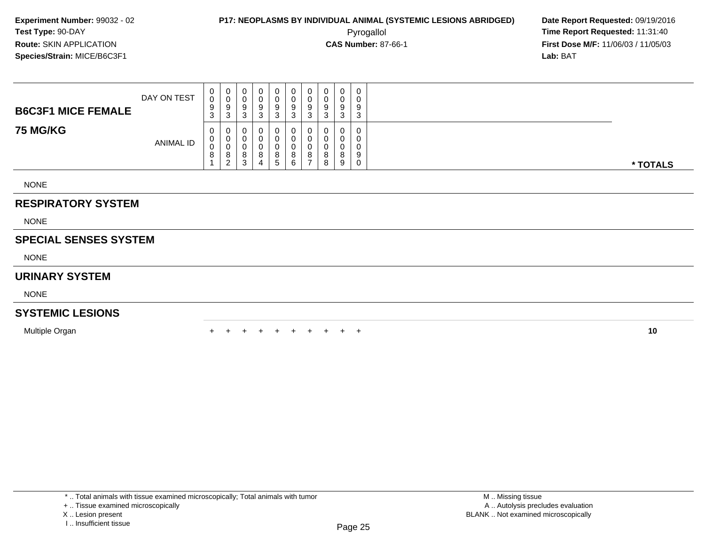**First Dose M/F:** 11/06/03 / 11/05/03<br>**Lab:** BAT **Lab:** BAT

| <b>B6C3F1 MICE FEMALE</b> | DAY ON TEST | $\mathbf{0}$<br>0<br>9<br>3 | 0<br>0<br>9<br>$\sim$<br>- J            | 0<br>◡<br>9<br>-3     | 0<br>0<br>9<br>ົ<br>C                     | a<br>$\sqrt{2}$<br>చ | 9<br>$\sim$<br>J | 0<br>U<br>-9<br>ົ<br>دت | U<br>υ<br>9<br>3      | 0<br>0<br>9<br>3                        | 0<br>0<br>9<br>3      |          |
|---------------------------|-------------|-----------------------------|-----------------------------------------|-----------------------|-------------------------------------------|----------------------|------------------|-------------------------|-----------------------|-----------------------------------------|-----------------------|----------|
| <b>75 MG/KG</b>           | ANIMAL ID   | 0<br>0<br>0<br>8            | 0<br>0<br>0<br>$\circ$<br>ົ<br><u>.</u> | U<br>υ<br>v<br>8<br>3 | $\mathbf 0$<br>$\mathbf 0$<br>0<br>8<br>4 | 8<br><sub>5</sub>    | 8<br>6           | $\circ$                 | U<br>U<br>υ<br>8<br>8 | $\mathbf 0$<br>$\Omega$<br>0<br>8<br>-9 | 0<br>0<br>U<br>9<br>0 | * TOTALS |
| <b>NONE</b>               |             |                             |                                         |                       |                                           |                      |                  |                         |                       |                                         |                       |          |

### **RESPIRATORY SYSTEM**

NONE

### **SPECIAL SENSES SYSTEM**

NONE

### **URINARY SYSTEM**

NONE

### **SYSTEMIC LESIONS**

Multiple Organn  $+$ 

<sup>+</sup> <sup>+</sup> <sup>+</sup> <sup>+</sup> <sup>+</sup> <sup>+</sup> <sup>+</sup> <sup>+</sup> <sup>+</sup> **<sup>10</sup>**

X .. Lesion present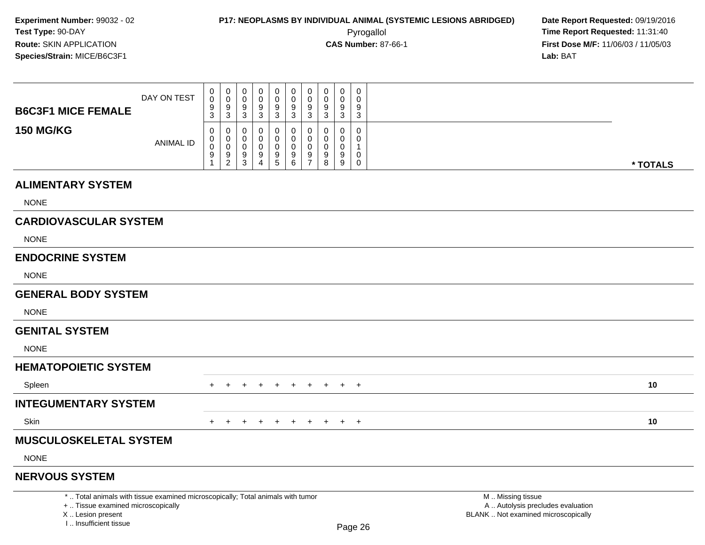000000000

**First Dose M/F:** 11/06/03 / 11/05/03<br>Lab: BAT **Lab:** BAT

| <b>B6C3F1 MICE FEMALE</b>                                                       | DAY ON TEST      | 0<br>9<br>3      | 0<br>$\boldsymbol{9}$<br>3                       | 0<br>9<br>3                      | 0<br>9<br>$\mathbf{3}$             | $\pmb{0}$<br>$\boldsymbol{9}$<br>$\mathbf{3}$ | 0<br>$\boldsymbol{9}$<br>$\mathbf{3}$                | $\pmb{0}$<br>$\boldsymbol{9}$<br>$\sqrt{3}$            | 0<br>$9\,$<br>3       | 0<br>9<br>3           | $\mathbf 0$<br>9<br>3 |                   |          |
|---------------------------------------------------------------------------------|------------------|------------------|--------------------------------------------------|----------------------------------|------------------------------------|-----------------------------------------------|------------------------------------------------------|--------------------------------------------------------|-----------------------|-----------------------|-----------------------|-------------------|----------|
| <b>150 MG/KG</b>                                                                | <b>ANIMAL ID</b> | 0<br>0<br>0<br>9 | 0<br>$\mathbf 0$<br>$\mathbf 0$<br>$\frac{9}{2}$ | 0<br>0<br>0<br>9<br>$\mathbf{3}$ | 0<br>0<br>0<br>9<br>$\overline{4}$ | 0<br>0<br>0<br>$\frac{9}{5}$                  | 0<br>0<br>0<br>$\begin{array}{c} 9 \\ 6 \end{array}$ | 0<br>$\mathbf 0$<br>$\mathbf 0$<br>9<br>$\overline{7}$ | 0<br>0<br>0<br>9<br>8 | 0<br>0<br>0<br>9<br>9 | 0<br>0<br>0<br>0      |                   | * TOTALS |
| <b>ALIMENTARY SYSTEM</b>                                                        |                  |                  |                                                  |                                  |                                    |                                               |                                                      |                                                        |                       |                       |                       |                   |          |
| <b>NONE</b>                                                                     |                  |                  |                                                  |                                  |                                    |                                               |                                                      |                                                        |                       |                       |                       |                   |          |
| <b>CARDIOVASCULAR SYSTEM</b>                                                    |                  |                  |                                                  |                                  |                                    |                                               |                                                      |                                                        |                       |                       |                       |                   |          |
| <b>NONE</b>                                                                     |                  |                  |                                                  |                                  |                                    |                                               |                                                      |                                                        |                       |                       |                       |                   |          |
| <b>ENDOCRINE SYSTEM</b>                                                         |                  |                  |                                                  |                                  |                                    |                                               |                                                      |                                                        |                       |                       |                       |                   |          |
| <b>NONE</b>                                                                     |                  |                  |                                                  |                                  |                                    |                                               |                                                      |                                                        |                       |                       |                       |                   |          |
| <b>GENERAL BODY SYSTEM</b>                                                      |                  |                  |                                                  |                                  |                                    |                                               |                                                      |                                                        |                       |                       |                       |                   |          |
| <b>NONE</b>                                                                     |                  |                  |                                                  |                                  |                                    |                                               |                                                      |                                                        |                       |                       |                       |                   |          |
| <b>GENITAL SYSTEM</b>                                                           |                  |                  |                                                  |                                  |                                    |                                               |                                                      |                                                        |                       |                       |                       |                   |          |
| <b>NONE</b>                                                                     |                  |                  |                                                  |                                  |                                    |                                               |                                                      |                                                        |                       |                       |                       |                   |          |
| <b>HEMATOPOIETIC SYSTEM</b>                                                     |                  |                  |                                                  |                                  |                                    |                                               |                                                      |                                                        |                       |                       |                       |                   |          |
| Spleen                                                                          |                  | $+$              | $+$                                              | $+$                              | $+$                                | $+$                                           | $+$                                                  | $+$ $-$                                                |                       |                       | $+$ $+$ $+$           |                   | 10       |
| <b>INTEGUMENTARY SYSTEM</b>                                                     |                  |                  |                                                  |                                  |                                    |                                               |                                                      |                                                        |                       |                       |                       |                   |          |
| Skin                                                                            |                  | +                |                                                  |                                  |                                    | $+$                                           | $+$                                                  | $+$                                                    | $+$                   |                       | $+$ $+$               |                   | 10       |
| <b>MUSCULOSKELETAL SYSTEM</b>                                                   |                  |                  |                                                  |                                  |                                    |                                               |                                                      |                                                        |                       |                       |                       |                   |          |
| <b>NONE</b>                                                                     |                  |                  |                                                  |                                  |                                    |                                               |                                                      |                                                        |                       |                       |                       |                   |          |
| <b>NERVOUS SYSTEM</b>                                                           |                  |                  |                                                  |                                  |                                    |                                               |                                                      |                                                        |                       |                       |                       |                   |          |
| *  Total animals with tissue examined microscopically; Total animals with tumor |                  |                  |                                                  |                                  |                                    |                                               |                                                      |                                                        |                       |                       |                       | M  Missing tissue |          |

+ .. Tissue examined microscopically

X .. Lesion present

I .. Insufficient tissue

y the contract of the contract of the contract of the contract of the contract of  $\mathsf A$  . Autolysis precludes evaluation Lesion present BLANK .. Not examined microscopically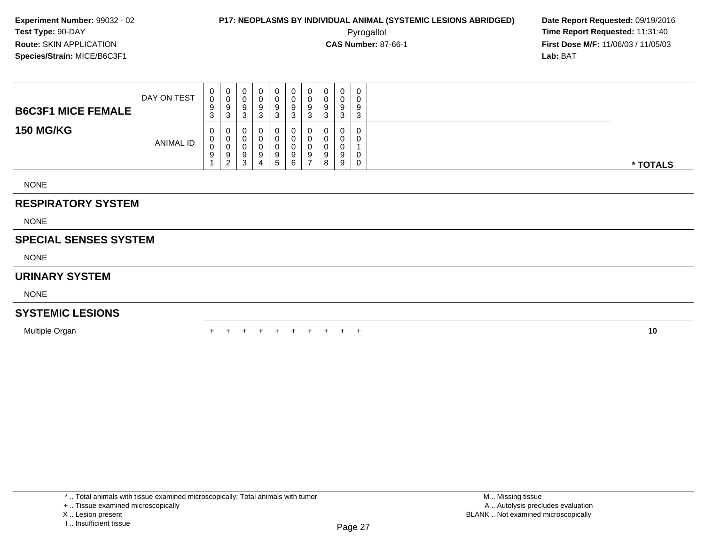**First Dose M/F:** 11/06/03 / 11/05/03<br>**Lab:** BAT **Lab:** BAT

| <b>B6C3F1 MICE FEMALE</b> | DAY ON TEST      | U<br>0<br>9<br>3           | U<br>3        | 0<br>υ<br>9<br>3      | U<br>9<br>ົ<br>J | 0<br>0<br>9<br>3       | 0<br>0<br>9<br>3      | U<br>υ<br>9<br>3 | v<br>9<br>ົ<br>P | 0<br>◡<br>9<br>3      | 0<br>0<br>9<br>3 |
|---------------------------|------------------|----------------------------|---------------|-----------------------|------------------|------------------------|-----------------------|------------------|------------------|-----------------------|------------------|
| <b>150 MG/KG</b>          | <b>ANIMAL ID</b> | 0<br>v<br>$\sim$<br>υ<br>9 | U<br>- 2<br>∠ | 0<br>0<br>υ<br>9<br>3 | J<br>9<br>4      | 0<br>0<br>0<br>9<br>.5 | 0<br>0<br>0<br>9<br>6 | υ<br>υ<br>9      | ັ                | 0<br>U<br>U<br>9<br>9 | 0<br>0<br>0<br>0 |

NONE

### **RESPIRATORY SYSTEM**

NONE

### **SPECIAL SENSES SYSTEM**

NONE

### **URINARY SYSTEM**

NONE

#### **SYSTEMIC LESIONS**

Multiple Organn  $+$ 

<sup>+</sup> <sup>+</sup> <sup>+</sup> <sup>+</sup> <sup>+</sup> <sup>+</sup> <sup>+</sup> <sup>+</sup> <sup>+</sup> **<sup>10</sup>**

X .. Lesion present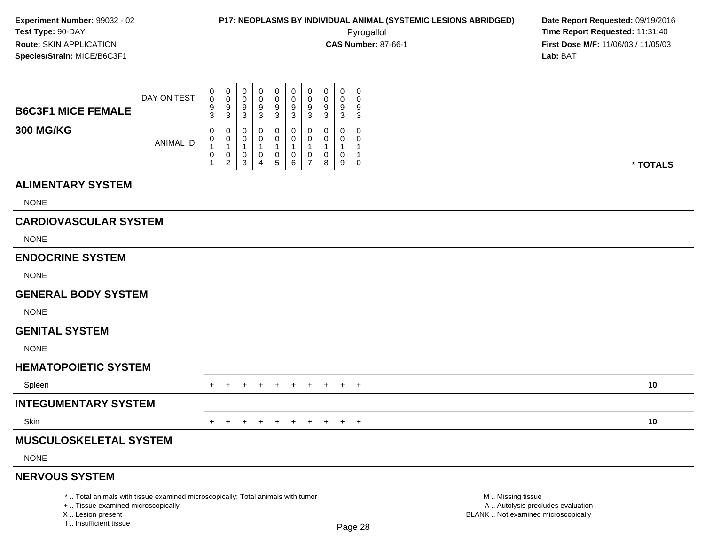I .. Insufficient tissue

**First Dose M/F:** 11/06/03 / 11/05/03<br>**Lab:** BAT **Lab:** BAT

| <b>B6C3F1 MICE FEMALE</b>                                                                                                                  | DAY ON TEST      | 0<br>0<br>9<br>3           | 0<br>$\mathsf{O}$<br>9<br>$\overline{3}$              | 0<br>$\mathbf 0$<br>9<br>$\mathbf{3}$                 | 0<br>0<br>9<br>3                        | 0<br>$\mathbf 0$<br>9<br>$\overline{3}$                           | 0<br>$\pmb{0}$<br>9<br>3                                | 0<br>$\mathbf 0$<br>9<br>3                                                    | 0<br>0<br>9<br>3        | 0<br>0<br>9<br>$\mathbf{3}$          | 0<br>$\Omega$<br>9<br>$\mathbf{3}$                          |                                                                                               |          |
|--------------------------------------------------------------------------------------------------------------------------------------------|------------------|----------------------------|-------------------------------------------------------|-------------------------------------------------------|-----------------------------------------|-------------------------------------------------------------------|---------------------------------------------------------|-------------------------------------------------------------------------------|-------------------------|--------------------------------------|-------------------------------------------------------------|-----------------------------------------------------------------------------------------------|----------|
| <b>300 MG/KG</b>                                                                                                                           | <b>ANIMAL ID</b> | 0<br>0<br>$\mathbf 1$<br>0 | 0<br>0<br>$\mathbf{1}$<br>$\pmb{0}$<br>$\overline{2}$ | 0<br>0<br>$\mathbf{1}$<br>$\pmb{0}$<br>$\mathfrak{S}$ | 0<br>0<br>$\mathbf 0$<br>$\overline{4}$ | 0<br>0<br>$\overline{1}$<br>$\begin{array}{c} 0 \\ 5 \end{array}$ | 0<br>$\mathbf 0$<br>$\mathbf 1$<br>$\pmb{0}$<br>$\,6\,$ | $\mathbf 0$<br>$\mathbf 0$<br>$\overline{1}$<br>$\mathbf 0$<br>$\overline{7}$ | $\Omega$<br>0<br>0<br>8 | 0<br>0<br>1<br>0<br>$\boldsymbol{9}$ | $\mathbf 0$<br>$\Omega$<br>1<br>$\mathbf{1}$<br>$\mathbf 0$ |                                                                                               | * TOTALS |
| <b>ALIMENTARY SYSTEM</b>                                                                                                                   |                  |                            |                                                       |                                                       |                                         |                                                                   |                                                         |                                                                               |                         |                                      |                                                             |                                                                                               |          |
| <b>NONE</b>                                                                                                                                |                  |                            |                                                       |                                                       |                                         |                                                                   |                                                         |                                                                               |                         |                                      |                                                             |                                                                                               |          |
| <b>CARDIOVASCULAR SYSTEM</b>                                                                                                               |                  |                            |                                                       |                                                       |                                         |                                                                   |                                                         |                                                                               |                         |                                      |                                                             |                                                                                               |          |
| <b>NONE</b>                                                                                                                                |                  |                            |                                                       |                                                       |                                         |                                                                   |                                                         |                                                                               |                         |                                      |                                                             |                                                                                               |          |
| <b>ENDOCRINE SYSTEM</b>                                                                                                                    |                  |                            |                                                       |                                                       |                                         |                                                                   |                                                         |                                                                               |                         |                                      |                                                             |                                                                                               |          |
| <b>NONE</b>                                                                                                                                |                  |                            |                                                       |                                                       |                                         |                                                                   |                                                         |                                                                               |                         |                                      |                                                             |                                                                                               |          |
| <b>GENERAL BODY SYSTEM</b>                                                                                                                 |                  |                            |                                                       |                                                       |                                         |                                                                   |                                                         |                                                                               |                         |                                      |                                                             |                                                                                               |          |
| <b>NONE</b>                                                                                                                                |                  |                            |                                                       |                                                       |                                         |                                                                   |                                                         |                                                                               |                         |                                      |                                                             |                                                                                               |          |
| <b>GENITAL SYSTEM</b>                                                                                                                      |                  |                            |                                                       |                                                       |                                         |                                                                   |                                                         |                                                                               |                         |                                      |                                                             |                                                                                               |          |
| <b>NONE</b>                                                                                                                                |                  |                            |                                                       |                                                       |                                         |                                                                   |                                                         |                                                                               |                         |                                      |                                                             |                                                                                               |          |
| <b>HEMATOPOIETIC SYSTEM</b>                                                                                                                |                  |                            |                                                       |                                                       |                                         |                                                                   |                                                         |                                                                               |                         |                                      |                                                             |                                                                                               |          |
| Spleen                                                                                                                                     |                  | $+$                        | $+$                                                   | $+$                                                   | $+$                                     | $+$                                                               | $+$                                                     | $+$                                                                           | $+$                     |                                      | $+$ $+$                                                     |                                                                                               | 10       |
| <b>INTEGUMENTARY SYSTEM</b>                                                                                                                |                  |                            |                                                       |                                                       |                                         |                                                                   |                                                         |                                                                               |                         |                                      |                                                             |                                                                                               |          |
| Skin                                                                                                                                       |                  |                            | $\pm$                                                 | $+$                                                   | $+$                                     | $+$                                                               | $+$                                                     | $+$ $+$                                                                       |                         |                                      | $+$ $+$                                                     |                                                                                               | 10       |
| <b>MUSCULOSKELETAL SYSTEM</b>                                                                                                              |                  |                            |                                                       |                                                       |                                         |                                                                   |                                                         |                                                                               |                         |                                      |                                                             |                                                                                               |          |
| <b>NONE</b>                                                                                                                                |                  |                            |                                                       |                                                       |                                         |                                                                   |                                                         |                                                                               |                         |                                      |                                                             |                                                                                               |          |
| <b>NERVOUS SYSTEM</b>                                                                                                                      |                  |                            |                                                       |                                                       |                                         |                                                                   |                                                         |                                                                               |                         |                                      |                                                             |                                                                                               |          |
| *  Total animals with tissue examined microscopically; Total animals with tumor<br>+  Tissue examined microscopically<br>X  Lesion present |                  |                            |                                                       |                                                       |                                         |                                                                   |                                                         |                                                                               |                         |                                      |                                                             | M  Missing tissue<br>A  Autolysis precludes evaluation<br>BLANK  Not examined microscopically |          |

Page 28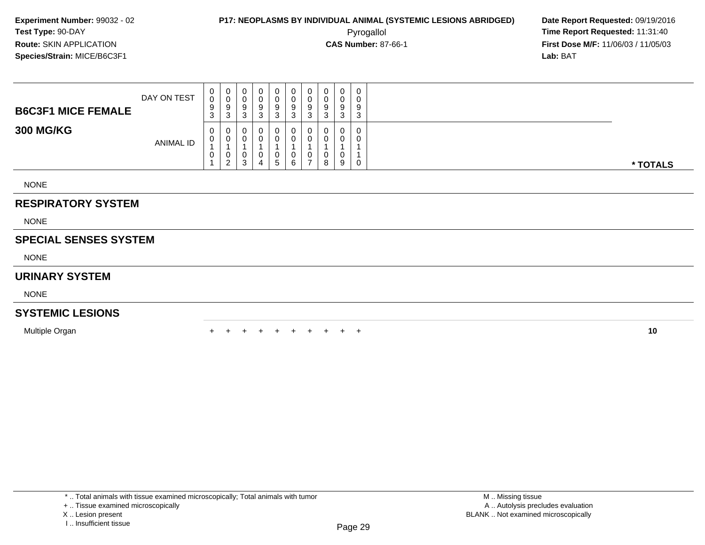**First Dose M/F:** 11/06/03 / 11/05/03<br>**Lab:** BAT **Lab:** BAT

| <b>B6C3F1 MICE FEMALE</b> | DAY ON TEST | $\begin{matrix} 0 \\ 0 \end{matrix}$<br>9<br>$\mathbf{3}$ | 0<br>0<br>9<br>3              | 0<br>$\mathbf 0$<br>9<br>3           | 0<br>υ<br>9<br>3           | 0<br>0<br>9<br>3                    | 0<br>$\boldsymbol{0}$<br>9<br>3 | 0<br>0<br>9<br>3              | 0<br>$\pmb{0}$<br>$\boldsymbol{9}$<br>3 | 0<br>$\sim$<br>U<br>9<br>3 | $\overline{0}$<br>$\mathbf 0$<br>9<br>3 |          |
|---------------------------|-------------|-----------------------------------------------------------|-------------------------------|--------------------------------------|----------------------------|-------------------------------------|---------------------------------|-------------------------------|-----------------------------------------|----------------------------|-----------------------------------------|----------|
| <b>300 MG/KG</b>          | ANIMAL ID   | $\mathbf 0$<br>0<br>0                                     | 0<br>0<br>0<br>$\overline{2}$ | 0<br>$\mathbf 0$<br>$\mathbf 0$<br>3 | 0<br>$\mathbf 0$<br>0<br>4 | $\mathbf 0$<br>0<br>$5\phantom{.0}$ | 0<br>0<br>0<br>6                | 0<br>0<br>0<br>$\overline{ }$ | 0<br>0<br>0<br>8                        | 0<br>0<br>0<br>9           | 0<br>$\mathbf 0$<br>0                   | * TOTALS |
| <b>NONE</b>               |             |                                                           |                               |                                      |                            |                                     |                                 |                               |                                         |                            |                                         |          |
| <b>RESPIRATORY SYSTEM</b> |             |                                                           |                               |                                      |                            |                                     |                                 |                               |                                         |                            |                                         |          |
| <b>NONE</b>               |             |                                                           |                               |                                      |                            |                                     |                                 |                               |                                         |                            |                                         |          |

### **SPECIAL SENSES SYSTEM**

NONE

### **URINARY SYSTEM**

NONE

#### **SYSTEMIC LESIONS**

Multiple Organn  $+$ 

<sup>+</sup> <sup>+</sup> <sup>+</sup> <sup>+</sup> <sup>+</sup> <sup>+</sup> <sup>+</sup> <sup>+</sup> <sup>+</sup> **<sup>10</sup>**

M .. Missing tissue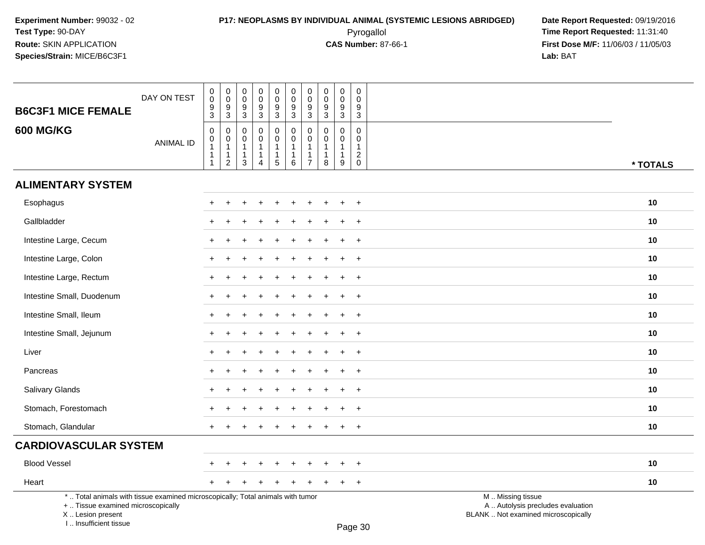### **P17: NEOPLASMS BY INDIVIDUAL ANIMAL (SYSTEMIC LESIONS ABRIDGED) Date Report Requested:** 09/19/2016 Pyrogallol **Time Report Requested:** 11:31:40

| <b>B6C3F1 MICE FEMALE</b>                                                                                                                                           | DAY ON TEST      | 0<br>$\pmb{0}$<br>9<br>$\mathfrak{S}$    | $\pmb{0}$<br>$\mathsf{O}\xspace$<br>$\boldsymbol{9}$<br>$\overline{3}$ | $\mathbf 0$<br>$\mathbf 0$<br>9<br>$\mathfrak{S}$     | $\mathbf 0$<br>$\mathbf 0$<br>9<br>$\sqrt{3}$                 | $\mathbf 0$<br>$\ddot{\mathbf{0}}$<br>$\boldsymbol{9}$<br>$\overline{3}$ | $\pmb{0}$<br>$\mathbf 0$<br>$\boldsymbol{9}$<br>$\sqrt{3}$ | $\pmb{0}$<br>$\mathbf 0$<br>9<br>$\mathbf{3}$                                | 0<br>$\mathbf 0$<br>9<br>3      | $\mathbf 0$<br>$\mathbf 0$<br>$\boldsymbol{9}$<br>$\overline{3}$               | $\mathbf 0$<br>$\Omega$<br>9<br>3                                        |                                                                                               |          |
|---------------------------------------------------------------------------------------------------------------------------------------------------------------------|------------------|------------------------------------------|------------------------------------------------------------------------|-------------------------------------------------------|---------------------------------------------------------------|--------------------------------------------------------------------------|------------------------------------------------------------|------------------------------------------------------------------------------|---------------------------------|--------------------------------------------------------------------------------|--------------------------------------------------------------------------|-----------------------------------------------------------------------------------------------|----------|
| <b>600 MG/KG</b>                                                                                                                                                    | <b>ANIMAL ID</b> | 0<br>$\pmb{0}$<br>$\mathbf{1}$<br>1<br>1 | 0<br>$\mathbf 0$<br>$\mathbf{1}$<br>$\mathbf{1}$<br>$\overline{2}$     | $\mathbf 0$<br>0<br>$\mathbf{1}$<br>$\mathbf{1}$<br>3 | $\mathbf 0$<br>$\mathbf 0$<br>$\mathbf 1$<br>$\mathbf 1$<br>4 | $\pmb{0}$<br>$\mathbf 0$<br>$\mathbf{1}$<br>$\mathbf{1}$<br>$\sqrt{5}$   | 0<br>0<br>$\mathbf{1}$<br>$\mathbf{1}$<br>$\,6\,$          | $\mathbf 0$<br>$\mathbf 0$<br>$\mathbf{1}$<br>$\mathbf{1}$<br>$\overline{7}$ | $\mathbf 0$<br>0<br>1<br>1<br>8 | $\mathbf 0$<br>$\mathbf 0$<br>$\mathbf{1}$<br>$\mathbf{1}$<br>$\boldsymbol{9}$ | $\Omega$<br>$\mathbf 0$<br>$\mathbf{1}$<br>$\overline{c}$<br>$\mathbf 0$ |                                                                                               | * TOTALS |
| <b>ALIMENTARY SYSTEM</b>                                                                                                                                            |                  |                                          |                                                                        |                                                       |                                                               |                                                                          |                                                            |                                                                              |                                 |                                                                                |                                                                          |                                                                                               |          |
| Esophagus                                                                                                                                                           |                  |                                          |                                                                        |                                                       |                                                               |                                                                          |                                                            |                                                                              |                                 |                                                                                | $\overline{1}$                                                           |                                                                                               | 10       |
| Gallbladder                                                                                                                                                         |                  |                                          |                                                                        |                                                       |                                                               |                                                                          |                                                            |                                                                              |                                 |                                                                                | $\overline{1}$                                                           |                                                                                               | 10       |
| Intestine Large, Cecum                                                                                                                                              |                  |                                          |                                                                        |                                                       |                                                               |                                                                          |                                                            |                                                                              |                                 |                                                                                | $\overline{1}$                                                           |                                                                                               | 10       |
| Intestine Large, Colon                                                                                                                                              |                  | ÷                                        |                                                                        |                                                       |                                                               |                                                                          |                                                            |                                                                              |                                 |                                                                                | $\overline{+}$                                                           |                                                                                               | 10       |
| Intestine Large, Rectum                                                                                                                                             |                  | $\ddot{}$                                |                                                                        | ÷                                                     |                                                               |                                                                          | $\div$                                                     |                                                                              | ÷                               | $\div$                                                                         | $+$                                                                      |                                                                                               | 10       |
| Intestine Small, Duodenum                                                                                                                                           |                  |                                          |                                                                        |                                                       |                                                               |                                                                          |                                                            |                                                                              |                                 |                                                                                | $\overline{1}$                                                           |                                                                                               | 10       |
| Intestine Small, Ileum                                                                                                                                              |                  |                                          |                                                                        |                                                       |                                                               |                                                                          |                                                            |                                                                              |                                 |                                                                                | $\overline{+}$                                                           |                                                                                               | 10       |
| Intestine Small, Jejunum                                                                                                                                            |                  |                                          |                                                                        |                                                       |                                                               |                                                                          |                                                            |                                                                              |                                 |                                                                                | $\div$                                                                   |                                                                                               | 10       |
| Liver                                                                                                                                                               |                  |                                          |                                                                        |                                                       |                                                               |                                                                          |                                                            |                                                                              |                                 |                                                                                | $\overline{1}$                                                           |                                                                                               | 10       |
| Pancreas                                                                                                                                                            |                  | $\ddot{}$                                |                                                                        |                                                       |                                                               |                                                                          |                                                            |                                                                              |                                 |                                                                                | $^{+}$                                                                   |                                                                                               | 10       |
| Salivary Glands                                                                                                                                                     |                  |                                          |                                                                        |                                                       |                                                               |                                                                          |                                                            |                                                                              |                                 |                                                                                | $\overline{+}$                                                           |                                                                                               | 10       |
| Stomach, Forestomach                                                                                                                                                |                  |                                          |                                                                        |                                                       |                                                               |                                                                          |                                                            |                                                                              |                                 |                                                                                | $\div$                                                                   |                                                                                               | 10       |
| Stomach, Glandular                                                                                                                                                  |                  | $\ddot{}$                                |                                                                        |                                                       |                                                               |                                                                          | $\div$                                                     | $\div$                                                                       |                                 | $\ddot{}$                                                                      | $+$                                                                      |                                                                                               | 10       |
| <b>CARDIOVASCULAR SYSTEM</b>                                                                                                                                        |                  |                                          |                                                                        |                                                       |                                                               |                                                                          |                                                            |                                                                              |                                 |                                                                                |                                                                          |                                                                                               |          |
| <b>Blood Vessel</b>                                                                                                                                                 |                  |                                          |                                                                        |                                                       |                                                               |                                                                          |                                                            |                                                                              |                                 |                                                                                | $\ddot{}$                                                                |                                                                                               | 10       |
| Heart                                                                                                                                                               |                  | $\ddot{}$                                |                                                                        |                                                       |                                                               |                                                                          |                                                            |                                                                              |                                 |                                                                                | $\ddot{}$                                                                |                                                                                               | 10       |
| *  Total animals with tissue examined microscopically; Total animals with tumor<br>+  Tissue examined microscopically<br>X  Lesion present<br>I Insufficient tissue |                  |                                          |                                                                        |                                                       |                                                               |                                                                          |                                                            |                                                                              |                                 |                                                                                | $D_{200}$ 20                                                             | M  Missing tissue<br>A  Autolysis precludes evaluation<br>BLANK  Not examined microscopically |          |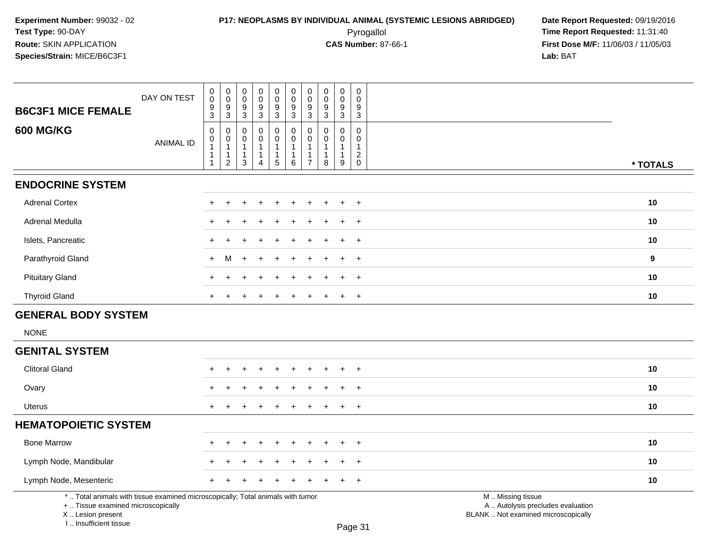## **P17: NEOPLASMS BY INDIVIDUAL ANIMAL (SYSTEMIC LESIONS ABRIDGED)** Date Report Requested: 09/19/2016<br>Pyrogallol **Pyrogallol Pyrogallol Decay and Alle Report Requested:** 11:31:40 Pyrogallol **Time Report Requested:** 11:31:40

| <b>B6C3F1 MICE FEMALE</b>                                                                                                                                             | DAY ON TEST      | $\pmb{0}$<br>$\mathbf 0$<br>$\frac{9}{3}$   | $\pmb{0}$<br>$\ddot{\mathbf{0}}$<br>$\frac{9}{3}$                                | $\pmb{0}$<br>$\mathbf 0$<br>$\boldsymbol{9}$<br>3                  | $_{\rm 0}^{\rm 0}$<br>$\overline{9}$<br>3                                  | $\begin{smallmatrix}0\0\0\end{smallmatrix}$<br>$\frac{9}{3}$  | $\mathbf 0$<br>$\mathsf{O}\xspace$<br>$\overline{9}$<br>3 <sup>1</sup> | $_{\rm 0}^{\rm 0}$<br>$\boldsymbol{9}$<br>$\overline{3}$                 | $\pmb{0}$<br>$\mathbf 0$<br>9<br>$\mathbf{3}$              | $\pmb{0}$<br>$\mathbf 0$<br>$\frac{9}{3}$                                | 0<br>$\mathbf 0$<br>9<br>3                                                  |                                                                                               |          |
|-----------------------------------------------------------------------------------------------------------------------------------------------------------------------|------------------|---------------------------------------------|----------------------------------------------------------------------------------|--------------------------------------------------------------------|----------------------------------------------------------------------------|---------------------------------------------------------------|------------------------------------------------------------------------|--------------------------------------------------------------------------|------------------------------------------------------------|--------------------------------------------------------------------------|-----------------------------------------------------------------------------|-----------------------------------------------------------------------------------------------|----------|
| <b>600 MG/KG</b>                                                                                                                                                      | <b>ANIMAL ID</b> | 0<br>$\mathbf 0$<br>$\mathbf{1}$<br>1<br>-1 | $\mathbf 0$<br>$\mathbf 0$<br>$\overline{1}$<br>$\overline{1}$<br>$\overline{2}$ | $\mathbf 0$<br>0<br>$\mathbf{1}$<br>$\mathbf{1}$<br>$\mathfrak{S}$ | $\mathbf 0$<br>$\pmb{0}$<br>$\mathbf{1}$<br>$\mathbf{1}$<br>$\overline{4}$ | $\mathsf 0$<br>$\pmb{0}$<br>$\mathbf{1}$<br>$\mathbf{1}$<br>5 | 0<br>$\mathbf 0$<br>$\mathbf{1}$<br>$\mathbf{1}$<br>$\,6\,$            | $\pmb{0}$<br>$\pmb{0}$<br>$\mathbf{1}$<br>$\mathbf{1}$<br>$\overline{7}$ | $\mathbf{0}$<br>0<br>$\overline{1}$<br>$\overline{1}$<br>8 | $\mathbf 0$<br>$\boldsymbol{0}$<br>$\mathbf{1}$<br>$\mathbf{1}$<br>$9\,$ | $\mathbf 0$<br>$\mathsf 0$<br>$\mathbf{1}$<br>$\overline{2}$<br>$\mathbf 0$ |                                                                                               | * TOTALS |
| <b>ENDOCRINE SYSTEM</b>                                                                                                                                               |                  |                                             |                                                                                  |                                                                    |                                                                            |                                                               |                                                                        |                                                                          |                                                            |                                                                          |                                                                             |                                                                                               |          |
| <b>Adrenal Cortex</b>                                                                                                                                                 |                  |                                             |                                                                                  |                                                                    |                                                                            |                                                               |                                                                        |                                                                          |                                                            |                                                                          | $\overline{ }$                                                              |                                                                                               | 10       |
|                                                                                                                                                                       |                  | ÷                                           |                                                                                  |                                                                    |                                                                            |                                                               |                                                                        |                                                                          |                                                            |                                                                          |                                                                             |                                                                                               |          |
| Adrenal Medulla                                                                                                                                                       |                  |                                             |                                                                                  |                                                                    |                                                                            |                                                               |                                                                        |                                                                          |                                                            |                                                                          | $\overline{1}$                                                              |                                                                                               | 10       |
| Islets, Pancreatic                                                                                                                                                    |                  | +                                           |                                                                                  |                                                                    |                                                                            |                                                               |                                                                        |                                                                          |                                                            |                                                                          | $\div$                                                                      |                                                                                               | 10       |
| Parathyroid Gland                                                                                                                                                     |                  | $+$                                         | M                                                                                | $\div$                                                             |                                                                            |                                                               |                                                                        |                                                                          |                                                            |                                                                          | $+$                                                                         |                                                                                               | 9        |
| <b>Pituitary Gland</b>                                                                                                                                                |                  | ÷                                           |                                                                                  |                                                                    |                                                                            |                                                               |                                                                        |                                                                          |                                                            |                                                                          | $+$                                                                         |                                                                                               | 10       |
| <b>Thyroid Gland</b>                                                                                                                                                  |                  | $+$                                         |                                                                                  |                                                                    |                                                                            | $\ddot{}$                                                     | $\ddot{}$                                                              | $\ddot{}$                                                                | $\pm$                                                      | $\pm$                                                                    | $+$                                                                         |                                                                                               | 10       |
| <b>GENERAL BODY SYSTEM</b>                                                                                                                                            |                  |                                             |                                                                                  |                                                                    |                                                                            |                                                               |                                                                        |                                                                          |                                                            |                                                                          |                                                                             |                                                                                               |          |
| <b>NONE</b>                                                                                                                                                           |                  |                                             |                                                                                  |                                                                    |                                                                            |                                                               |                                                                        |                                                                          |                                                            |                                                                          |                                                                             |                                                                                               |          |
| <b>GENITAL SYSTEM</b>                                                                                                                                                 |                  |                                             |                                                                                  |                                                                    |                                                                            |                                                               |                                                                        |                                                                          |                                                            |                                                                          |                                                                             |                                                                                               |          |
| <b>Clitoral Gland</b>                                                                                                                                                 |                  |                                             |                                                                                  |                                                                    |                                                                            |                                                               |                                                                        |                                                                          |                                                            |                                                                          | $\overline{1}$                                                              |                                                                                               | 10       |
| Ovary                                                                                                                                                                 |                  |                                             |                                                                                  |                                                                    |                                                                            |                                                               |                                                                        |                                                                          |                                                            |                                                                          | $\overline{1}$                                                              |                                                                                               | 10       |
| Uterus                                                                                                                                                                |                  |                                             |                                                                                  |                                                                    |                                                                            |                                                               |                                                                        |                                                                          |                                                            |                                                                          | $\overline{ }$                                                              |                                                                                               | 10       |
| <b>HEMATOPOIETIC SYSTEM</b>                                                                                                                                           |                  |                                             |                                                                                  |                                                                    |                                                                            |                                                               |                                                                        |                                                                          |                                                            |                                                                          |                                                                             |                                                                                               |          |
| <b>Bone Marrow</b>                                                                                                                                                    |                  |                                             |                                                                                  |                                                                    |                                                                            |                                                               |                                                                        |                                                                          |                                                            |                                                                          | $\overline{1}$                                                              |                                                                                               | 10       |
| Lymph Node, Mandibular                                                                                                                                                |                  |                                             |                                                                                  |                                                                    |                                                                            |                                                               |                                                                        |                                                                          |                                                            |                                                                          | $\overline{1}$                                                              |                                                                                               | 10       |
| Lymph Node, Mesenteric                                                                                                                                                |                  | +                                           |                                                                                  |                                                                    |                                                                            |                                                               |                                                                        |                                                                          |                                                            |                                                                          | $\ddot{}$                                                                   |                                                                                               | 10       |
| *  Total animals with tissue examined microscopically; Total animals with tumor<br>+  Tissue examined microscopically<br>X  Lesion present<br>I., Insufficient tissue |                  |                                             |                                                                                  |                                                                    |                                                                            |                                                               |                                                                        |                                                                          |                                                            |                                                                          | Page 31                                                                     | M  Missing tissue<br>A  Autolysis precludes evaluation<br>BLANK  Not examined microscopically |          |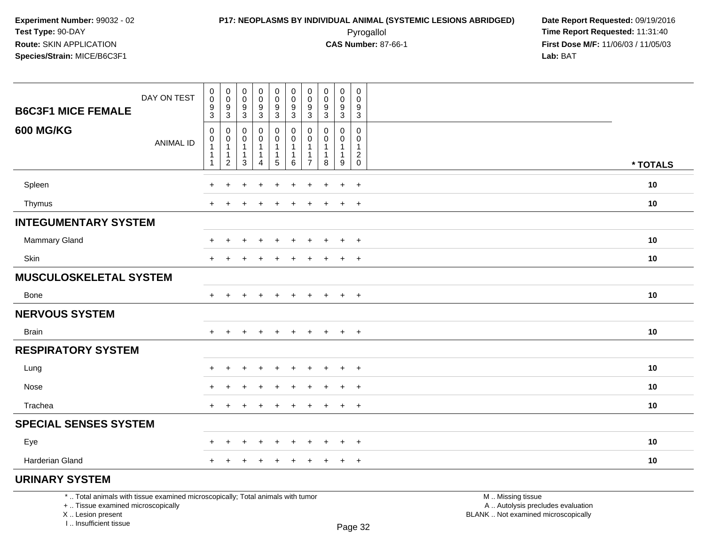### **P17: NEOPLASMS BY INDIVIDUAL ANIMAL (SYSTEMIC LESIONS ABRIDGED) Date Report Requested:** 09/19/2016 Pyrogallol **Time Report Requested:** 11:31:40

**First Dose M/F:** 11/06/03 / 11/05/03<br>Lab: BAT **Lab:** BAT

| <b>B6C3F1 MICE FEMALE</b>     | DAY ON TEST      | $\pmb{0}$<br>$\pmb{0}$<br>$\frac{9}{3}$                                      | $\overline{0}$<br>$\boldsymbol{0}$<br>$\frac{9}{3}$                      | $\pmb{0}$<br>$\pmb{0}$<br>9<br>3                                          | $\begin{smallmatrix}0\0\0\end{smallmatrix}$<br>$\frac{9}{3}$ | $\mathbf 0$<br>$\pmb{0}$<br>$\frac{9}{3}$                     | $\pmb{0}$<br>$\pmb{0}$<br>$\frac{9}{3}$                       | $\pmb{0}$<br>$\mathbf 0$<br>9<br>$\mathbf{3}$          | $\pmb{0}$<br>$\mathbf 0$<br>9<br>$\mathbf{3}$ | $\mathbf 0$<br>$\mathbf 0$<br>$\frac{9}{3}$                         | 0<br>$\mathbf 0$<br>9<br>$\mathsf 3$             |          |
|-------------------------------|------------------|------------------------------------------------------------------------------|--------------------------------------------------------------------------|---------------------------------------------------------------------------|--------------------------------------------------------------|---------------------------------------------------------------|---------------------------------------------------------------|--------------------------------------------------------|-----------------------------------------------|---------------------------------------------------------------------|--------------------------------------------------|----------|
| <b>600 MG/KG</b>              | <b>ANIMAL ID</b> | $\mathbf 0$<br>$\mathbf 0$<br>$\mathbf{1}$<br>$\mathbf{1}$<br>$\overline{1}$ | $\mathbf 0$<br>$\mathbf 0$<br>$\mathbf{1}$<br>$\mathbf{1}$<br>$\sqrt{2}$ | $\mathbf 0$<br>$\mathbf 0$<br>$\mathbf{1}$<br>$\mathbf{1}$<br>$\mathsf 3$ | 0<br>0<br>$\mathbf{1}$<br>$\mathbf{1}$<br>$\overline{4}$     | 0<br>$\mathbf 0$<br>$\mathbf{1}$<br>$\mathbf 1$<br>$\sqrt{5}$ | 0<br>$\mathbf 0$<br>$\mathbf{1}$<br>$\overline{1}$<br>$\,6\,$ | 0<br>$\Omega$<br>$\overline{1}$<br>1<br>$\overline{7}$ | 0<br>$\Omega$<br>1<br>$\mathbf 1$<br>8        | $\mathbf 0$<br>$\mathbf 0$<br>$\mathbf{1}$<br>$\mathbf{1}$<br>$9\,$ | 0<br>$\mathbf 0$<br>$\mathbf{1}$<br>$^2_{\rm 0}$ |          |
|                               |                  |                                                                              |                                                                          |                                                                           |                                                              |                                                               |                                                               |                                                        |                                               |                                                                     |                                                  | * TOTALS |
| Spleen                        |                  | ÷                                                                            |                                                                          |                                                                           |                                                              | ÷                                                             |                                                               | 4                                                      |                                               | $\ddot{}$                                                           | $\ddot{}$                                        | $10$     |
| Thymus                        |                  | $+$                                                                          | $\ddot{}$                                                                |                                                                           | $\ddot{}$                                                    | $\ddot{}$                                                     | $\ddot{}$                                                     | $\ddot{}$                                              | $\ddot{}$                                     | $\ddot{}$                                                           | $+$                                              | 10       |
| <b>INTEGUMENTARY SYSTEM</b>   |                  |                                                                              |                                                                          |                                                                           |                                                              |                                                               |                                                               |                                                        |                                               |                                                                     |                                                  |          |
| <b>Mammary Gland</b>          |                  | +                                                                            | $\div$                                                                   |                                                                           | $\ddot{}$                                                    | ٠                                                             | $\div$                                                        | +                                                      |                                               | $\ddot{}$                                                           | $+$                                              | 10       |
| Skin                          |                  | $+$                                                                          | ÷                                                                        |                                                                           | $\div$                                                       | $\ddot{}$                                                     | $\pm$                                                         | $\pm$                                                  | $\pm$                                         | $\ddot{}$                                                           | $+$                                              | 10       |
| <b>MUSCULOSKELETAL SYSTEM</b> |                  |                                                                              |                                                                          |                                                                           |                                                              |                                                               |                                                               |                                                        |                                               |                                                                     |                                                  |          |
| Bone                          |                  | $+$                                                                          | $\ddot{}$                                                                |                                                                           | $\ddot{}$                                                    | $\ddot{}$                                                     | $+$                                                           | $+$                                                    | $\ddot{}$                                     | $+$                                                                 | $+$                                              | 10       |
| <b>NERVOUS SYSTEM</b>         |                  |                                                                              |                                                                          |                                                                           |                                                              |                                                               |                                                               |                                                        |                                               |                                                                     |                                                  |          |
| <b>Brain</b>                  |                  | $+$                                                                          |                                                                          |                                                                           | $\div$                                                       | $\ddot{}$                                                     | $\ddot{}$                                                     | $\pm$                                                  | $\pm$                                         | $\ddot{}$                                                           | $+$                                              | 10       |
| <b>RESPIRATORY SYSTEM</b>     |                  |                                                                              |                                                                          |                                                                           |                                                              |                                                               |                                                               |                                                        |                                               |                                                                     |                                                  |          |
| Lung                          |                  | $\pm$                                                                        | $\ddot{}$                                                                |                                                                           | $\ddot{}$                                                    | $\ddot{}$                                                     | $\pm$                                                         | $\ddot{}$                                              | ÷                                             | $\ddot{}$                                                           | $+$                                              | 10       |
| Nose                          |                  | +                                                                            | ٠                                                                        |                                                                           | $\ddot{}$                                                    | +                                                             | $\ddot{}$                                                     | +                                                      |                                               | $\ddot{}$                                                           | $+$                                              | 10       |
| Trachea                       |                  | $+$                                                                          | $\ddot{}$                                                                |                                                                           | $\ddot{}$                                                    | $\ddot{}$                                                     | $\ddot{}$                                                     | +                                                      | $\ddot{}$                                     | $\ddot{}$                                                           | $+$                                              | 10       |
| <b>SPECIAL SENSES SYSTEM</b>  |                  |                                                                              |                                                                          |                                                                           |                                                              |                                                               |                                                               |                                                        |                                               |                                                                     |                                                  |          |
| Eye                           |                  | $\pm$                                                                        | $\ddot{}$                                                                | $\pm$                                                                     | $^{+}$                                                       | $+$                                                           | $+$                                                           | $\pm$                                                  | $\pm$                                         | $\pm$                                                               | $+$                                              | 10       |
| Harderian Gland               |                  | $+$                                                                          | $\div$                                                                   | ÷                                                                         | $\ddot{}$                                                    | $\ddot{}$                                                     | $\ddot{}$                                                     | $+$                                                    | $\pm$                                         | $+$                                                                 | $+$                                              | 10       |
| <b>URINARY SYSTEM</b>         |                  |                                                                              |                                                                          |                                                                           |                                                              |                                                               |                                                               |                                                        |                                               |                                                                     |                                                  |          |

\* .. Total animals with tissue examined microscopically; Total animals with tumor

+ .. Tissue examined microscopically

X .. Lesion present